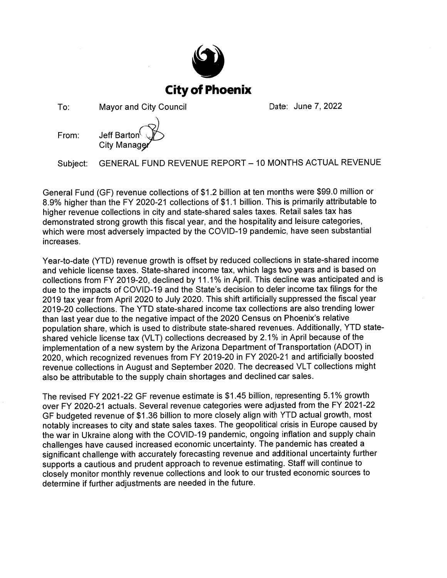

To: **Mayor and City Council**  Date: June 7, 2022



GENERAL FUND REVENUE REPORT - 10 MONTHS ACTUAL REVENUE Subject:

General Fund (GF) revenue collections of \$1.2 billion at ten months were \$99.0 million or 8.9% higher than the FY 2020-21 collections of \$1.1 billion. This is primarily attributable to higher revenue collections in city and state-shared sales taxes. Retail sales tax has demonstrated strong growth this fiscal year, and the hospitality and leisure categories, which were most adversely impacted by the COVID-19 pandemic, have seen substantial increases.

Year-to-date (YTD) revenue growth is offset by reduced collections in state-shared income and vehicle license taxes. State-shared income tax, which lags two years and is based on collections from FY 2019-20, declined by 11.1% in April. This decline was anticipated and is due to the impacts of COVID-19 and the State's decision to defer income tax filings for the 2019 tax year from April 2020 to July 2020. This shift artificially suppressed the fiscal year 2019-20 collections. The YTD state-shared income tax collections are also trending lower than last year due to the negative impact of the 2020 Census on Phoenix's relative population share, which is used to distribute state-shared revenues. Additionally, YTD stateshared vehicle license tax (VLT) collections decreased by 2.1% in April because of the implementation of a new system by the Arizona Department of Transportation (ADOT) in 2020, which recognized revenues from FY 2019-20 in FY 2020-21 and artificially boosted revenue collections in August and September 2020. The decreased VLT collections might also be attributable to the supply chain shortages and declined car sales.

The revised FY 2021-22 GF revenue estimate is \$1.45 billion, representing 5.1% growth over FY 2020-21 actuals. Several revenue categories were adjusted from the FY 2021-22 GF budgeted revenue of \$1.36 billion to more closely align with YTD actual growth, most notably increases to city and state sales taxes. The geopolitical crisis in Europe caused by the war in Ukraine along with the COVID-19 pandemic, ongoing inflation and supply chain challenges have caused increased economic uncertainty. The pandemic has created a significant challenge with accurately forecasting revenue and additional uncertainty further supports a cautious and prudent approach to revenue estimating. Staff will continue to closely monitor monthly revenue collections and look to our trusted economic sources to determine if further adjustments are needed in the future.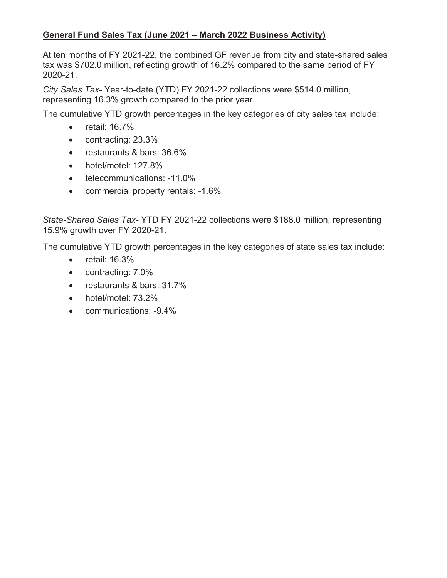# **General Fund Sales Tax (June 2021 – March 2022 Business Activity)**

At ten months of FY 2021-22, the combined GF revenue from city and state-shared sales tax was \$702.0 million, reflecting growth of 16.2% compared to the same period of FY 2020-21.

*City Sales Tax*- Year-to-date (YTD) FY 2021-22 collections were \$514.0 million, representing 16.3% growth compared to the prior year.

The cumulative YTD growth percentages in the key categories of city sales tax include:

- $\bullet$  retail: 16.7%
- contracting: 23.3%
- $\bullet$  restaurants & bars: 36.6%
- $\bullet$  hotel/motel: 127.8%
- telecommunications: -11.0%
- commercial property rentals: -1.6%

*State-Shared Sales Tax-* YTD FY 2021-22 collections were \$188.0 million, representing 15.9% growth over FY 2020-21.

The cumulative YTD growth percentages in the key categories of state sales tax include:

- $\bullet$  retail: 16.3%
- $\bullet$  contracting:  $7.0\%$
- restaurants & bars: 31.7%
- $\bullet$  hotel/motel:  $73.2\%$
- communications: -9.4%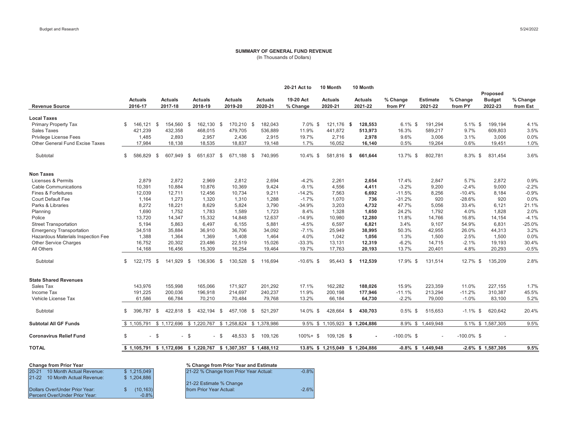#### **SUMMARY OF GENERAL FUND REVENUE** (In Thousands of Dollars)

|                                    |             |                    |                           |                           |                           |                                                             | 20-21 Act to          | 10 Month                  | 10 Month                        |                     |                            |                     | Proposed                 |                      |
|------------------------------------|-------------|--------------------|---------------------------|---------------------------|---------------------------|-------------------------------------------------------------|-----------------------|---------------------------|---------------------------------|---------------------|----------------------------|---------------------|--------------------------|----------------------|
| <b>Revenue Source</b>              |             | Actuals<br>2016-17 | <b>Actuals</b><br>2017-18 | <b>Actuals</b><br>2018-19 | <b>Actuals</b><br>2019-20 | <b>Actuals</b><br>2020-21                                   | 19-20 Act<br>% Change | <b>Actuals</b><br>2020-21 | <b>Actuals</b><br>2021-22       | % Change<br>from PY | <b>Estimate</b><br>2021-22 | % Change<br>from PY | <b>Budget</b><br>2022-23 | % Change<br>from Est |
| <b>Local Taxes</b>                 |             |                    |                           |                           |                           |                                                             |                       |                           |                                 |                     |                            |                     |                          |                      |
| Primary Property Tax               | \$          | 146.121            | 154.560<br>- \$           | 162,130<br>- \$           | 170,210 \$<br>\$          | 182,043                                                     | 7.0% \$               | 121,176                   | 128,553<br>- \$                 | $6.1\%$ \$          | 191,294                    | $5.1\%$ \$          | 199,194                  | 4.1%                 |
| <b>Sales Taxes</b>                 |             | 421,239            | 432,358                   | 468,015                   | 479,705                   | 536,889                                                     | 11.9%                 | 441,872                   | 513,973                         | 16.3%               | 589,217                    | 9.7%                | 609.803                  | 3.5%                 |
| Privilege License Fees             |             | 1,485              | 2,893                     | 2,957                     | 2,436                     | 2,915                                                       | 19.7%                 | 2,716                     | 2,978                           | 9.6%                | 3,006                      | 3.1%                | 3,006                    | 0.0%                 |
| Other General Fund Excise Taxes    |             | 17,984             | 18,138                    | 18,535                    | 18,837                    | 19,148                                                      | 1.7%                  | 16,052                    | 16,140                          | 0.5%                | 19,264                     | 0.6%                | 19,451                   | 1.0%                 |
| Subtotal                           | \$          | 586.829            | 607,949<br>- \$           | 651,637<br>- \$           | \$<br>671,188 \$          | 740,995                                                     | 10.4% \$              | 581,816                   | 661.644<br>- \$                 | 13.7% \$            | 802,781                    | 8.3% \$             | 831.454                  | 3.6%                 |
| <b>Non Taxes</b>                   |             |                    |                           |                           |                           |                                                             |                       |                           |                                 |                     |                            |                     |                          |                      |
| Licenses & Permits                 |             | 2,879              | 2,872                     | 2,969                     | 2,812                     | 2,694                                                       | $-4.2%$               | 2,261                     | 2,654                           | 17.4%               | 2,847                      | 5.7%                | 2,872                    | 0.9%                 |
| <b>Cable Communications</b>        |             | 10,391             | 10,884                    | 10,876                    | 10,369                    | 9,424                                                       | $-9.1%$               | 4,556                     | 4,411                           | $-3.2%$             | 9,200                      | $-2.4%$             | 9,000                    | $-2.2%$              |
| Fines & Forfeitures                |             | 12,039             | 12,711                    | 12,456                    | 10.734                    | 9,211                                                       | $-14.2%$              | 7,563                     | 6,692                           | $-11.5%$            | 8,256                      | $-10.4%$            | 8.184                    | $-0.9%$              |
| <b>Court Default Fee</b>           |             | 1,164              | 1,273                     | 1,320                     | 1,310                     | 1,288                                                       | $-1.7%$               | 1,070                     | 736                             | $-31.2%$            | 920                        | $-28.6%$            | 920                      | 0.0%                 |
| Parks & Libraries                  |             | 8,272              | 18,221                    | 8,629                     | 5,824                     | 3,790                                                       | $-34.9%$              | 3,203                     | 4,732                           | 47.7%               | 5.056                      | 33.4%               | 6.121                    | 21.1%                |
| Planning                           |             | 1,690              | 1,752                     | 1,783                     | 1,589                     | 1,723                                                       | 8.4%                  | 1,328                     | 1,650                           | 24.2%               | 1,792                      | 4.0%                | 1,828                    | 2.0%                 |
| Police                             |             | 13,720             | 14,347                    | 15,332                    | 14.848                    | 12.637                                                      | $-14.9%$              | 10.980                    | 12,280                          | 11.8%               | 14.766                     | 16.8%               | 14.154                   | $-4.1%$              |
| <b>Street Transportation</b>       |             | 5.194              | 5.863                     | 6,497                     | 6,155                     | 5,881                                                       | $-4.5%$               | 6,597                     | 6,821                           | 3.4%                | 9.107                      | 54.9%               | 6.831                    | $-25.0%$             |
| <b>Emergency Transportation</b>    |             | 34,518             | 35,884                    | 36,910                    | 36,706                    | 34,092                                                      | $-7.1%$               | 25,949                    | 38,995                          | 50.3%               | 42,955                     | 26.0%               | 44,313                   | 3.2%                 |
| Hazardous Materials Inspection Fee |             | 1,388              | 1,364                     | 1,369                     | 1,408                     | 1,464                                                       | 4.0%                  | 1,042                     | 1,056                           | 1.3%                | 1,500                      | 2.5%                | 1,500                    | 0.0%                 |
| Other Service Charges              |             | 16,752             | 20,302                    | 23,486                    | 22,519                    | 15,026                                                      | $-33.3%$              | 13,131                    | 12,319                          | $-6.2%$             | 14,715                     | $-2.1%$             | 19,193                   | 30.4%                |
| All Others                         |             | 14,168             | 16,456                    | 15,309                    | 16,254                    | 19,464                                                      | 19.7%                 | 17,763                    | 20,193                          | 13.7%               | 20,401                     | 4.8%                | 20,293                   | $-0.5%$              |
| Subtotal                           | \$          | 122,175            | 141,929<br>- \$           | 136,936<br>- \$           | 130,528 \$<br>- \$        | 116,694                                                     | $-10.6\%$ \$          | 95,443 \$                 | 112,539                         | 17.9% \$            | 131,514                    | 12.7% \$            | 135,209                  | 2.8%                 |
| <b>State Shared Revenues</b>       |             |                    |                           |                           |                           |                                                             |                       |                           |                                 |                     |                            |                     |                          |                      |
| Sales Tax                          |             | 143,976            | 155,998                   | 165,066                   | 171,927                   | 201,292                                                     | 17.1%                 | 162,282                   | 188,026                         | 15.9%               | 223,359                    | 11.0%               | 227,155                  | 1.7%                 |
| Income Tax                         |             | 191,225            | 200,036                   | 196,918                   | 214,697                   | 240,237                                                     | 11.9%                 | 200,198                   | 177,946                         | $-11.1%$            | 213,294                    | $-11.2%$            | 310,387                  | 45.5%                |
| Vehicle License Tax                |             | 61,586             | 66,784                    | 70,210                    | 70,484                    | 79,768                                                      | 13.2%                 | 66,184                    | 64,730                          | $-2.2%$             | 79,000                     | $-1.0%$             | 83,100                   | 5.2%                 |
| Subtotal                           | \$          | 396,787            | - \$<br>422,818           | - \$<br>432,194 \$        | 457,108 \$                | 521,297                                                     | 14.0% \$              | 428,664 \$                | 430,703                         | $0.5\%$ \$          | 515,653                    | $-1.1\%$ \$         | 620,642                  | 20.4%                |
| <b>Subtotal All GF Funds</b>       | \$1.105.791 |                    | \$1,172,696               | \$1,220,767               | \$1,258,824               | \$1,378,986                                                 |                       | 9.5% \$ 1,105,923         | \$1,204,886                     |                     | 8.9% \$1.449.948           |                     | 5.1% \$ 1,587,305        | 9.5%                 |
| <b>Coronavirus Relief Fund</b>     | \$          | $-$ \$             | $\blacksquare$            | - \$                      | - \$<br>48,533 \$         | 109,126                                                     | $100\% +$ \$          | 109,126 \$                |                                 | $-100.0\%$ \$       |                            | $-100.0\%$ \$       |                          |                      |
| <b>TOTAL</b>                       |             |                    |                           |                           |                           | \$1,105,791 \$1,172,696 \$1,220,767 \$1,307,357 \$1,488,112 |                       |                           | 13.8% \$ 1,215,049 \$ 1,204,886 |                     | $-0.8\%$ \$ 1,449,948      |                     | $-2.6\%$ \$ 1,587,305    | 9.5%                 |

| <b>Change from Prior Year</b>         |             | % Change from Prior Year and Estimate  |
|---------------------------------------|-------------|----------------------------------------|
| $20 - 21$<br>10 Month Actual Revenue: | \$1,215,049 | 21-22 % Change from Prior Year Actual: |
| 21-22 10 Month Actual Revenue:        | \$1,204.886 |                                        |
|                                       |             | 21-22 Estimate % Change                |
| Dollars Over/Under Prior Year:        | (10.163)    | from Prior Year Actual:                |
| <b>Percent Over/Under Prior Year:</b> | $-0.8%$     |                                        |
|                                       |             |                                        |

|      |                | % Change from Prior Year and Estimate  |         |
|------|----------------|----------------------------------------|---------|
| nue: | \$1,215,049    | 21-22 % Change from Prior Year Actual: | $-0.8%$ |
| nue: | \$1,204.886    |                                        |         |
|      |                | 21-22 Estimate % Change                |         |
|      | (10.163)<br>\$ | <b>Ifrom Prior Year Actual:</b>        | $-2.6%$ |
| r.   | $-0.8%$        |                                        |         |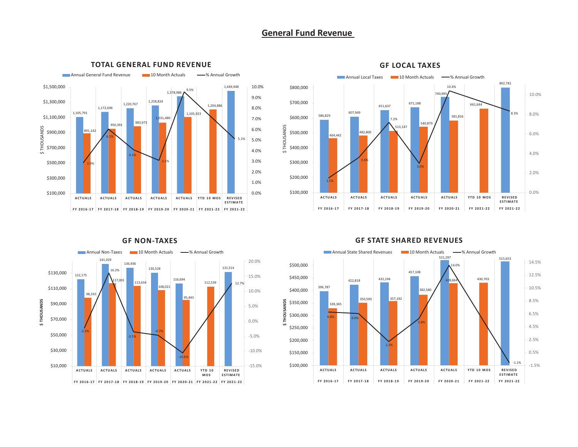# **General Fund Revenue**



### **TOTAL GENERAL FUND REVENUE**



#### **GF LOCAL TAXES**



### **GF NONͲTAXES**

### **GF STATE SHARED REVENUES**

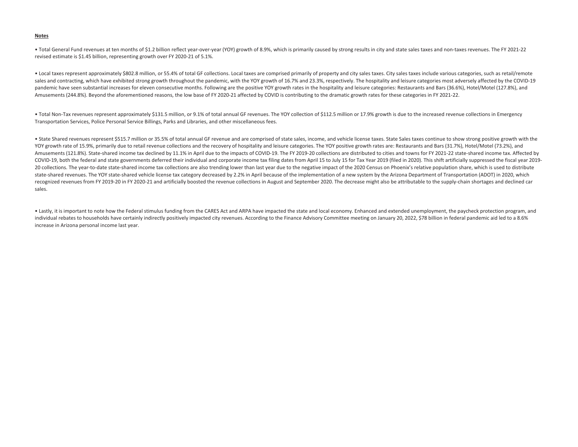#### **Notes**

• Total General Fund revenues at ten months of \$1.2 billion reflect year-over-year (YOY) growth of 8.9%, which is primarily caused by strong results in city and state sales taxes and non-taxes revenues. The FY 2021-22 revised estimate is \$1.45 billion, representing growth over FY 2020-21 of 5.1%.

• Local taxes represent approximately \$802.8 million, or 55.4% of total GF collections. Local taxes are comprised primarily of property and city sales taxes. City sales taxes include various categories, such as retail/remote sales and contracting, which have exhibited strong growth throughout the pandemic, with the YOY growth of 16.7% and 23.3%, respectively. The hospitality and leisure categories most adversely affected by the COVID-19 pandemic have seen substantial increases for eleven consecutive months. Following are the positive YOY growth rates in the hospitality and leisure categories: Restaurants and Bars (36.6%), Hotel/Motel (127.8%), and Amusements (244.8%). Beyond the aforementioned reasons, the low base of FY 2020-21 affected by COVID is contributing to the dramatic growth rates for these categories in FY 2021-22.

• Total Non-Tax revenues represent approximately \$131.5 million, or 9.1% of total annual GF revenues. The YOY collection of \$112.5 million or 17.9% growth is due to the increased revenue collections in Emergency Transportation Services, Police Personal Service Billings, Parks and Libraries, and other miscellaneous fees.

• State Shared revenues represent \$515.7 million or 35.5% of total annual GF revenue and are comprised of state sales, income, and vehicle license taxes. State Sales taxes continue to show strong positive growth with the YOY growth rate of 15.9%, primarily due to retail revenue collections and the recovery of hospitality and leisure categories. The YOY positive growth rates are: Restaurants and Bars (31.7%), Hotel/Motel (73.2%), and Amusements (121.8%). State-shared income tax declined by 11.1% in April due to the impacts of COVID-19. The FY 2019-20 collections are distributed to cities and towns for FY 2021-22 state-shared income tax. Affected by COVID-19, both the federal and state governments deferred their individual and corporate income tax filing dates from April 15 to July 15 for Tax Year 2019 (filed in 2020). This shift artificially suppressed the fiscal yea 20 collections. The year-to-date state-shared income tax collections are also trending lower than last year due to the negative impact of the 2020 Census on Phoenix's relative population share, which is used to distribute state-shared revenues. The YOY state-shared vehicle license tax category decreased by 2.2% in April because of the implementation of a new system by the Arizona Department of Transportation (ADOT) in 2020, which recognized revenues from FY 2019-20 in FY 2020-21 and artificially boosted the revenue collections in August and September 2020. The decrease might also be attributable to the supply-chain shortages and declined car sales.

• Lastly, it is important to note how the Federal stimulus funding from the CARES Act and ARPA have impacted the state and local economy. Enhanced and extended unemployment, the paycheck protection program, and individual rebates to households have certainly indirectly positively impacted city revenues. According to the Finance Advisory Committee meeting on January 20, 2022, \$78 billion in federal pandemic aid led to a 8.6% increase in Arizona personal income last year.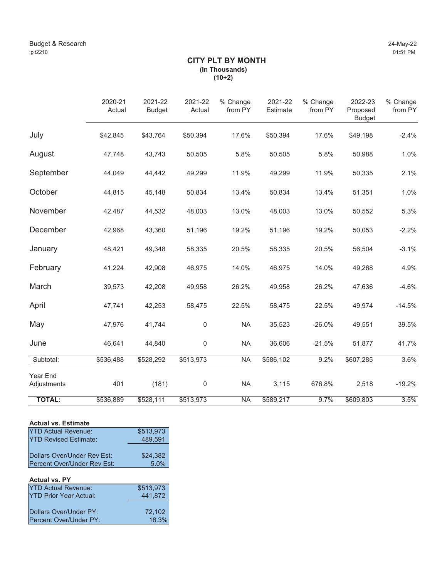# **CITY PLT BY MONTH (In Thousands) (10+2)**

|                         | 2020-21<br>Actual | 2021-22<br><b>Budget</b> | 2021-22<br>Actual | % Change<br>from PY | 2021-22<br>Estimate | % Change<br>from PY | 2022-23<br>Proposed<br><b>Budget</b> | % Change<br>from PY |
|-------------------------|-------------------|--------------------------|-------------------|---------------------|---------------------|---------------------|--------------------------------------|---------------------|
| July                    | \$42,845          | \$43,764                 | \$50,394          | 17.6%               | \$50,394            | 17.6%               | \$49,198                             | $-2.4%$             |
| August                  | 47,748            | 43,743                   | 50,505            | 5.8%                | 50,505              | 5.8%                | 50,988                               | 1.0%                |
| September               | 44,049            | 44,442                   | 49,299            | 11.9%               | 49,299              | 11.9%               | 50,335                               | 2.1%                |
| October                 | 44,815            | 45,148                   | 50,834            | 13.4%               | 50,834              | 13.4%               | 51,351                               | 1.0%                |
| November                | 42,487            | 44,532                   | 48,003            | 13.0%               | 48,003              | 13.0%               | 50,552                               | 5.3%                |
| December                | 42,968            | 43,360                   | 51,196            | 19.2%               | 51,196              | 19.2%               | 50,053                               | $-2.2%$             |
| January                 | 48,421            | 49,348                   | 58,335            | 20.5%               | 58,335              | 20.5%               | 56,504                               | $-3.1%$             |
| February                | 41,224            | 42,908                   | 46,975            | 14.0%               | 46,975              | 14.0%               | 49,268                               | 4.9%                |
| March                   | 39,573            | 42,208                   | 49,958            | 26.2%               | 49,958              | 26.2%               | 47,636                               | $-4.6%$             |
| April                   | 47,741            | 42,253                   | 58,475            | 22.5%               | 58,475              | 22.5%               | 49,974                               | $-14.5%$            |
| May                     | 47,976            | 41,744                   | 0                 | <b>NA</b>           | 35,523              | $-26.0%$            | 49,551                               | 39.5%               |
| June                    | 46,641            | 44,840                   | 0                 | <b>NA</b>           | 36,606              | $-21.5%$            | 51,877                               | 41.7%               |
| Subtotal:               | \$536,488         | \$528,292                | \$513,973         | <b>NA</b>           | \$586,102           | 9.2%                | \$607,285                            | 3.6%                |
| Year End<br>Adjustments | 401               | (181)                    | 0                 | <b>NA</b>           | 3,115               | 676.8%              | 2,518                                | $-19.2%$            |
| <b>TOTAL:</b>           | \$536,889         | \$528,111                | \$513,973         | <b>NA</b>           | \$589,217           | 9.7%                | \$609,803                            | 3.5%                |

# **Actual vs. Estimate**

| <b>YTD Actual Revenue:</b>   | \$513,973 |
|------------------------------|-----------|
| <b>YTD Revised Estimate:</b> | 489,591   |
|                              |           |
| Dollars Over/Under Rev Est:  | \$24,382  |
| Percent Over/Under Rev Est:  | 5.0%      |

# **Actual vs. PY**

| <b>YTD Actual Revenue:</b>     | \$513,973 |
|--------------------------------|-----------|
| IYTD Prior Year Actual:        | 441,872   |
|                                |           |
| Dollars Over/Under PY:         | 72,102    |
| <b>IPercent Over/Under PY:</b> | 16.3%     |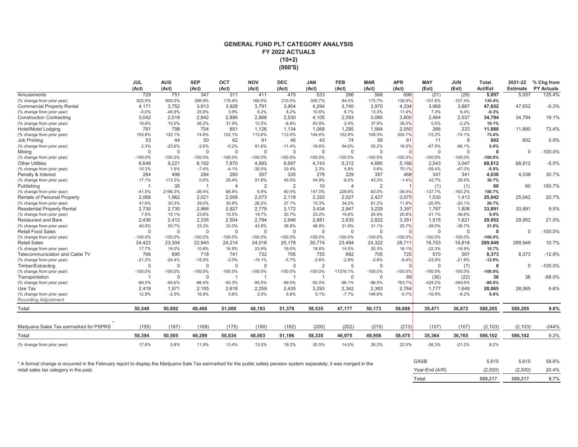### **GENERAL FUND PLT CATEGORY ANALYSIS FY 2022 ACTUALS(10+2) (000'S)**

|                                         | <b>JUL</b>     | <b>AUG</b>  | <b>SEP</b>  | OCT            | <b>NOV</b>     | <b>DEC</b>     | <b>JAN</b>     | <b>FEB</b>     | <b>MAR</b>     | <b>APR</b> | <b>MAY</b> | <b>JUN</b> | <b>Total</b> | 2021-22         | % Chg from        |
|-----------------------------------------|----------------|-------------|-------------|----------------|----------------|----------------|----------------|----------------|----------------|------------|------------|------------|--------------|-----------------|-------------------|
|                                         | (Act)          | (Act)       | (Act)       | (Act)          | (Act)          | (Act)          | (Act)          | (Act)          | (Act)          | (Act)      | (Est)      | (Est)      | Act/Est      | <b>Estimate</b> | <b>PY Actuals</b> |
| Amusements                              | 729            | 751         | 347         | 311            | 411            | 475            | 533            | 286            | 568            | 696        | (21)       | (29)       | 5,057        | 5.057           | 135.4%            |
| (% change from prior year)              | 922.5%         | 600.0%      | 296.9%      | 179.4%         | 160.0%         | 210.5%         | 300.7%         | 84.0%          | 170.7%         | 136.5%     | $-107.6%$  | $-107.4%$  | 135.4%       |                 |                   |
| <b>Commercial Property Rental</b>       | 4.171          | 3,752       | 3.913       | 3.928          | 3.791          | 3,904          | 4.294          | 3.740          | 3,970          | 4,334      | 3,968      | 3,887      | 47,652       | 47.652          | $-0.3%$           |
| (% change from prior year)              | $-0.0%$        | -49.9%      | 25.9%       | 3.9%           | 6.2%           | 8.2%           | 10.6%          | 8.7%           | 13.3%          | 11.4%      | 7.3%       | 6.4%       | $-0.3%$      |                 |                   |
| <b>Construction Contracting</b>         | 3.042          | 2.518       | 2.842       | 2.890          | 2.868          | 2,530          | 4.105          | 2.093          | 3.085          | 3,800      | 2.484      | 2,537      | 34,794       | 34,794          | 19.1%             |
| (% change from prior year)              | 18.6%          | 10.5%       | 26.2%       | 31.9%          | 13.5%          | $-8.8%$        | 63.9%          | 2.4%           | 37.9%          | 36.5%      | 0.5%       | $-2.2%$    | 19.1%        |                 |                   |
| Hotel/Motel Lodging                     | 791            | 798         | 704         | 851            | 1.126          | 1.134          | 1.068          | 1,295          | 1.564          | 2,050      | 266        | 233        | 11,880       | 11.880          | 73.4%             |
| (% change from prior year)              | 105.8%         | 132.1%      | 74.8%       | 102.1%         | 113.6%         | 112.0%         | 144.4%         | 152.8%         | 108.3%         | 200.7%     | $-72.2%$   | $-74.1%$   | 73.4%        |                 |                   |
| <b>Job Printing</b>                     | 53             | 44          | 50          | 62             | 91             | 46             | 43             | 74             | 59             | 61         | 11         | 8          | 602          | 602             | 0.9%              |
| (% change from prior year)              | 2.3%           | $-25.6%$    | $-2.6%$     | $-0.2%$        | 81.6%          | $-11.4%$       | $-16.6%$       | 94.6%          | 55.2%          | 16.5%      | $-67.9%$   | $-86.1%$   | 0.9%         |                 |                   |
| Minina                                  | $\mathbf 0$    | $\mathbf 0$ | $\mathbf 0$ | $\mathbf 0$    | $\mathbf 0$    | $\mathbf{0}$   | $\mathbf{0}$   | $\mathbf 0$    | $\mathbf 0$    | $\Omega$   | $\Omega$   | $\Omega$   | $\Omega$     | $\Omega$        | $-100.0%$         |
| (% change from prior year)              | $-100.0%$      | $-100.0%$   | $-100.0%$   | $-100.0%$      | $-100.0%$      | $-100.0%$      | -100.0%        | $-100.0%$      | $-100.0%$      | $-100.0%$  | $-100.0%$  | $-100.0%$  | $-100.0%$    |                 |                   |
| <b>Other Utilities</b>                  | 6.648          | 9,221       | 8.192       | 7,670          | 4,893          | 6,697          | 4,743          | 5,312          | 4.680          | 5,166      | 2,543      | 3,047      | 68,812       | 68,812          | $-5.5%$           |
| (% change from prior year)              | 15.3%          | 1.9%        | $-7.4%$     | $-4.1%$        | $-30.0%$       | 33.4%          | 2.3%           | 5.8%           | 5.6%           | 70.1%      | $-59.4%$   | $-47.0%$   | $-5.5%$      |                 |                   |
| Penalty & Interest                      | 264            | 498         | 284         | 280            | 357            | 335            | 278            | 229            | 357            | 468        | 347        | 341        | 4,038        | 4,038           | 30.7%             |
| (% change from prior year)              | 17.1%          | 113.3%      | 0.0%        | 29.4%          | 51.8%          | 45.5%          | 54.9%          | $-9.2%$        | 43.3%          | $-1.4%$    | 42.7%      | 28.5%      | 30.7%        |                 |                   |
| Publishing                              | $\overline{1}$ | 35          | -1          | $\overline{4}$ | $\overline{2}$ | $\overline{2}$ | 10             | $\overline{4}$ | $\overline{2}$ |            | (1)        | (1)        | 60           | 60              | 150.7%            |
| (% change from prior year)              | $-41.5%$       | 2196.3%     | $-36.4%$    | 68.8%          | 6.8%           | 60.5%          | 147.0%         | 228.6%         | 63.0%          | $-36.4%$   | $-137.7%$  | $-163.2%$  | 150.7%       |                 |                   |
| <b>Rentals of Personal Property</b>     | 2,068          | 1,962       | 2,021       | 2,008          | 2,073          | 2,118          | 2,320          | 2,027          | 2,427          | 3,075      | 1,530      | 1,413      | 25,042       | 25,042          | 20.7%             |
| (% change from prior year)              | 41.8%          | 30.3%       | 39.0%       | 30.8%          | 26.2%          | 27.1%          | 15.3%          | 34.0%          | 61.2%          | 11.8%      | $-20.9%$   | $-20.1%$   | 20.7%        |                 |                   |
| <b>Residential Property Rental</b>      | 2,735          | 2,730       | 2,966       | 2,927          | 2,779          | 3,172          | 3,434          | 2,947          | 3,229          | 3,397      | 1,767      | 1,808      | 33,891       | 33,891          | 9.5%              |
| (% change from prior year)              | 7.5%           | 15.1%       | 23.6%       | 10.5%          | 19.7%          | 20.7%          | 23.2%          | 19.8%          | 25.9%          | 20.8%      | $-31.1%$   | $-36.6%$   | 9.5%         |                 |                   |
| <b>Restaurant and Bars</b>              | 2.436          | 2.412       | 2.335       | 2.504          | 2.794          | 2.646          | 2.881          | 2.635          | 2,822          | 3,351      | 1,515      | 1,621      | 29,952       | 29.952          | 21.0%             |
| (% change from prior year)              | 40.0%          | 50.7%       | 33.3%       | 33.0%          | 43.8%          | 36.8%          | 46.9%          | 31.9%          | 31.1%          | 25.7%      | $-39.0%$   | $-38.7%$   | 21.0%        |                 |                   |
| <b>Retail Food Sales</b>                | $\Omega$       | $\Omega$    | $\Omega$    | $\mathbf 0$    | $\mathbf 0$    | $\overline{0}$ | $\Omega$       | $\Omega$       | $\Omega$       | $\Omega$   | $\Omega$   | $\Omega$   | $\Omega$     | $\Omega$        | $-100.0%$         |
| (% change from prior year)              | $-100.0%$      | $-100.0%$   | $-100.0\%$  | -100.0%        | -100.0%        | -100.0%        | -100.0%        | $-100.0%$      | $-100.0%$      | $-100.0%$  | $-100.0%$  | $-100.0%$  | $-100.0%$    |                 |                   |
| <b>Retail Sales</b>                     | 24.423         | 23,304      | 22.940      | 24,214         | 24,018         | 25.178         | 30.774         | 23.494         | 24,322         | 28,711     | 18,753     | 19,818     | 289,949      | 289,949         | 10.7%             |
| (% change from prior year)              | 17.7%          | 18.0%       | 10.8%       | 16.9%          | 23.9%          | 19.0%          | 18.8%          | 14.5%          | 20.3%          | 16.1%      | $-22.3%$   | $-16.9%$   | 10.7%        |                 |                   |
| Telecommunication and Cable TV          | 768            | 695         | 718         | 741            | 732            | 705            | 755            | 692            | 705            | 725        | 570        | 567        | 8,373        | 8,373           | $-12.9%$          |
| (% change from prior year)              | $-21.2%$       | $-24.4%$    | $-15.0%$    | $-2.0%$        | $-19.1%$       | $-5.7%$        | $-2.6%$        | $-2.8%$        | $-2.6%$        | $-6.4%$    | $-23.9%$   | $-21.9%$   | $-12.9%$     |                 |                   |
| Timber/Extracting                       | 0              | 0           | 0           | $\mathbf 0$    | $\mathbf 0$    | $\mathbf 0$    | $\overline{2}$ | 5              | $\Omega$       | $\Omega$   | $\Omega$   | (7)        | $\Omega$     | $\Omega$        | $-100.0%$         |
| (% change from prior year)              | $-100.0%$      | $-100.0%$   | $-100.0\%$  | $-100.0%$      | $-100.0%$      | $-100.0%$      | -100.0%        | 11378.1%       | $-100.0%$      | $-100.0%$  | $-100.0%$  | $-100.0%$  | $-100.0%$    |                 |                   |
| Transportation                          | $\overline{1}$ | $\mathbf 0$ | $\mathbf 0$ | $\overline{1}$ | $\overline{1}$ | $\overline{1}$ | $\overline{1}$ | $\mathbf{0}$   | $\mathbf 0$    | 89         | (36)       | (22)       | 36           | 36              | $-88.0%$          |
| (% change from prior year)              | $-89.5%$       | $-95.6%$    | $-96.4%$    | $-93.3%$       | $-95.5%$       | $-99.5%$       | $-92.0%$       | $-96.1%$       | $-96.5%$       | 763.7%     | $-428.2%$  | $-349.6%$  | $-88.0%$     |                 |                   |
| Use Tax                                 | 2.419          | 1,971       | 2,155       | 2,618          | 2,259          | 2,435          | 3,293          | 2,342          | 2,383          | 2,764      | 1,777      | 1,649      | 28,065       | 28.065          | 6.6%              |
| (% change from prior year)              | 12.9%          | $-2.5%$     | 16.9%       | 5.6%           | 2.0%           | 6.8%           | 5.1%           | $-7.7%$        | 146.8%         | $-0.7%$    | $-16.9%$   | $-8.2%$    | 6.6%         |                 |                   |
| <b>Rounding Adjustment</b>              |                |             |             |                |                |                |                |                |                |            |            |            |              |                 |                   |
| Total                                   | 50,549         | 50,692      | 49,468      | 51,009         | 48,193         | 51,378         | 58,535         | 47,177         | 50,173         | 58,688     | 35,471     | 36,872     | 588,205      | 588,205         | 9.6%              |
|                                         |                |             |             |                |                |                |                |                |                |            |            |            |              |                 |                   |
| Marijuana Sales Tax earmarked for PSPRS | (155)          | (187)       | (169)       | (175)          | (190)          | (182)          | (200)          | (202)          | (215)          | (213)      | (107)      | (107)      | (2, 103)     | (2, 103)        | $-244%$           |
| Total                                   | 50,394         | 50,505      | 49,299      | 50,834         | 48.003         | 51,196         | 58,335         | 46,975         | 49,958         | 58,475     | 35,364     | 36,765     | 586,102      | 586,102         | 9.2%              |
| (% change from prior year)              | 17.6%          | 5.8%        | 11.9%       | 13.4%          | 13.0%          | 19.2%          | 20.5%          | 14.0%          | 26.2%          | 22.5%      | $-26.3%$   | $-21.2%$   | 9.2%         |                 |                   |

\* A format change is occurred in the February report to display the Marijuana Sale Tax earmarked for the public safety pension system separately; it was merged in the retail sales tax category in the past.

| Total          | 589.217 | 589,217 | 9.7%  |
|----------------|---------|---------|-------|
| Year-End (A/R) | (2,500) | (2,500) | 20.4% |
| GASB           | 5.615   | 5.615   | 58.6% |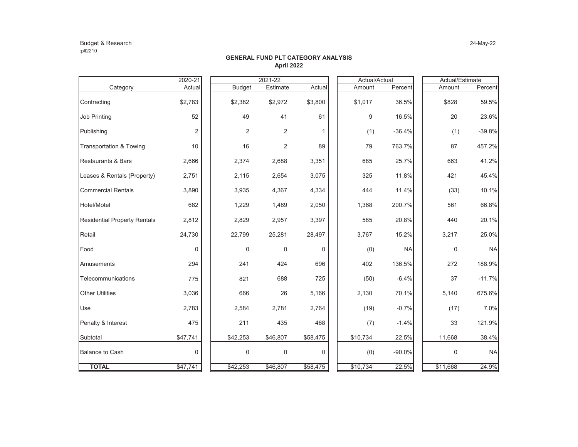### Budget & Research 24-May-22 :plt2210

|                                     | 2020-21     |                  | 2021-22  |          | Actual/Actual |          |           |  | Actual/Estimate |           |  |
|-------------------------------------|-------------|------------------|----------|----------|---------------|----------|-----------|--|-----------------|-----------|--|
| Category                            | Actual      | <b>Budget</b>    | Estimate | Actual   |               | Amount   | Percent   |  | Amount          | Percent   |  |
| Contracting                         | \$2,783     | \$2,382          | \$2,972  | \$3,800  |               | \$1,017  | 36.5%     |  | \$828           | 59.5%     |  |
| <b>Job Printing</b>                 | 52          | 49               | 41       | 61       |               | 9        | 16.5%     |  | 20              | 23.6%     |  |
| Publishing                          | 2           | 2                | 2        | 1        |               | (1)      | $-36.4%$  |  | (1)             | $-39.8%$  |  |
| <b>Transportation &amp; Towing</b>  | 10          | 16               | 2        | 89       |               | 79       | 763.7%    |  | 87              | 457.2%    |  |
| Restaurants & Bars                  | 2,666       | 2,374            | 2,688    | 3,351    |               | 685      | 25.7%     |  | 663             | 41.2%     |  |
| Leases & Rentals (Property)         | 2,751       | 2,115            | 2,654    | 3,075    |               | 325      | 11.8%     |  | 421             | 45.4%     |  |
| <b>Commercial Rentals</b>           | 3,890       | 3,935            | 4,367    | 4,334    |               | 444      | 11.4%     |  | (33)            | 10.1%     |  |
| Hotel/Motel                         | 682         | 1,229            | 1,489    | 2,050    |               | 1,368    | 200.7%    |  | 561             | 66.8%     |  |
| <b>Residential Property Rentals</b> | 2,812       | 2,829            | 2,957    | 3,397    |               | 585      | 20.8%     |  | 440             | 20.1%     |  |
| Retail                              | 24,730      | 22,799           | 25,281   | 28,497   |               | 3,767    | 15.2%     |  | 3,217           | 25.0%     |  |
| Food                                | 0           | $\boldsymbol{0}$ | 0        | $\Omega$ |               | (0)      | <b>NA</b> |  | 0               | <b>NA</b> |  |
| Amusements                          | 294         | 241              | 424      | 696      |               | 402      | 136.5%    |  | 272             | 188.9%    |  |
| Telecommunications                  | 775         | 821              | 688      | 725      |               | (50)     | $-6.4%$   |  | 37              | $-11.7%$  |  |
| <b>Other Utilities</b>              | 3,036       | 666              | 26       | 5,166    |               | 2,130    | 70.1%     |  | 5,140           | 675.6%    |  |
| Use                                 | 2,783       | 2,584            | 2,781    | 2,764    |               | (19)     | $-0.7%$   |  | (17)            | 7.0%      |  |
| Penalty & Interest                  | 475         | 211              | 435      | 468      |               | (7)      | $-1.4%$   |  | 33              | 121.9%    |  |
| Subtotal                            | \$47,741    | \$42,253         | \$46,807 | \$58,475 |               | \$10,734 | 22.5%     |  | 11,668          | 38.4%     |  |
| <b>Balance to Cash</b>              | $\mathbf 0$ | $\mathsf 0$      | 0        | 0        |               | (0)      | $-90.0%$  |  | $\mathbf 0$     | <b>NA</b> |  |
| <b>TOTAL</b>                        | \$47,741    | \$42,253         | \$46,807 | \$58,475 |               | \$10,734 | 22.5%     |  | \$11,668        | 24.9%     |  |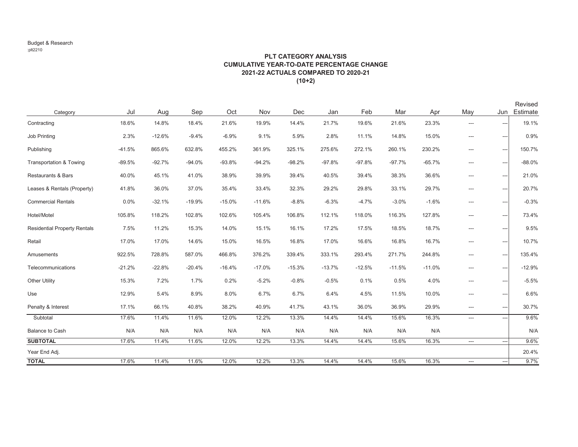# **PLT CATEGORY ANALYSIS CUMULATIVE YEAR-TO-DATE PERCENTAGE CHANGE2021-22 ACTUALS COMPARED TO 2020-21(10+2)**

| Category                            | Jul      | Aug      | Sep      | Oct      | Nov      | Dec      | Jan      | Feb      | Mar      | Apr      | May                           | Jun                      | Revised<br>Estimate |
|-------------------------------------|----------|----------|----------|----------|----------|----------|----------|----------|----------|----------|-------------------------------|--------------------------|---------------------|
| Contracting                         | 18.6%    | 14.8%    | 18.4%    | 21.6%    | 19.9%    | 14.4%    | 21.7%    | 19.6%    | 21.6%    | 23.3%    | ---                           | ---                      | 19.1%               |
| Job Printing                        | 2.3%     | $-12.6%$ | $-9.4%$  | $-6.9%$  | 9.1%     | 5.9%     | 2.8%     | 11.1%    | 14.8%    | 15.0%    | $\hspace{1.5cm} \textbf{---}$ | ---                      | 0.9%                |
| Publishing                          | $-41.5%$ | 865.6%   | 632.8%   | 455.2%   | 361.9%   | 325.1%   | 275.6%   | 272.1%   | 260.1%   | 230.2%   | $\qquad \qquad -\qquad$       | $---$                    | 150.7%              |
| Transportation & Towing             | $-89.5%$ | $-92.7%$ | $-94.0%$ | $-93.8%$ | $-94.2%$ | $-98.2%$ | $-97.8%$ | $-97.8%$ | $-97.7%$ | $-65.7%$ | $---$                         | ---                      | $-88.0%$            |
| <b>Restaurants &amp; Bars</b>       | 40.0%    | 45.1%    | 41.0%    | 38.9%    | 39.9%    | 39.4%    | 40.5%    | 39.4%    | 38.3%    | 36.6%    | $\hspace{0.05cm} \ldots$      | ---                      | 21.0%               |
| Leases & Rentals (Property)         | 41.8%    | 36.0%    | 37.0%    | 35.4%    | 33.4%    | 32.3%    | 29.2%    | 29.8%    | 33.1%    | 29.7%    | ---                           | ---                      | 20.7%               |
| <b>Commercial Rentals</b>           | 0.0%     | $-32.1%$ | $-19.9%$ | $-15.0%$ | $-11.6%$ | $-8.8%$  | $-6.3%$  | $-4.7%$  | $-3.0%$  | $-1.6%$  | $---$                         | ---                      | $-0.3%$             |
| Hotel/Motel                         | 105.8%   | 118.2%   | 102.8%   | 102.6%   | 105.4%   | 106.8%   | 112.1%   | 118.0%   | 116.3%   | 127.8%   | $---$                         | ---                      | 73.4%               |
| <b>Residential Property Rentals</b> | 7.5%     | 11.2%    | 15.3%    | 14.0%    | 15.1%    | 16.1%    | 17.2%    | 17.5%    | 18.5%    | 18.7%    | $\qquad \qquad -\qquad$       | ---                      | 9.5%                |
| Retail                              | 17.0%    | 17.0%    | 14.6%    | 15.0%    | 16.5%    | 16.8%    | 17.0%    | 16.6%    | 16.8%    | 16.7%    | ---                           | ---                      | 10.7%               |
| Amusements                          | 922.5%   | 728.8%   | 587.0%   | 466.8%   | 376.2%   | 339.4%   | 333.1%   | 293.4%   | 271.7%   | 244.8%   | $---$                         | $\overline{a}$           | 135.4%              |
| Telecommunications                  | $-21.2%$ | $-22.8%$ | $-20.4%$ | $-16.4%$ | $-17.0%$ | $-15.3%$ | $-13.7%$ | $-12.5%$ | $-11.5%$ | $-11.0%$ | ---                           | ---                      | $-12.9%$            |
| <b>Other Utility</b>                | 15.3%    | 7.2%     | 1.7%     | 0.2%     | $-5.2%$  | $-0.8%$  | $-0.5%$  | 0.1%     | 0.5%     | 4.0%     | ---                           | ---                      | $-5.5%$             |
| Use                                 | 12.9%    | 5.4%     | 8.9%     | 8.0%     | 6.7%     | 6.7%     | 6.4%     | 4.5%     | 11.5%    | 10.0%    | $\qquad \qquad -\qquad$       | ---                      | 6.6%                |
| Penalty & Interest                  | 17.1%    | 66.1%    | 40.8%    | 38.2%    | 40.9%    | 41.7%    | 43.1%    | 36.0%    | 36.9%    | 29.9%    | $\hspace{0.05cm} \ldots$      | ---                      | 30.7%               |
| Subtotal                            | 17.6%    | 11.4%    | 11.6%    | 12.0%    | 12.2%    | 13.3%    | 14.4%    | 14.4%    | 15.6%    | 16.3%    | $\hspace{0.05cm}---$          | ---                      | 9.6%                |
| <b>Balance to Cash</b>              | N/A      | N/A      | N/A      | N/A      | N/A      | N/A      | N/A      | N/A      | N/A      | N/A      |                               |                          | N/A                 |
| <b>SUBTOTAL</b>                     | 17.6%    | 11.4%    | 11.6%    | 12.0%    | 12.2%    | 13.3%    | 14.4%    | 14.4%    | 15.6%    | 16.3%    | $\hspace{0.05cm} \ldots$      | $\overline{\phantom{a}}$ | 9.6%                |
| Year End Adj.                       |          |          |          |          |          |          |          |          |          |          |                               |                          | 20.4%               |
| <b>TOTAL</b>                        | 17.6%    | 11.4%    | 11.6%    | 12.0%    | 12.2%    | 13.3%    | 14.4%    | 14.4%    | 15.6%    | 16.3%    | $\hspace{0.05cm}---$          | $\hspace{1.5cm} \ldots$  | 9.7%                |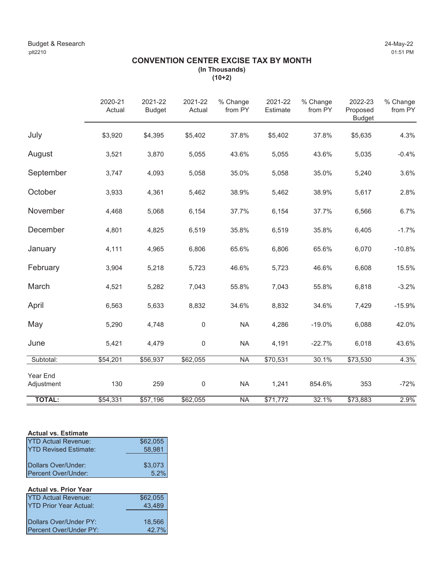# **CONVENTION CENTER EXCISE TAX BY MONTH (In Thousands)**

**(10+2)**

|                        | 2020-21<br>Actual | 2021-22<br><b>Budget</b> | 2021-22<br>Actual | % Change<br>from PY      | 2021-22<br>Estimate | % Change<br>from PY | 2022-23<br>Proposed<br><b>Budget</b> | % Change<br>from PY |
|------------------------|-------------------|--------------------------|-------------------|--------------------------|---------------------|---------------------|--------------------------------------|---------------------|
| July                   | \$3,920           | \$4,395                  | \$5,402           | 37.8%                    | \$5,402             | 37.8%               | \$5,635                              | 4.3%                |
| August                 | 3,521             | 3,870                    | 5,055             | 43.6%                    | 5,055               | 43.6%               | 5,035                                | $-0.4%$             |
| September              | 3,747             | 4,093                    | 5,058             | 35.0%                    | 5,058               | 35.0%               | 5,240                                | 3.6%                |
| October                | 3,933             | 4,361                    | 5,462             | 38.9%                    | 5,462               | 38.9%               | 5,617                                | 2.8%                |
| November               | 4,468             | 5,068                    | 6,154             | 37.7%                    | 6,154               | 37.7%               | 6,566                                | 6.7%                |
| December               | 4,801             | 4,825                    | 6,519             | 35.8%                    | 6,519               | 35.8%               | 6,405                                | $-1.7%$             |
| January                | 4,111             | 4,965                    | 6,806             | 65.6%                    | 6,806               | 65.6%               | 6,070                                | $-10.8%$            |
| February               | 3,904             | 5,218                    | 5,723             | 46.6%                    | 5,723               | 46.6%               | 6,608                                | 15.5%               |
| March                  | 4,521             | 5,282                    | 7,043             | 55.8%                    | 7,043               | 55.8%               | 6,818                                | $-3.2%$             |
| April                  | 6,563             | 5,633                    | 8,832             | 34.6%                    | 8,832               | 34.6%               | 7,429                                | $-15.9%$            |
| May                    | 5,290             | 4,748                    | $\pmb{0}$         | <b>NA</b>                | 4,286               | $-19.0%$            | 6,088                                | 42.0%               |
| June                   | 5,421             | 4,479                    | $\pmb{0}$         | <b>NA</b>                | 4,191               | $-22.7%$            | 6,018                                | 43.6%               |
| Subtotal:              | \$54,201          | \$56,937                 | \$62,055          | <b>NA</b>                | \$70,531            | 30.1%               | \$73,530                             | 4.3%                |
| Year End<br>Adjustment | 130               | 259                      | $\boldsymbol{0}$  | <b>NA</b>                | 1,241               | 854.6%              | 353                                  | $-72%$              |
| <b>TOTAL:</b>          | \$54,331          | \$57,196                 | \$62,055          | $\overline{\mathsf{NA}}$ | \$71,772            | 32.1%               | \$73,883                             | 2.9%                |

# **Actual vs. Estimate**

| <b>YTD Actual Revenue:</b>    | \$62,055 |
|-------------------------------|----------|
| <b>IYTD Revised Estimate:</b> | 58.981   |
|                               |          |
| Dollars Over/Under:           | \$3,073  |
| Percent Over/Under:           | 5.2%     |

| <b>Actual vs. Prior Year</b> |  |  |
|------------------------------|--|--|
|                              |  |  |

| <b>YTD Actual Revenue:</b>    | \$62,055 |
|-------------------------------|----------|
| <b>YTD Prior Year Actual:</b> | 43.489   |
|                               |          |
| Dollars Over/Under PY:        | 18.566   |
| Percent Over/Under PY:        | 42.7%    |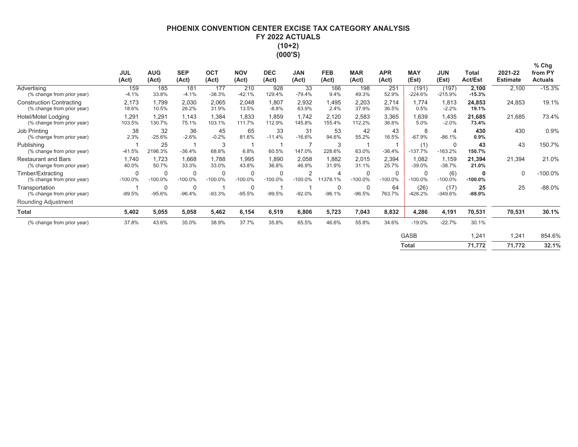# **PHOENIX CONVENTION CENTER EXCISE TAX CATEGORY ANALYSIS** FY 2022 ACTUALS  $(10+2)$ (000'S)

|                                                               | <b>JUL</b><br>(Act) | <b>AUG</b><br>(Act) | <b>SEP</b><br>(Act)      | <b>OCT</b><br>(Act)      | <b>NOV</b><br>(Act)      | <b>DEC</b><br>(Act) | <b>JAN</b><br>(Act)         | <b>FEB</b><br>(Act)     | <b>MAR</b><br>(Act)      | <b>APR</b><br>(Act) | <b>MAY</b><br>(Est)      | <b>JUN</b><br>(Est)        | Total<br><b>Act/Est</b> | 2021-22<br><b>Estimate</b> | $%$ Chg<br>from PY<br><b>Actuals</b> |
|---------------------------------------------------------------|---------------------|---------------------|--------------------------|--------------------------|--------------------------|---------------------|-----------------------------|-------------------------|--------------------------|---------------------|--------------------------|----------------------------|-------------------------|----------------------------|--------------------------------------|
| Advertising<br>(% change from prior year)                     | 159<br>$-4.1%$      | 185<br>33.8%        | 181<br>$-4.1%$           | 177<br>$-38.3%$          | 210<br>$-42.1%$          | 928<br>129.4%       | 33<br>$-79.4%$              | 166<br>9.4%             | 198<br>49.3%             | 251<br>52.9%        | (191)<br>$-224.6%$       | (197)<br>$-215.9%$         | 2,100<br>$-15.3%$       | 2,100                      | $-15.3%$                             |
| <b>Construction Contracting</b><br>(% change from prior year) | 2,173<br>18.6%      | 1,799<br>10.5%      | 2,030<br>26.2%           | 2,065<br>31.9%           | 2,048<br>13.5%           | 1,807<br>$-8.8%$    | 2,932<br>63.9%              | 1,495<br>2.4%           | 2,203<br>37.9%           | 2,714<br>36.5%      | 1,774<br>0.5%            | 1,813<br>$-2.2%$           | 24,853<br>19.1%         | 24,853                     | 19.1%                                |
| Hotel/Motel Lodging<br>(% change from prior year)             | 1,291<br>103.5%     | 1,291<br>130.7%     | 1,143<br>75.1%           | 1,384<br>103.1%          | 1,833<br>111.7%          | 1,859<br>112.9%     | 1,742<br>145.8%             | 2,120<br>155.4%         | 2,583<br>112.2%          | 3,365<br>36.8%      | 1,639<br>5.0%            | 1,435<br>$-2.0%$           | 21,685<br>73.4%         | 21,685                     | 73.4%                                |
| <b>Job Printing</b><br>(% change from prior year)             | 38<br>2.3%          | 32<br>$-25.6%$      | 36<br>$-2.6%$            | 45<br>$-0.2%$            | 65<br>81.6%              | 33<br>$-11.4%$      | 31<br>$-16.6%$              | 53<br>94.6%             | 42<br>55.2%              | 43<br>16.5%         | 8<br>$-67.9%$            | $\overline{4}$<br>$-86.1%$ | 430<br>$0.9\%$          | 430                        | 0.9%                                 |
| Publishing<br>(% change from prior year)                      | $-41.5%$            | 25<br>2196.3%       | $-36.4%$                 | 3<br>68.8%               | 6.8%                     | 60.5%               | 147.0%                      | 3<br>228.6%             | 63.0%                    | 1<br>$-36.4%$       | (1)<br>$-137.7%$         | $\mathbf 0$<br>$-163.2%$   | 43<br>150.7%            | 43                         | 150.7%                               |
| <b>Restaurant and Bars</b><br>(% change from prior year)      | 1,740<br>40.0%      | 1,723<br>50.7%      | 1,668<br>33.3%           | 1,788<br>33.0%           | 1,995<br>43.8%           | 1,890<br>36.8%      | 2,058<br>46.9%              | 1,882<br>31.9%          | 2,015<br>31.1%           | 2,394<br>25.7%      | 1,082<br>$-39.0%$        | 1,159<br>$-38.7%$          | 21,394<br>21.0%         | 21,394                     | 21.0%                                |
| Timber/Extracting<br>(% change from prior year)               | 0<br>$-100.0\%$     | 0<br>$-100.0\%$     | $\mathbf 0$<br>$-100.0%$ | $\mathbf 0$<br>$-100.0%$ | $\mathbf 0$<br>$-100.0%$ | 0<br>$-100.0%$      | $\overline{2}$<br>$-100.0%$ | 4<br>11378.1%           | $\mathbf 0$<br>$-100.0%$ | 0<br>$-100.0%$      | $\mathbf 0$<br>$-100.0%$ | (6)<br>$-100.0%$           | 0<br>$-100.0%$          | $\mathbf 0$                | $-100.0%$                            |
| Transportation<br>(% change from prior year)                  | $-89.5%$            | 0<br>$-95.6%$       | $\mathbf 0$<br>$-96.4%$  | $-93.3%$                 | $\mathbf 0$<br>$-95.5%$  | $-99.5%$            | $-92.0%$                    | $\mathbf 0$<br>$-96.1%$ | 0<br>$-96.5%$            | 64<br>763.7%        | (26)<br>$-428.2%$        | (17)<br>$-349.6%$          | 25<br>$-88.0%$          | 25                         | $-88.0%$                             |
| Rounding Adjustment                                           |                     |                     |                          |                          |                          |                     |                             |                         |                          |                     |                          |                            |                         |                            |                                      |
| <b>Total</b>                                                  | 5,402               | 5,055               | 5,058                    | 5,462                    | 6,154                    | 6,519               | 6,806                       | 5,723                   | 7,043                    | 8,832               | 4,286                    | 4,191                      | 70,531                  | 70,531                     | 30.1%                                |
| (% change from prior year)                                    | 37.8%               | 43.6%               | 35.0%                    | 38.9%                    | 37.7%                    | 35.8%               | 65.5%                       | 46.6%                   | 55.8%                    | 34.6%               | $-19.0%$                 | $-22.7%$                   | 30.1%                   |                            |                                      |
|                                                               |                     |                     |                          |                          |                          |                     |                             |                         |                          |                     | <b>GASB</b>              |                            | 1,241                   | 1,241                      | 854.6%                               |
|                                                               |                     |                     |                          |                          |                          |                     |                             |                         |                          |                     | <b>Total</b>             |                            | 71,772                  | 71,772                     | 32.1%                                |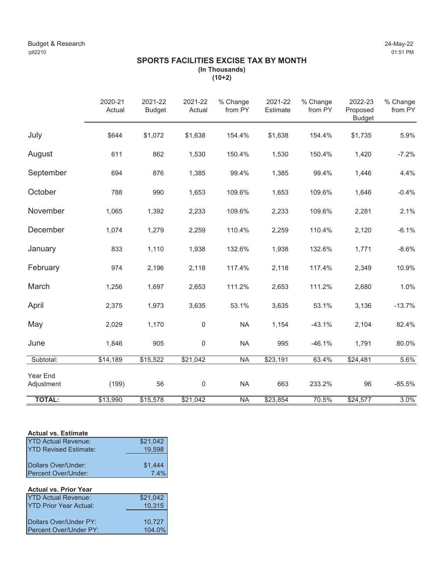# **SPORTS FACILITIES EXCISE TAX BY MONTH (In Thousands)**

**(10+2)**

|                        | 2020-21<br>Actual | 2021-22<br><b>Budget</b> | 2021-22<br>Actual | % Change<br>from PY      | 2021-22<br>Estimate | % Change<br>from PY | 2022-23<br>Proposed<br><b>Budget</b> | % Change<br>from PY |
|------------------------|-------------------|--------------------------|-------------------|--------------------------|---------------------|---------------------|--------------------------------------|---------------------|
| July                   | \$644             | \$1,072                  | \$1,638           | 154.4%                   | \$1,638             | 154.4%              | \$1,735                              | 5.9%                |
| August                 | 611               | 862                      | 1,530             | 150.4%                   | 1,530               | 150.4%              | 1,420                                | $-7.2%$             |
| September              | 694               | 876                      | 1,385             | 99.4%                    | 1,385               | 99.4%               | 1,446                                | 4.4%                |
| October                | 788               | 990                      | 1,653             | 109.6%                   | 1,653               | 109.6%              | 1,646                                | $-0.4%$             |
| November               | 1,065             | 1,392                    | 2,233             | 109.6%                   | 2,233               | 109.6%              | 2,281                                | 2.1%                |
| December               | 1,074             | 1,279                    | 2,259             | 110.4%                   | 2,259               | 110.4%              | 2,120                                | $-6.1%$             |
| January                | 833               | 1,110                    | 1,938             | 132.6%                   | 1,938               | 132.6%              | 1,771                                | $-8.6%$             |
| February               | 974               | 2,196                    | 2,118             | 117.4%                   | 2,118               | 117.4%              | 2,349                                | 10.9%               |
| March                  | 1,256             | 1,697                    | 2,653             | 111.2%                   | 2,653               | 111.2%              | 2,680                                | 1.0%                |
| April                  | 2,375             | 1,973                    | 3,635             | 53.1%                    | 3,635               | 53.1%               | 3,136                                | $-13.7%$            |
| May                    | 2,029             | 1,170                    | $\mathbf 0$       | <b>NA</b>                | 1,154               | $-43.1%$            | 2,104                                | 82.4%               |
| June                   | 1,846             | 905                      | $\pmb{0}$         | <b>NA</b>                | 995                 | $-46.1%$            | 1,791                                | 80.0%               |
| Subtotal:              | \$14,189          | \$15,522                 | \$21,042          | <b>NA</b>                | \$23,191            | 63.4%               | \$24,481                             | 5.6%                |
| Year End<br>Adjustment | (199)             | 56                       | $\boldsymbol{0}$  | <b>NA</b>                | 663                 | 233.2%              | 96                                   | $-85.5%$            |
| <b>TOTAL:</b>          | \$13,990          | \$15,578                 | \$21,042          | $\overline{\mathsf{NA}}$ | \$23,854            | 70.5%               | \$24,577                             | 3.0%                |

# **Actual vs. Estimate**

| <b>YTD Actual Revenue:</b>    | \$21,042 |
|-------------------------------|----------|
| <b>IYTD Revised Estimate:</b> | 19.598   |
|                               |          |
| Dollars Over/Under:           | \$1,444  |
| Percent Over/Under:           | 7.4%     |

# **Actual vs. Prior Year**

| <b>YTD Actual Revenue:</b>    | \$21.042 |
|-------------------------------|----------|
| <b>YTD Prior Year Actual:</b> | 10.315   |
|                               |          |
| Dollars Over/Under PY:        | 10.727   |
| Percent Over/Under PY:        | 104.0%   |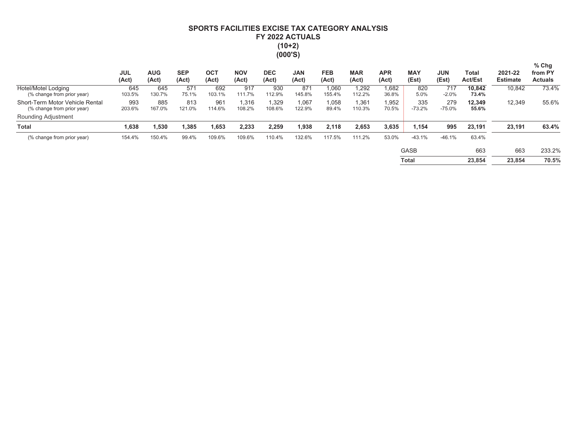# SPORTS FACILITIES EXCISE TAX CATEGORY ANALYSIS FY 2022 ACTUALS  $(10+2)$  $(000'S)$

|                                                               | <b>JUL</b><br>(Act) | <b>AUG</b><br>(Act) | <b>SEP</b><br>(Act) | <b>OCT</b><br>(Act) | <b>NOV</b><br>(Act) | <b>DEC</b><br>(Act) | <b>JAN</b><br>(Act) | <b>FEB</b><br>(Act) | <b>MAR</b><br>(Act) | <b>APR</b><br>(Act) | <b>MAY</b><br>(Est) | <b>JUN</b><br>(Est) | Total<br><b>Act/Est</b> | 2021-22<br><b>Estimate</b> | $%$ Chg<br>from PY<br><b>Actuals</b> |
|---------------------------------------------------------------|---------------------|---------------------|---------------------|---------------------|---------------------|---------------------|---------------------|---------------------|---------------------|---------------------|---------------------|---------------------|-------------------------|----------------------------|--------------------------------------|
| Hotel/Motel Lodging<br>(% change from prior year)             | 645<br>103.5%       | 645<br>130.7%       | 571<br>75.1%        | 692<br>103.1%       | 917<br>111.7%       | 930<br>112.9%       | 871<br>145.8%       | 1,060<br>155.4%     | 1,292<br>112.2%     | 1,682<br>36.8%      | 820<br>5.0%         | 717<br>$-2.0%$      | 10,842<br>73.4%         | 10,842                     | 73.4%                                |
| Short-Term Motor Vehicle Rental<br>(% change from prior year) | 993<br>203.6%       | 885<br>167.0%       | 813<br>121.0%       | 961<br>114.6%       | 1.316<br>108.2%     | 1.329<br>108.6%     | 1,067<br>122.9%     | 1,058<br>89.4%      | 1,361<br>110.3%     | 1,952<br>70.5%      | 335<br>$-73.2%$     | 279<br>$-75.0%$     | 12,349<br>55.6%         | 12,349                     | 55.6%                                |
| Rounding Adjustment                                           |                     |                     |                     |                     |                     |                     |                     |                     |                     |                     |                     |                     |                         |                            |                                      |
| <b>Total</b>                                                  | 1,638               | 1,530               | 1,385               | 1,653               | 2,233               | 2.259               | 1.938               | 2.118               | 2,653               | 3,635               | 1,154               | 995                 | 23,191                  | 23,191                     | 63.4%                                |
| (% change from prior year)                                    | 154.4%              | 150.4%              | 99.4%               | 109.6%              | 109.6%              | 110.4%              | 132.6%              | 117.5%              | 111.2%              | 53.0%               | $-43.1%$            | $-46.1%$            | 63.4%                   |                            |                                      |
|                                                               |                     |                     |                     |                     |                     |                     |                     |                     |                     |                     | <b>GASB</b>         |                     | 663                     | 663                        | 233.2%                               |
|                                                               |                     |                     |                     |                     |                     |                     |                     |                     |                     |                     | Total               |                     | 23,854                  | 23.854                     | 70.5%                                |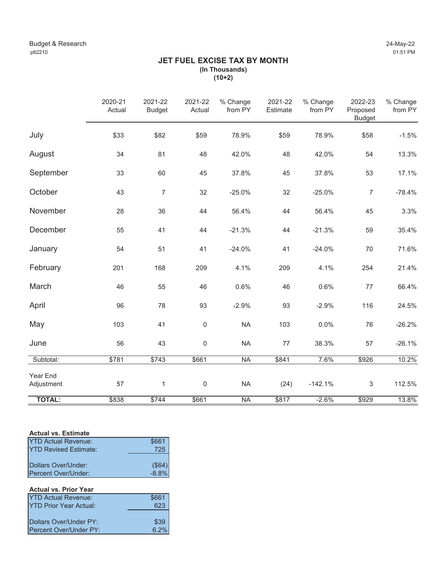# **JET FUEL EXCISE TAX BY MONTH (In Thousands) (10+2)**

|                        | 2020-21<br>Actual | 2021-22<br><b>Budget</b> | 2021-22<br>Actual | % Change<br>from PY | 2021-22<br>Estimate | % Change<br>from PY | 2022-23<br>Proposed<br><b>Budget</b> | % Change<br>from PY |
|------------------------|-------------------|--------------------------|-------------------|---------------------|---------------------|---------------------|--------------------------------------|---------------------|
| July                   | \$33              | \$82                     | \$59              | 78.9%               | \$59                | 78.9%               | \$58                                 | $-1.5%$             |
| August                 | 34                | 81                       | 48                | 42.0%               | 48                  | 42.0%               | 54                                   | 13.3%               |
| September              | 33                | 60                       | 45                | 37.8%               | 45                  | 37.8%               | 53                                   | 17.1%               |
| October                | 43                | $\overline{7}$           | 32                | $-25.0%$            | 32                  | $-25.0%$            | $\overline{7}$                       | $-78.4%$            |
| November               | 28                | 36                       | 44                | 56.4%               | 44                  | 56.4%               | 45                                   | 3.3%                |
| December               | 55                | 41                       | 44                | $-21.3%$            | 44                  | $-21.3%$            | 59                                   | 35.4%               |
| January                | 54                | 51                       | 41                | $-24.0%$            | 41                  | $-24.0%$            | 70                                   | 71.6%               |
| February               | 201               | 168                      | 209               | 4.1%                | 209                 | 4.1%                | 254                                  | 21.4%               |
| March                  | 46                | 55                       | 46                | 0.6%                | 46                  | 0.6%                | 77                                   | 66.4%               |
| April                  | 96                | 78                       | 93                | $-2.9%$             | 93                  | $-2.9%$             | 116                                  | 24.5%               |
| May                    | 103               | 41                       | $\boldsymbol{0}$  | <b>NA</b>           | 103                 | 0.0%                | 76                                   | $-26.2%$            |
| June                   | 56                | 43                       | $\boldsymbol{0}$  | <b>NA</b>           | $77 \,$             | 38.3%               | 57                                   | $-26.1%$            |
| Subtotal:              | \$781             | \$743                    | \$661             | <b>NA</b>           | \$841               | 7.6%                | \$926                                | 10.2%               |
| Year End<br>Adjustment | 57                | $\mathbf{1}$             | $\mathsf 0$       | <b>NA</b>           | (24)                | $-142.1%$           | $\mathfrak{S}$                       | 112.5%              |
| <b>TOTAL:</b>          | \$838             | \$744                    | \$661             | <b>NA</b>           | \$817               | $-2.6%$             | \$929                                | 13.8%               |

# **Actual vs. Estimate**

| <b>YTD Actual Revenue:</b>    | \$661    |
|-------------------------------|----------|
| <b>IYTD Revised Fstimate:</b> | 725      |
|                               |          |
| Dollars Over/Under:           | (\$64)   |
| Percent Over/Under:           | $-8.8\%$ |

# **Actual vs. Prior Year**

| <b>YTD Actual Revenue:</b>    | \$661 |
|-------------------------------|-------|
| <b>YTD Prior Year Actual:</b> | 623   |
|                               |       |
| Dollars Over/Under PY:        | \$39  |
| Percent Over/Under PY:        | 6.2%  |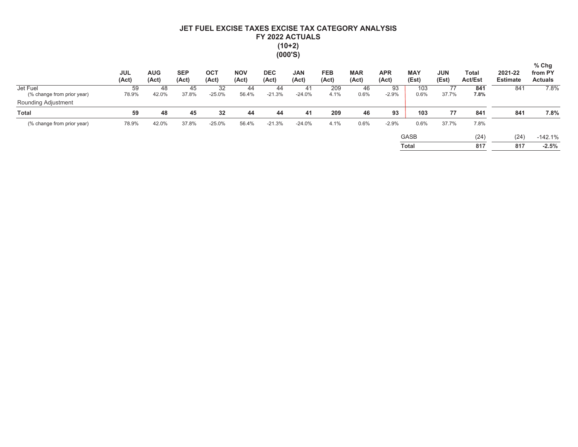# JET FUEL EXCISE TAXES EXCISE TAX CATEGORY ANALYSIS FY 2022 ACTUALS  $(10+2)$  $(000'S)$

|                                        | <b>JUL</b><br>(Act) | <b>AUG</b><br>(Act) | <b>SEP</b><br>(Act) | OC <sub>7</sub><br>(Act) | <b>NOV</b><br>(Act) | <b>DEC</b><br>(Act) | <b>JAN</b><br>(Act) | <b>FEB</b><br>(Act) | <b>MAR</b><br>(Act) | <b>APR</b><br>(Act) | <b>MAY</b><br>(Est) | <b>JUN</b><br>(Est) | Total<br><b>Act/Est</b> | 2021-22<br><b>Estimate</b> | $%$ Chg<br>from PY<br><b>Actuals</b> |
|----------------------------------------|---------------------|---------------------|---------------------|--------------------------|---------------------|---------------------|---------------------|---------------------|---------------------|---------------------|---------------------|---------------------|-------------------------|----------------------------|--------------------------------------|
| Jet Fuel<br>(% change from prior year) | 59<br>78.9%         | 48<br>42.0%         | 45<br>37.8%         | 32<br>$-25.0%$           | 44<br>56.4%         | 44<br>$-21.3%$      | 41<br>$-24.0%$      | 209<br>4.1%         | 46<br>0.6%          | 93<br>$-2.9%$       | 103<br>0.6%         | 77<br>37.7%         | 841<br>7.8%             | 841                        | 7.8%                                 |
| Rounding Adjustment                    |                     |                     |                     |                          |                     |                     |                     |                     |                     |                     |                     |                     |                         |                            |                                      |
| <b>Total</b>                           | 59                  | 48                  | 45                  | 32                       | 44                  | 44                  | 41                  | 209                 | 46                  | 93                  | 103                 | 77                  | 841                     | 841                        | 7.8%                                 |
| (% change from prior year)             | 78.9%               | 42.0%               | 37.8%               | $-25.0%$                 | 56.4%               | $-21.3%$            | $-24.0%$            | 4.1%                | 0.6%                | $-2.9%$             | 0.6%                | 37.7%               | 7.8%                    |                            |                                      |
|                                        |                     |                     |                     |                          |                     |                     |                     |                     |                     |                     | <b>GASB</b>         |                     | (24)                    | (24)                       | $-142.1%$                            |
|                                        |                     |                     |                     |                          |                     |                     |                     |                     |                     |                     | Total               |                     | 817                     | 817                        | $-2.5%$                              |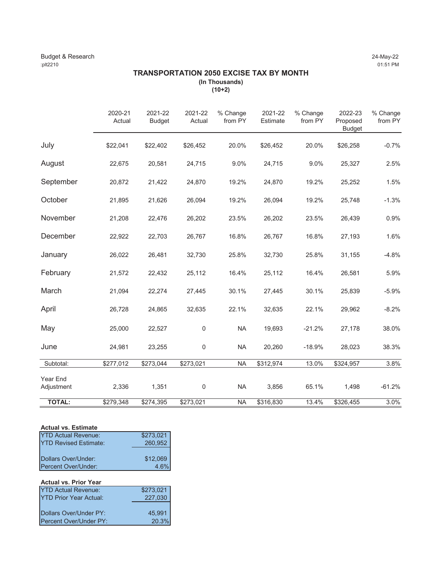# **TRANSPORTATION 2050 EXCISE TAX BY MONTH (In Thousands)**

**(10+2)**

|               | 2020-21<br>Actual | 2021-22<br><b>Budget</b> | 2021-22<br>Actual | % Change<br>from PY | 2021-22<br>Estimate | % Change<br>from PY | 2022-23<br>Proposed<br><b>Budget</b> | % Change<br>from PY |
|---------------|-------------------|--------------------------|-------------------|---------------------|---------------------|---------------------|--------------------------------------|---------------------|
| July          | \$22,041          | \$22,402                 | \$26,452          | 20.0%               | \$26,452            | 20.0%               | \$26,258                             | $-0.7%$             |
| August        | 22,675            | 20,581                   | 24,715            | 9.0%                | 24,715              | 9.0%                | 25,327                               | 2.5%                |
| September     | 20,872            | 21,422                   | 24,870            | 19.2%               | 24,870              | 19.2%               | 25,252                               | 1.5%                |
| October       | 21,895            | 21,626                   | 26,094            | 19.2%               | 26,094              | 19.2%               | 25,748                               | $-1.3%$             |
| November      | 21,208            | 22,476                   | 26,202            | 23.5%               | 26,202              | 23.5%               | 26,439                               | 0.9%                |
| December      | 22,922            | 22,703                   | 26,767            | 16.8%               | 26,767              | 16.8%               | 27,193                               | 1.6%                |
| January       | 26,022            | 26,481                   | 32,730            | 25.8%               | 32,730              | 25.8%               | 31,155                               | $-4.8%$             |
| February      | 21,572            | 22,432                   | 25,112            | 16.4%               | 25,112              | 16.4%               | 26,581                               | 5.9%                |
| March         | 21,094            | 22,274                   | 27,445            | 30.1%               | 27,445              | 30.1%               | 25,839                               | $-5.9%$             |
| April         | 26,728            | 24,865                   | 32,635            | 22.1%               | 32,635              | 22.1%               | 29,962                               | $-8.2%$             |
| May           | 25,000            | 22,527                   | 0                 | <b>NA</b>           | 19,693              | $-21.2%$            | 27,178                               | 38.0%               |
| June          | 24,981            | 23,255                   | 0                 | <b>NA</b>           | 20,260              | $-18.9%$            | 28,023                               | 38.3%               |
| Subtotal:     | \$277,012         | \$273,044                | \$273,021         | <b>NA</b>           | \$312,974           | 13.0%               | \$324,957                            | 3.8%                |
| Year End      |                   |                          |                   |                     |                     |                     |                                      |                     |
| Adjustment    | 2,336             | 1,351                    | 0                 | <b>NA</b>           | 3,856               | 65.1%               | 1,498                                | $-61.2%$            |
| <b>TOTAL:</b> | \$279,348         | \$274,395                | \$273,021         | <b>NA</b>           | \$316,830           | 13.4%               | \$326,455                            | 3.0%                |

| <b>Actual vs. Estimate</b>    |                      |
|-------------------------------|----------------------|
| <b>YTD Actual Revenue:</b>    | \$273,021<br>260,952 |
| <b>IYTD Revised Estimate:</b> |                      |
|                               |                      |
| IDollars Over/Under:          | $$12,069$<br>4.6%    |
| Percent Over/Under:           |                      |
|                               |                      |
| <b>Actual vs. Prior Year</b>  |                      |
| <b>YTD Actual Revenue:</b>    | \$273,021            |

| <b>YTD Prior Year Actual:</b> | 227,030         |
|-------------------------------|-----------------|
|                               |                 |
| Dollars Over/Under PY:        | 45,991<br>20.3% |
| Percent Over/Under PY:        |                 |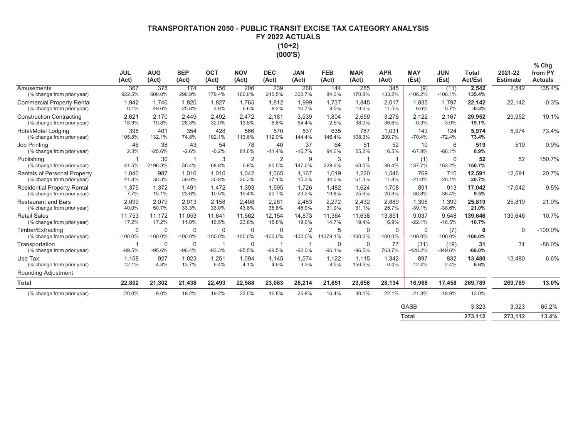# **7FRANSPORTATION 2050 - PUBLIC TRANSIT EXCISE TAX CATEGORY ANALYSIS** FY 2022 ACTUALS  $(10+2)$ (000'S)

|                                                                  | <b>JUL</b><br>(Act)      | <b>AUG</b><br>(Act)      | <b>SEP</b><br>(Act)      | <b>OCT</b><br>(Act)      | <b>NOV</b><br>(Act)      | <b>DEC</b><br>(Act) | <b>JAN</b><br>(Act)         | <b>FEB</b><br>(Act) | <b>MAR</b><br>(Act)     | <b>APR</b><br>(Act)      | <b>MAY</b><br>(Est) | <b>JUN</b><br>(Est)   | <b>Total</b><br><b>Act/Est</b> | 2021-22<br><b>Estimate</b> | $%$ Chg<br>from PY<br><b>Actuals</b> |
|------------------------------------------------------------------|--------------------------|--------------------------|--------------------------|--------------------------|--------------------------|---------------------|-----------------------------|---------------------|-------------------------|--------------------------|---------------------|-----------------------|--------------------------------|----------------------------|--------------------------------------|
| Amusements<br>(% change from prior year)                         | 367<br>922.5%            | 378<br>600.0%            | 174<br>296.9%            | 156<br>179.4%            | 206<br>160.0%            | 239<br>210.5%       | 268<br>300.7%               | 144<br>84.0%        | 285<br>170.8%           | 345<br>133.2%            | (9)<br>$-106.2%$    | (11)<br>$-106.1%$     | 2,542<br>135.4%                | 2,542                      | 135.4%                               |
| <b>Commercial Property Rental</b><br>(% change from prior year)  | 1,942<br>0.1%            | 1,746<br>$-49.6%$        | 1,820<br>25.8%           | 1,827<br>3.9%            | 1.765<br>6.6%            | 1,812<br>8.2%       | 1,999<br>10.7%              | 1,737<br>8.5%       | 1.845<br>13.0%          | 2,017<br>11.5%           | 1,835<br>6.6%       | 1,797<br>5.7%         | 22,142<br>$-0.3%$              | 22,142                     | $-0.3%$                              |
| <b>Construction Contracting</b><br>(% change from prior year)    | 2,621<br>18.9%           | 2,170<br>10.8%           | 2,449<br>26.3%           | 2,492<br>32.0%           | 2,472<br>13.8%           | 2,181<br>$-8.8%$    | 3,539<br>64.4%              | 1,804<br>2.5%       | 2,659<br>38.0%          | 3,276<br>36.6%           | 2,122<br>$-0.3%$    | 2,167<br>$-3.0%$      | 29,952<br>19.1%                | 29,952                     | 19.1%                                |
| Hotel/Motel Lodging<br>(% change from prior year)                | 398<br>105.8%            | 401<br>132.1%            | 354<br>74.8%             | 428<br>102.1%            | 566<br>113.6%            | 570<br>112.0%       | 537<br>144.4%               | 635<br>146.4%       | 787<br>108.3%           | 1,031<br>200.7%          | 143<br>$-70.4%$     | 124<br>$-72.4%$       | 5,974<br>73.4%                 | 5,974                      | 73.4%                                |
| Job Printing<br>(% change from prior year)                       | 46<br>2.3%               | 38<br>$-25.6%$           | 43<br>$-2.6%$            | 54<br>$-0.2%$            | 78<br>81.6%              | 40<br>$-11.4%$      | 37<br>$-16.7%$              | 64<br>94.6%         | 51<br>55.2%             | 52<br>16.5%              | 10<br>$-67.9%$      | 6<br>$-86.1%$         | 519<br>0.9%                    | 519                        | 0.9%                                 |
| Publishing<br>(% change from prior year)                         | $-41.5%$                 | 30<br>2196.3%            | -1<br>$-36.4%$           | 3<br>68.8%               | 2<br>6.8%                | 2<br>60.5%          | 9<br>147.0%                 | 3<br>228.6%         | 63.0%                   | $-36.4%$                 | (1)<br>$-137.7%$    | $\Omega$<br>$-163.2%$ | 52<br>150.7%                   | 52                         | 150.7%                               |
| Rentals of Personal Property<br>(% change from prior year)       | 1.040<br>41.8%           | 987<br>30.3%             | 1.016<br>39.0%           | 1.010<br>30.8%           | 1.042<br>26.3%           | 1,065<br>27.1%      | 1.167<br>15.3%              | 1.019<br>34.0%      | 1.220<br>61.3%          | 1,546<br>11.8%           | 769<br>$-21.0%$     | 710<br>$-20.1%$       | 12,591<br>20.7%                | 12,591                     | 20.7%                                |
| <b>Residential Property Rental</b><br>(% change from prior year) | 1,375<br>7.7%            | 1,372<br>15.1%           | 1.491<br>23.6%           | 1.472<br>10.5%           | 1.393<br>19.4%           | 1,595<br>20.7%      | 1.726<br>23.2%              | 1.482<br>19.8%      | 1.624<br>25.9%          | 1.708<br>20.8%           | 891<br>$-30.8%$     | 913<br>$-36.4%$       | 17,042<br>9.5%                 | 17,042                     | 9.5%                                 |
| <b>Restaurant and Bars</b><br>(% change from prior year)         | 2,099<br>40.0%           | 2.079<br>50.7%           | 2.013<br>33.3%           | 2,158<br>33.0%           | 2.408<br>43.8%           | 2.281<br>36.8%      | 2.483<br>46.9%              | 2.272<br>31.9%      | 2,432<br>31.1%          | 2,889<br>25.7%           | 1,306<br>$-39.1%$   | 1,399<br>$-38.6%$     | 25,819<br>21.0%                | 25,819                     | 21.0%                                |
| <b>Retail Sales</b><br>(% change from prior year)                | 11,753<br>17.2%          | 11,172<br>17.2%          | 11,053<br>11.0%          | 11.641<br>16.5%          | 11,562<br>23.8%          | 12,154<br>18.8%     | 14,873<br>19.0%             | 11,364<br>14.7%     | 11,638<br>19.4%         | 13,851<br>16.9%          | 9,037<br>$-22.1%$   | 9,548<br>$-16.5%$     | 139,646<br>10.7%               | 139,646                    | 10.7%                                |
| Timber/Extracting<br>(% change from prior year)                  | $\mathbf 0$<br>$-100.0%$ | $\mathbf 0$<br>$-100.0%$ | $\mathbf 0$<br>$-100.0%$ | $\mathbf 0$<br>$-100.0%$ | $\mathbf 0$<br>$-100.0%$ | 0<br>$-100.0%$      | $\overline{2}$<br>$-100.0%$ | 5<br>11378.1%       | 0<br>$-100.0\%$         | $\mathbf 0$<br>$-100.0%$ | 0<br>$-100.0%$      | (7)<br>$-100.0%$      | $\Omega$<br>$-100.0%$          | $\Omega$                   | $-100.0%$                            |
| Transportation<br>(% change from prior year)                     | -1<br>$-89.5%$           | 0<br>$-95.6%$            | $\mathbf 0$<br>$-96.4%$  | -1<br>$-93.3%$           | $\mathbf 0$<br>$-95.5%$  | 1<br>$-99.5%$       | -1<br>$-92.0%$              | 0<br>$-96.1%$       | $\mathbf 0$<br>$-96.5%$ | 77<br>763.7%             | (31)<br>$-428.2%$   | (19)<br>$-349.6%$     | 31<br>$-88.0%$                 | 31                         | $-88.0%$                             |
| Use Tax<br>(% change from prior year)                            | 1,158<br>12.1%           | 927<br>$-4.8%$           | 1,023<br>13.7%           | 1,251<br>6.4%            | 1,094<br>4.1%            | 1,145<br>4.6%       | 1,574<br>3.3%               | 1,122<br>$-8.5%$    | 1,115<br>150.5%         | 1,342<br>$-0.4%$         | 897<br>$-12.4%$     | 832<br>$-2.4%$        | 13,480<br>6.6%                 | 13,480                     | 6.6%                                 |
| <b>Rounding Adjustment</b>                                       |                          |                          |                          |                          |                          |                     |                             |                     |                         |                          |                     |                       |                                |                            |                                      |
| <b>Total</b>                                                     | 22,802                   | 21,302                   | 21,438                   | 22,493                   | 22,588                   | 23,083              | 28,214                      | 21,651              | 23,658                  | 28,134                   | 16,968              | 17,458                | 269,789                        | 269,789                    | 13.0%                                |
| (% change from prior year)                                       | 20.0%                    | 9.0%                     | 19.2%                    | 19.2%                    | 23.5%                    | 16.8%               | 25.8%                       | 16.4%               | 30.1%                   | 22.1%                    | $-21.3%$            | $-18.9%$              | 13.0%                          |                            |                                      |
|                                                                  |                          |                          |                          |                          |                          |                     |                             |                     |                         |                          | <b>GASB</b>         |                       | 3,323                          | 3,323                      | 65.2%                                |
|                                                                  |                          |                          |                          |                          |                          |                     |                             |                     |                         |                          | <b>Total</b>        |                       | 273.112                        | 273.112                    | 13.4%                                |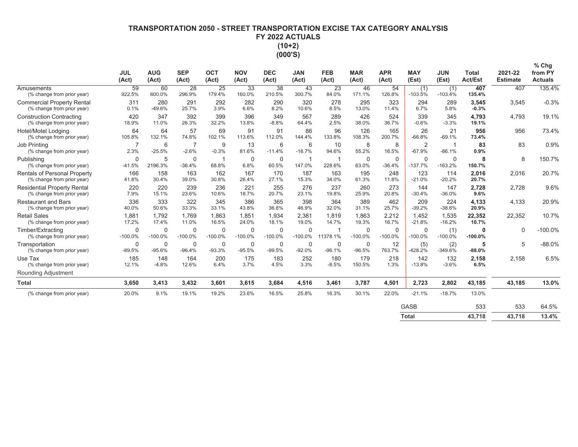# **7FRANSPORTATION 2050 - STREET TRANSPORTATION EXCISE TAX CATEGORY ANALYSIS** FY 2022 ACTUALS  $(10+2)$ (000'S)

|                                                                  | <b>JUL</b><br>(Act)         | <b>AUG</b><br>(Act)      | <b>SEP</b><br>(Act)      | <b>OCT</b><br>(Act)      | <b>NOV</b><br>(Act)   | <b>DEC</b><br>(Act)      | <b>JAN</b><br>(Act)     | <b>FEB</b><br>(Act)     | <b>MAR</b><br>(Act)      | <b>APR</b><br>(Act)      | <b>MAY</b><br>(Est)        | <b>JUN</b><br>(Est) | <b>Total</b><br>Act/Est | 2021-22<br><b>Estimate</b> | $%$ Chg<br>from PY<br><b>Actuals</b> |
|------------------------------------------------------------------|-----------------------------|--------------------------|--------------------------|--------------------------|-----------------------|--------------------------|-------------------------|-------------------------|--------------------------|--------------------------|----------------------------|---------------------|-------------------------|----------------------------|--------------------------------------|
| Amusements<br>(% change from prior year)                         | 59<br>922.5%                | 60<br>600.0%             | 28<br>296.9%             | 25<br>179.4%             | 33<br>160.0%          | 38<br>210.5%             | 43<br>300.7%            | 23<br>84.0%             | 46<br>171.1%             | 54<br>126.8%             | (1)<br>$-103.5%$           | (1)<br>$-103.4%$    | 407<br>135.4%           | 407                        | 135.4%                               |
| <b>Commercial Property Rental</b><br>(% change from prior year)  | 311<br>0.1%                 | 280<br>$-49.6%$          | 291<br>25.7%             | 292<br>3.9%              | 282<br>6.6%           | 290<br>8.2%              | 320<br>10.6%            | 278<br>8.5%             | 295<br>13.0%             | 323<br>11.4%             | 294<br>6.7%                | 289<br>5.8%         | 3,545<br>$-0.3%$        | 3,545                      | $-0.3%$                              |
| <b>Construction Contracting</b><br>(% change from prior year)    | 420<br>18.9%                | 347<br>11.0%             | 392<br>26.3%             | 399<br>32.2%             | 396<br>13.8%          | 349<br>$-8.8%$           | 567<br>64.4%            | 289<br>2.5%             | 426<br>38.0%             | 524<br>36.7%             | 339<br>$-0.6%$             | 345<br>$-3.3%$      | 4,793<br>19.1%          | 4,793                      | 19.1%                                |
| <b>Hotel/Motel Lodging</b><br>(% change from prior year)         | 64<br>105.8%                | 64<br>132.1%             | 57<br>74.8%              | 69<br>102.1%             | 91<br>113.6%          | 91<br>112.0%             | 86<br>144.4%            | 96<br>133.8%            | 126<br>108.3%            | 165<br>200.7%            | 26<br>$-66.8%$             | 21<br>$-69.1%$      | 956<br>73.4%            | 956                        | 73.4%                                |
| <b>Job Printing</b><br>(% change from prior year)                | 2.3%                        | 6<br>$-25.5%$            | $-2.6%$                  | 9<br>$-0.3%$             | 13<br>81.6%           | 6<br>$-11.4%$            | 6<br>$-16.7%$           | 10<br>94.6%             | 8<br>55.2%               | 8<br>16.5%               | $\overline{2}$<br>$-67.9%$ | -1<br>$-86.1%$      | 83<br>0.9%              | 83                         | 0.9%                                 |
| Publishing<br>(% change from prior year)                         | $\Omega$<br>$-41.5%$        | 5<br>2196.3%             | $\mathbf 0$<br>$-36.4%$  | -1<br>68.8%              | $\Omega$<br>6.8%      | $\overline{0}$<br>60.5%  | -1<br>147.0%            | 228.6%                  | $\mathbf 0$<br>63.0%     | $\mathbf 0$<br>$-36.4%$  | 0<br>$-137.7%$             | 0<br>$-163.2%$      | 8<br>150.7%             | 8                          | 150.7%                               |
| Rentals of Personal Property<br>(% change from prior year)       | 166<br>41.8%                | 158<br>30.4%             | 163<br>39.0%             | 162<br>30.8%             | 167<br>26.4%          | 170<br>27.1%             | 187<br>15.3%            | 163<br>34.0%            | 195<br>61.3%             | 248<br>11.8%             | 123<br>$-21.0%$            | 114<br>$-20.2%$     | 2,016<br>20.7%          | 2,016                      | 20.7%                                |
| <b>Residential Property Rental</b><br>(% change from prior year) | 220<br>7.9%                 | 220<br>15.1%             | 239<br>23.6%             | 236<br>10.6%             | 221<br>18.7%          | 255<br>20.7%             | 276<br>23.1%            | 237<br>19.8%            | 260<br>25.9%             | 273<br>20.8%             | 144<br>$-30.4%$            | 147<br>$-36.0%$     | 2,728<br>9.6%           | 2,728                      | 9.6%                                 |
| <b>Restaurant and Bars</b><br>(% change from prior year)         | 336<br>40.0%                | 333<br>50.6%             | 322<br>33.3%             | 345<br>33.1%             | 386<br>43.8%          | 365<br>36.8%             | 398<br>46.9%            | 364<br>32.0%            | 389<br>31.1%             | 462<br>25.7%             | 209<br>$-39.2%$            | 224<br>$-38.6%$     | 4,133<br>20.9%          | 4,133                      | 20.9%                                |
| <b>Retail Sales</b><br>(% change from prior year)                | 1,881<br>17.2%              | 1.792<br>17.4%           | 1.769<br>11.0%           | 1,863<br>16.5%           | 1,851<br>24.0%        | 1,934<br>18.1%           | 2,381<br>19.0%          | 1,819<br>14.7%          | 1.863<br>19.3%           | 2,212<br>16.7%           | 1,452<br>$-21.8%$          | 1,535<br>$-16.2%$   | 22,352<br>10.7%         | 22,352                     | 10.7%                                |
| Timber/Extracting<br>(% change from prior year)                  | $\overline{0}$<br>$-100.0%$ | $\mathbf 0$<br>$-100.0%$ | $\mathbf 0$<br>$-100.0%$ | $\mathbf 0$<br>$-100.0%$ | $\Omega$<br>$-100.0%$ | $\mathbf 0$<br>$-100.0%$ | $\Omega$<br>$-100.0%$   | 11378.1%                | $\mathbf 0$<br>$-100.0%$ | $\mathbf 0$<br>$-100.0%$ | $\mathbf 0$<br>$-100.0%$   | (1)<br>$-100.0%$    | 0<br>$-100.0%$          | $\Omega$                   | $-100.0%$                            |
| Transportation<br>(% change from prior year)                     | $\mathbf 0$<br>$-89.5%$     | 0<br>$-95.6%$            | 0<br>$-96.4%$            | $\mathbf 0$<br>$-93.3%$  | 0<br>$-95.5%$         | $\mathbf 0$<br>$-99.5%$  | $\mathbf 0$<br>$-92.0%$ | $\mathbf 0$<br>$-96.1%$ | $\mathbf 0$<br>$-96.5%$  | 12<br>763.7%             | (5)<br>$-428.2%$           | (2)<br>$-349.6%$    | 5<br>$-88.0%$           | 5                          | $-88.0%$                             |
| Use Tax<br>(% change from prior year)                            | 185<br>12.1%                | 148<br>$-4.8%$           | 164<br>12.6%             | 200<br>6.4%              | 175<br>3.7%           | 183<br>4.5%              | 252<br>3.3%             | 180<br>$-8.5%$          | 179<br>150.5%            | 218<br>1.3%              | 142<br>$-13.8%$            | 132<br>$-3.6%$      | 2,158<br>6.5%           | 2,158                      | 6.5%                                 |
| Rounding Adjustment                                              |                             |                          |                          |                          |                       |                          |                         |                         |                          |                          |                            |                     |                         |                            |                                      |
| <b>Total</b>                                                     | 3,650                       | 3,413                    | 3,432                    | 3,601                    | 3,615                 | 3,684                    | 4,516                   | 3,461                   | 3,787                    | 4,501                    | 2,723                      | 2,802               | 43,185                  | 43,185                     | 13.0%                                |
| (% change from prior year)                                       | 20.0%                       | 9.1%                     | 19.1%                    | 19.2%                    | 23.6%                 | 16.5%                    | 25.8%                   | 16.3%                   | 30.1%                    | 22.0%                    | $-21.1%$                   | $-18.7%$            | 13.0%                   |                            |                                      |
|                                                                  |                             |                          |                          |                          |                       |                          |                         |                         |                          |                          | <b>GASB</b>                |                     | 533                     | 533                        | 64.5%                                |
|                                                                  |                             |                          |                          |                          |                       |                          |                         |                         |                          |                          | <b>Total</b>               |                     | 43.718                  | 43.718                     | 13.4%                                |

 $\overline{43,718}$   $\overline{43,718}$  $13.4%$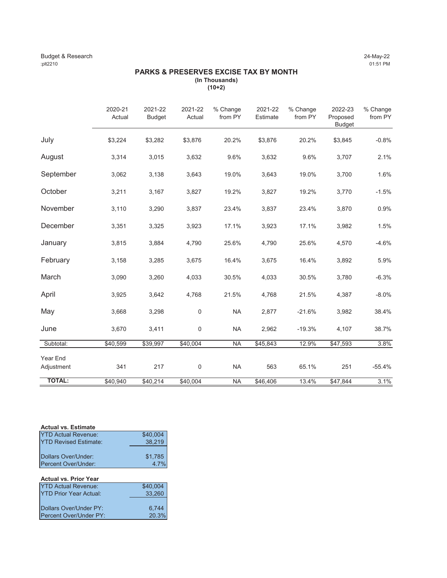### Budget & Research 24-May-22 :plt2210 01:51 PM

# **PARKS & PRESERVES EXCISE TAX BY MONTH (In Thousands)**

**(10+2)**

|               | 2020-21<br>Actual | 2021-22<br><b>Budget</b> | 2021-22<br>Actual | % Change<br>from PY | 2021-22<br>Estimate | % Change<br>from PY | 2022-23<br>Proposed<br><b>Budget</b> | % Change<br>from PY |
|---------------|-------------------|--------------------------|-------------------|---------------------|---------------------|---------------------|--------------------------------------|---------------------|
| July          | \$3,224           | \$3,282                  | \$3,876           | 20.2%               | \$3,876             | 20.2%               | \$3,845                              | $-0.8%$             |
| August        | 3,314             | 3,015                    | 3,632             | 9.6%                | 3,632               | 9.6%                | 3,707                                | 2.1%                |
| September     | 3,062             | 3,138                    | 3,643             | 19.0%               | 3,643               | 19.0%               | 3,700                                | 1.6%                |
| October       | 3,211             | 3,167                    | 3,827             | 19.2%               | 3,827               | 19.2%               | 3,770                                | $-1.5%$             |
| November      | 3,110             | 3,290                    | 3,837             | 23.4%               | 3,837               | 23.4%               | 3,870                                | 0.9%                |
| December      | 3,351             | 3,325                    | 3,923             | 17.1%               | 3,923               | 17.1%               | 3,982                                | 1.5%                |
| January       | 3,815             | 3,884                    | 4,790             | 25.6%               | 4,790               | 25.6%               | 4,570                                | $-4.6%$             |
| February      | 3,158             | 3,285                    | 3,675             | 16.4%               | 3,675               | 16.4%               | 3,892                                | 5.9%                |
| March         | 3,090             | 3,260                    | 4,033             | 30.5%               | 4,033               | 30.5%               | 3,780                                | $-6.3%$             |
| April         | 3,925             | 3,642                    | 4,768             | 21.5%               | 4,768               | 21.5%               | 4,387                                | $-8.0%$             |
| May           | 3,668             | 3,298                    | $\mathbf 0$       | <b>NA</b>           | 2,877               | $-21.6%$            | 3,982                                | 38.4%               |
| June          | 3,670             | 3,411                    | $\mathbf 0$       | <b>NA</b>           | 2,962               | $-19.3%$            | 4,107                                | 38.7%               |
| Subtotal:     | \$40,599          | \$39,997                 | \$40,004          | <b>NA</b>           | \$45,843            | 12.9%               | \$47,593                             | 3.8%                |
| Year End      |                   |                          |                   |                     |                     |                     |                                      |                     |
| Adjustment    | 341               | 217                      | 0                 | <b>NA</b>           | 563                 | 65.1%               | 251                                  | $-55.4%$            |
| <b>TOTAL:</b> | \$40,940          | \$40,214                 | \$40,004          | <b>NA</b>           | \$46,406            | 13.4%               | \$47,844                             | 3.1%                |

| <b>Actual vs. Estimate</b>                 |                    |
|--------------------------------------------|--------------------|
| <b>YTD Actual Revenue:</b>                 | \$40,004<br>38,219 |
| <b>YTD Revised Estimate:</b>               |                    |
| Dollars Over/Under:<br>Percent Over/Under: | $$1,785$<br>4.7%   |

# **Actual vs. Prior Year**

| <b>YTD Actual Revenue:</b>     | \$40,004 |
|--------------------------------|----------|
| <b>IYTD Prior Year Actual:</b> | 33.260   |
|                                |          |
| Dollars Over/Under PY:         | 6.744    |
| <b>IPercent Over/Under PY:</b> | 20.3%    |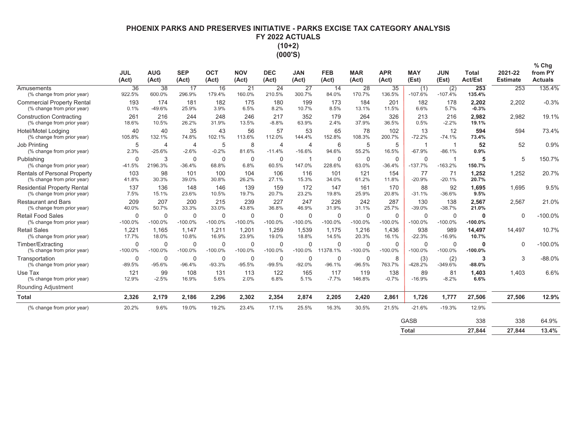# PHOENIX PARKS AND PRESERVES INITIATIVE - PARKS EXCISE TAX CATEGORY ANALYSIS FY 2022 ACTUALS  $(10+2)$

| П | m<br>п<br>г |  |
|---|-------------|--|

|                                                                  | <b>JUL</b><br>(Act) | <b>AUG</b><br>(Act)        | <b>SEP</b><br>(Act)       | <b>OCT</b><br>(Act)      | <b>NOV</b><br>(Act)       | <b>DEC</b><br>(Act)        | <b>JAN</b><br>(Act)        | <b>FEB</b><br>(Act)   | <b>MAR</b><br>(Act)      | <b>APR</b><br>(Act)     | <b>MAY</b><br>(Est)      | <b>JUN</b><br>(Est)      | <b>Total</b><br><b>Act/Est</b> | 2021-22<br><b>Estimate</b> | $%$ Chg<br>from PY<br><b>Actuals</b> |
|------------------------------------------------------------------|---------------------|----------------------------|---------------------------|--------------------------|---------------------------|----------------------------|----------------------------|-----------------------|--------------------------|-------------------------|--------------------------|--------------------------|--------------------------------|----------------------------|--------------------------------------|
| Amusements<br>(% change from prior year)                         | 36<br>922.5%        | 38<br>600.0%               | 17<br>296.9%              | 16<br>179.4%             | 21<br>160.0%              | 24<br>210.5%               | 27<br>300.7%               | 14<br>84.0%           | 28<br>170.7%             | 35<br>136.5%            | (1)<br>$-107.6%$         | (2)<br>$-107.4%$         | 253<br>135.4%                  | 253                        | 135.4%                               |
| <b>Commercial Property Rental</b><br>(% change from prior year)  | 193<br>0.1%         | 174<br>$-49.6%$            | 181<br>25.9%              | 182<br>3.9%              | 175<br>6.5%               | 180<br>8.2%                | 199<br>10.7%               | 173<br>8.5%           | 184<br>13.1%             | 201<br>11.5%            | 182<br>6.6%              | 178<br>5.7%              | 2,202<br>$-0.3%$               | 2,202                      | $-0.3%$                              |
| <b>Construction Contracting</b><br>(% change from prior year)    | 261<br>18.6%        | 216<br>10.5%               | 244<br>26.2%              | 248<br>31.9%             | 246<br>13.5%              | 217<br>$-8.8%$             | 352<br>63.9%               | 179<br>2.4%           | 264<br>37.9%             | 326<br>36.5%            | 213<br>0.5%              | 216<br>$-2.2%$           | 2,982<br>19.1%                 | 2.982                      | 19.1%                                |
| <b>Hotel/Motel Lodging</b><br>(% change from prior year)         | 40<br>105.8%        | 40<br>132.1%               | 35<br>74.8%               | 43<br>102.1%             | 56<br>113.6%              | 57<br>112.0%               | 53<br>144.4%               | 65<br>152.8%          | 78<br>108.3%             | 102<br>200.7%           | 13<br>$-72.2%$           | 12<br>$-74.1%$           | 594<br>73.4%                   | 594                        | 73.4%                                |
| Job Printing<br>(% change from prior year)                       | 5<br>2.3%           | $\overline{4}$<br>$-25.6%$ | $\overline{4}$<br>$-2.6%$ | 5<br>$-0.2%$             | 8<br>81.6%                | $\overline{4}$<br>$-11.4%$ | $\overline{4}$<br>$-16.6%$ | 6<br>94.6%            | 5<br>55.2%               | 5<br>16.5%              | -1<br>$-67.9%$           | -1<br>$-86.1%$           | 52<br>0.9%                     | 52                         | 0.9%                                 |
| Publishing<br>(% change from prior year)                         | 0<br>$-41.5%$       | 3<br>2196.3%               | $\mathbf 0$<br>$-36.4%$   | $\mathbf 0$<br>68.8%     | $\mathbf 0$<br>6.8%       | $\mathbf 0$<br>60.5%       | -1<br>147.0%               | $\Omega$<br>228.6%    | $\mathbf 0$<br>63.0%     | $\mathbf 0$<br>$-36.4%$ | $\mathbf 0$<br>$-137.7%$ | 1<br>$-163.2%$           | 5<br>150.7%                    | 5                          | 150.7%                               |
| Rentals of Personal Property<br>(% change from prior year)       | 103<br>41.8%        | 98<br>30.3%                | 101<br>39.0%              | 100<br>30.8%             | 104<br>26.2%              | 106<br>27.1%               | 116<br>15.3%               | 101<br>34.0%          | 121<br>61.2%             | 154<br>11.8%            | 77<br>$-20.9%$           | 71<br>$-20.1%$           | 1,252<br>20.7%                 | 1.252                      | 20.7%                                |
| <b>Residential Property Rental</b><br>(% change from prior year) | 137<br>7.5%         | 136<br>15.1%               | 148<br>23.6%              | 146<br>10.5%             | 139<br>19.7%              | 159<br>20.7%               | 172<br>23.2%               | 147<br>19.8%          | 161<br>25.9%             | 170<br>20.8%            | 88<br>$-31.1%$           | 92<br>$-36.6%$           | 1.695<br>9.5%                  | 1.695                      | 9.5%                                 |
| <b>Restaurant and Bars</b><br>(% change from prior year)         | 209<br>40.0%        | 207<br>50.7%               | 200<br>33.3%              | 215<br>33.0%             | 239<br>43.8%              | 227<br>36.8%               | 247<br>46.9%               | 226<br>31.9%          | 242<br>31.1%             | 287<br>25.7%            | 130<br>$-39.0%$          | 138<br>$-38.7%$          | 2,567<br>21.0%                 | 2.567                      | 21.0%                                |
| <b>Retail Food Sales</b><br>(% change from prior year)           | 0<br>$-100.0%$      | $\Omega$<br>$-100.0%$      | $\mathbf 0$<br>$-100.0%$  | $\mathbf 0$<br>$-100.0%$ | $\mathbf 0$<br>$-100.0%$  | $\mathbf 0$<br>$-100.0%$   | $\Omega$<br>$-100.0%$      | $\Omega$<br>$-100.0%$ | $\mathbf 0$<br>$-100.0%$ | $\Omega$<br>$-100.0%$   | $\mathbf 0$<br>$-100.0%$ | $\mathbf 0$<br>$-100.0%$ | $\bf{0}$<br>$-100.0%$          | $\Omega$                   | $-100.0%$                            |
| <b>Retail Sales</b><br>(% change from prior year)                | 1,221<br>17.7%      | 1.165<br>18.0%             | 1.147<br>10.8%            | 1.211<br>16.9%           | 1.201<br>23.9%            | 1,259<br>19.0%             | 1,539<br>18.8%             | 1,175<br>14.5%        | 1,216<br>20.3%           | 1.436<br>16.1%          | 938<br>$-22.3%$          | 989<br>$-16.9%$          | 14,497<br>10.7%                | 14.497                     | 10.7%                                |
| Timber/Extracting<br>(% change from prior year)                  | 0<br>$-100.0%$      | $\Omega$<br>$-100.0\%$     | $\mathbf 0$<br>$-100.0\%$ | $\mathbf 0$<br>$-100.0%$ | $\mathbf 0$<br>$-100.0\%$ | $\Omega$<br>$-100.0%$      | $\Omega$<br>$-100.0%$      | $\Omega$<br>11378.1%  | $\Omega$<br>$-100.0%$    | $\Omega$<br>$-100.0%$   | $\mathbf 0$<br>$-100.0%$ | 0<br>$-100.0%$           | $\bf{0}$<br>$-100.0%$          | $\Omega$                   | $-100.0%$                            |
| Transportation<br>(% change from prior year)                     | 0<br>$-89.5%$       | $\mathbf 0$<br>$-95.6%$    | 0<br>$-96.4%$             | $\mathbf 0$<br>$-93.3%$  | 0<br>$-95.5%$             | $\mathbf 0$<br>$-99.5%$    | 0<br>$-92.0%$              | $\Omega$<br>$-96.1%$  | $\mathbf 0$<br>$-96.5%$  | 8<br>763.7%             | (3)<br>$-428.2%$         | (2)<br>-349.6%           | 3<br>$-88.0%$                  | 3                          | $-88.0%$                             |
| Use Tax<br>(% change from prior year)                            | 121<br>12.9%        | 99<br>$-2.5%$              | 108<br>16.9%              | 131<br>5.6%              | 113<br>2.0%               | 122<br>6.8%                | 165<br>5.1%                | 117<br>$-7.7%$        | 119<br>146.8%            | 138<br>$-0.7%$          | 89<br>$-16.9%$           | 81<br>$-8.2%$            | 1,403<br>6.6%                  | 1,403                      | 6.6%                                 |
| Rounding Adjustment                                              |                     |                            |                           |                          |                           |                            |                            |                       |                          |                         |                          |                          |                                |                            |                                      |
| <b>Total</b>                                                     | 2,326               | 2,179                      | 2,186                     | 2,296                    | 2,302                     | 2,354                      | 2,874                      | 2,205                 | 2,420                    | 2,861                   | 1,726                    | 1,777                    | 27,506                         | 27,506                     | 12.9%                                |
| (% change from prior year)                                       | 20.2%               | 9.6%                       | 19.0%                     | 19.2%                    | 23.4%                     | 17.1%                      | 25.5%                      | 16.3%                 | 30.5%                    | 21.5%                   | $-21.6%$                 | $-19.3%$                 | 12.9%                          |                            |                                      |
|                                                                  |                     |                            |                           |                          |                           |                            |                            |                       |                          |                         | <b>GASB</b>              |                          | 338                            | 338                        | 64.9%                                |
|                                                                  |                     |                            |                           |                          |                           |                            |                            |                       |                          |                         | <b>Total</b>             |                          | 27.844                         | 27.844                     | 13.4%                                |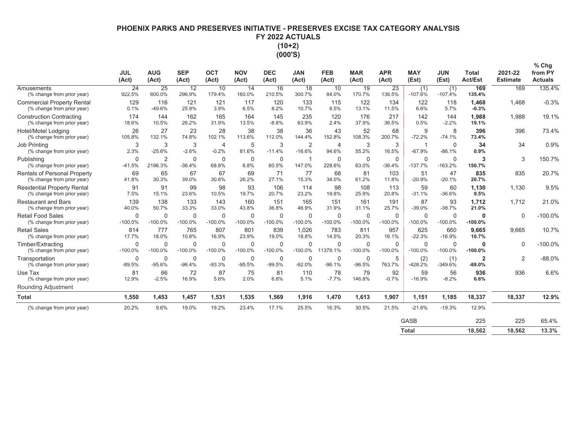# PHOENIX PARKS AND PRESERVES INITIATIVE - PRESERVES EXCISE TAX CATEGORY ANALYSIS FY 2022 ACTUALS  $(10+2)$

 $(000'S)$ 

|                                                                   | <b>JUL</b><br>(Act)      | <b>AUG</b><br>(Act)       | <b>SEP</b><br>(Act)   | <b>OCT</b><br>(Act)        | <b>NOV</b><br>(Act)       | <b>DEC</b><br>(Act)      | <b>JAN</b><br>(Act)      | <b>FEB</b><br>(Act)     | <b>MAR</b><br>(Act)     | <b>APR</b><br>(Act)     | <b>MAY</b><br>(Est)       | <b>JUN</b><br>(Est)      | <b>Total</b><br><b>Act/Est</b> | 2021-22<br><b>Estimate</b> | $%$ Chg<br>from PY<br><b>Actuals</b> |
|-------------------------------------------------------------------|--------------------------|---------------------------|-----------------------|----------------------------|---------------------------|--------------------------|--------------------------|-------------------------|-------------------------|-------------------------|---------------------------|--------------------------|--------------------------------|----------------------------|--------------------------------------|
| Amusements<br>(% change from prior year)                          | 24<br>922.5%             | 25<br>600.0%              | 12<br>296.9%          | 10<br>179.4%               | 14<br>160.0%              | 16<br>210.5%             | 18<br>300.7%             | 10<br>84.0%             | 19<br>170.7%            | 23<br>136.5%            | (1)<br>$-107.6%$          | (1)<br>$-107.4%$         | 169<br>135.4%                  | 169                        | 135.4%                               |
| <b>Commercial Property Rental</b><br>(% change from prior year)   | 129<br>0.1%              | 116<br>$-49.6%$           | 121<br>25.9%          | 121<br>3.9%                | 117<br>6.5%               | 120<br>8.2%              | 133<br>10.7%             | 115<br>8.5%             | 122<br>13.1%            | 134<br>11.5%            | 122<br>6.6%               | 118<br>5.7%              | 1,468<br>$-0.3%$               | 1,468                      | $-0.3%$                              |
| <b>Construction Contracting</b><br>(% change from prior year)     | 174<br>18.6%             | 144<br>10.5%              | 162<br>26.2%          | 165<br>31.9%               | 164<br>13.5%              | 145<br>$-8.8%$           | 235<br>63.9%             | 120<br>2.4%             | 176<br>37.9%            | 217<br>36.5%            | 142<br>0.5%               | 144<br>$-2.2%$           | 1,988<br>19.1%                 | 1.988                      | 19.1%                                |
| Hotel/Motel Lodging<br>(% change from prior year)                 | 26<br>105.8%             | 27<br>132.1%              | 23<br>74.8%           | 28<br>102.1%               | 38<br>113.6%              | 38<br>112.0%             | 36<br>144.4%             | 43<br>152.8%            | 52<br>108.3%            | 68<br>200.7%            | 9<br>$-72.2%$             | 8<br>$-74.1%$            | 396<br>73.4%                   | 396                        | 73.4%                                |
| Job Printing<br>(% change from prior year)                        | 3<br>2.3%                | 3<br>$-25.6%$             | 3<br>$-2.6%$          | $\overline{4}$<br>$-0.2%$  | 5<br>81.6%                | 3<br>$-11.4%$            | 2<br>$-16.6%$            | $\overline{4}$<br>94.6% | 3<br>55.2%              | 3<br>16.5%              | -1<br>$-67.9%$            | 0<br>$-86.1%$            | 34<br>0.9%                     | 34                         | 0.9%                                 |
| Publishing<br>(% change from prior year)                          | $\mathbf 0$<br>$-41.5%$  | $\overline{2}$<br>2196.3% | 0<br>$-36.4%$         | $\mathbf 0$<br>68.8%       | $\mathbf 0$<br>6.8%       | $\mathbf 0$<br>60.5%     | $\overline{1}$<br>147.0% | $\mathbf 0$<br>228.6%   | $\mathbf 0$<br>63.0%    | $\mathbf 0$<br>$-36.4%$ | $\mathbf 0$<br>$-137.7%$  | $\mathbf 0$<br>$-163.2%$ | 3<br>150.7%                    | 3                          | 150.7%                               |
| <b>Rentals of Personal Property</b><br>(% change from prior year) | 69<br>41.8%              | 65<br>30.3%               | 67<br>39.0%           | 67<br>30.8%                | 69<br>26.2%               | 71<br>27.1%              | 77<br>15.3%              | 68<br>34.0%             | 81<br>61.2%             | 103<br>11.8%            | 51<br>$-20.9%$            | 47<br>$-20.1%$           | 835<br>20.7%                   | 835                        | 20.7%                                |
| <b>Residential Property Rental</b><br>(% change from prior year)  | 91<br>7.5%               | 91<br>15.1%               | 99<br>23.6%           | 98<br>10.5%                | 93<br>19.7%               | 106<br>20.7%             | 114<br>23.2%             | 98<br>19.8%             | 108<br>25.9%            | 113<br>20.8%            | 59<br>$-31.1%$            | 60<br>$-36.6%$           | 1,130<br>9.5%                  | 1.130                      | 9.5%                                 |
| <b>Restaurant and Bars</b><br>(% change from prior year)          | 139<br>40.0%             | 138<br>50.7%              | 133<br>33.3%          | 143<br>33.0%               | 160<br>43.8%              | 151<br>36.8%             | 165<br>46.9%             | 151<br>31.9%            | 161<br>31.1%            | 191<br>25.7%            | 87<br>$-39.0%$            | 93<br>$-38.7%$           | 1.712<br>21.0%                 | 1.712                      | 21.0%                                |
| <b>Retail Food Sales</b><br>(% change from prior year)            | $\mathbf 0$<br>$-100.0%$ | $\mathbf 0$<br>$-100.0%$  | 0<br>$-100.0%$        | $\mathbf 0$<br>$-100.0%$   | $\mathbf 0$<br>$-100.0\%$ | $\mathbf 0$<br>$-100.0%$ | $\mathbf 0$<br>$-100.0%$ | $\Omega$<br>$-100.0%$   | $\Omega$<br>$-100.0%$   | $\Omega$<br>$-100.0%$   | $\mathbf 0$<br>$-100.0\%$ | $\mathbf 0$<br>$-100.0%$ | $\bf{0}$<br>$-100.0%$          | $\Omega$                   | $-100.0%$                            |
| <b>Retail Sales</b><br>(% change from prior year)                 | 814<br>17.7%             | 777<br>18.0%              | 765<br>10.8%          | 807<br>16.9%               | 801<br>23.9%              | 839<br>19.0%             | 1.026<br>18.8%           | 783<br>14.5%            | 811<br>20.3%            | 957<br>16.1%            | 625<br>$-22.3%$           | 660<br>$-16.9%$          | 9.665<br>10.7%                 | 9.665                      | 10.7%                                |
| Timber/Extracting<br>(% change from prior year)                   | $\Omega$<br>$-100.0%$    | $\Omega$<br>$-100.0%$     | $\Omega$<br>$-100.0%$ | $\mathbf{0}$<br>$-100.0\%$ | $\mathbf 0$<br>$-100.0%$  | $\mathbf 0$<br>$-100.0%$ | $\Omega$<br>$-100.0%$    | $\Omega$<br>11378.1%    | $\Omega$<br>$-100.0%$   | $\Omega$<br>$-100.0%$   | $\mathbf 0$<br>$-100.0%$  | $\Omega$<br>$-100.0%$    | $\bf{0}$<br>$-100.0%$          | $\Omega$                   | $-100.0%$                            |
| Transportation<br>(% change from prior year)                      | $\mathbf 0$<br>$-89.5%$  | $\mathbf 0$<br>$-95.6%$   | 0<br>$-96.4%$         | $\mathbf 0$<br>$-93.3%$    | 0<br>$-95.5%$             | 0<br>$-99.5%$            | 0<br>$-92.0%$            | $\mathbf 0$<br>$-96.1%$ | $\mathbf 0$<br>$-96.5%$ | 5<br>763.7%             | (2)<br>$-428.2%$          | (1)<br>$-349.6%$         | $\overline{2}$<br>$-88.0%$     | $\overline{2}$             | $-88.0%$                             |
| Use Tax<br>(% change from prior year)                             | 81<br>12.9%              | 66<br>$-2.5%$             | 72<br>16.9%           | 87<br>5.6%                 | 75<br>2.0%                | 81<br>6.8%               | 110<br>5.1%              | 78<br>$-7.7%$           | 79<br>146.8%            | 92<br>$-0.7%$           | 59<br>$-16.9%$            | 56<br>$-8.2%$            | 936<br>6.6%                    | 936                        | 6.6%                                 |
| <b>Rounding Adjustment</b>                                        |                          |                           |                       |                            |                           |                          |                          |                         |                         |                         |                           |                          |                                |                            |                                      |
| <b>Total</b>                                                      | 1,550                    | 1,453                     | 1,457                 | 1,531                      | 1,535                     | 1,569                    | 1,916                    | 1,470                   | 1,613                   | 1,907                   | 1,151                     | 1,185                    | 18,337                         | 18,337                     | 12.9%                                |
| (% change from prior year)                                        | 20.2%                    | 9.6%                      | 19.0%                 | 19.2%                      | 23.4%                     | 17.1%                    | 25.5%                    | 16.3%                   | 30.5%                   | 21.5%                   | $-21.6%$                  | $-19.3%$                 | 12.9%                          |                            |                                      |
|                                                                   |                          |                           |                       |                            |                           |                          |                          |                         |                         |                         | <b>GASB</b>               |                          | 225                            | 225                        | 65.4%                                |
|                                                                   |                          |                           |                       |                            |                           |                          |                          |                         |                         |                         | <b>Total</b>              |                          | 18.562                         | 18.562                     | 13.3%                                |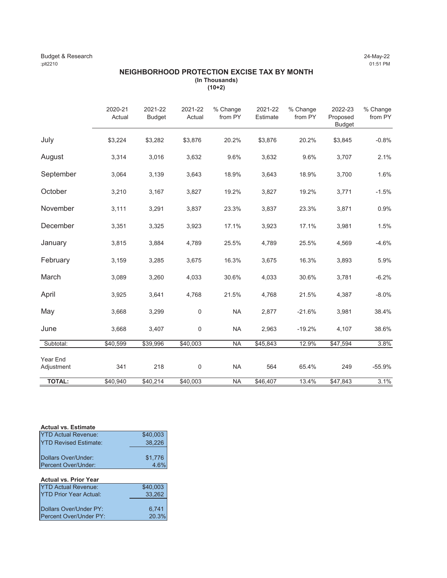### Budget & Research 24-May-22 :plt2210 01:51 PM

### **NEIGHBORHOOD PROTECTION EXCISE TAX BY MONTH (In Thousands) (10+2)**

|                        | 2020-21<br>Actual | 2021-22<br><b>Budget</b> | 2021-22<br>Actual | % Change<br>from PY | 2021-22<br>Estimate | % Change<br>from PY | 2022-23<br>Proposed<br><b>Budget</b> | % Change<br>from PY |
|------------------------|-------------------|--------------------------|-------------------|---------------------|---------------------|---------------------|--------------------------------------|---------------------|
| July                   | \$3,224           | \$3,282                  | \$3,876           | 20.2%               | \$3,876             | 20.2%               | \$3,845                              | $-0.8%$             |
| August                 | 3,314             | 3,016                    | 3,632             | 9.6%                | 3,632               | 9.6%                | 3,707                                | 2.1%                |
| September              | 3,064             | 3,139                    | 3,643             | 18.9%               | 3,643               | 18.9%               | 3,700                                | 1.6%                |
| October                | 3,210             | 3,167                    | 3,827             | 19.2%               | 3,827               | 19.2%               | 3,771                                | $-1.5%$             |
| November               | 3,111             | 3,291                    | 3,837             | 23.3%               | 3,837               | 23.3%               | 3,871                                | 0.9%                |
| December               | 3,351             | 3,325                    | 3,923             | 17.1%               | 3,923               | 17.1%               | 3,981                                | 1.5%                |
| January                | 3,815             | 3,884                    | 4,789             | 25.5%               | 4,789               | 25.5%               | 4,569                                | $-4.6%$             |
| February               | 3,159             | 3,285                    | 3,675             | 16.3%               | 3,675               | 16.3%               | 3,893                                | 5.9%                |
| March                  | 3,089             | 3,260                    | 4,033             | 30.6%               | 4,033               | 30.6%               | 3,781                                | $-6.2%$             |
| April                  | 3,925             | 3,641                    | 4,768             | 21.5%               | 4,768               | 21.5%               | 4,387                                | $-8.0\%$            |
| May                    | 3,668             | 3,299                    | $\mathbf 0$       | <b>NA</b>           | 2,877               | $-21.6%$            | 3,981                                | 38.4%               |
| June                   | 3,668             | 3,407                    | 0                 | <b>NA</b>           | 2,963               | $-19.2%$            | 4,107                                | 38.6%               |
| Subtotal:              | \$40,599          | \$39,996                 | \$40,003          | <b>NA</b>           | \$45,843            | 12.9%               | \$47,594                             | 3.8%                |
| Year End<br>Adjustment | 341               | 218                      | 0                 | <b>NA</b>           | 564                 | 65.4%               | 249                                  | $-55.9%$            |
| <b>TOTAL:</b>          | \$40,940          | \$40,214                 | \$40,003          | <b>NA</b>           | \$46,407            | 13.4%               | \$47,843                             | 3.1%                |

| <b>Actual vs. Estimate</b>   |          |
|------------------------------|----------|
| <b>YTD Actual Revenue:</b>   | \$40.003 |
| <b>YTD Revised Estimate:</b> | 38.226   |
|                              |          |
| Dollars Over/Under:          | \$1,776  |
| Percent Over/Under:          | 4.6%     |
|                              |          |

# **Actual vs. Prior Year**

| <b>YTD Actual Revenue:</b>     | \$40,003 |
|--------------------------------|----------|
| <b>IYTD Prior Year Actual:</b> | 33.262   |
|                                |          |
| Dollars Over/Under PY:         | 6.741    |
| Percent Over/Under PY:         | 20.3%    |
|                                |          |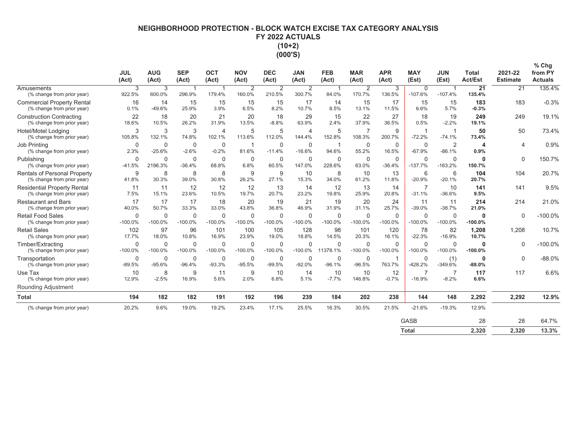# NEIGHBORHOOD PROTECTION - BLOCK WATCH EXCISE TAX CATEGORY ANALYSIS FY 2022 ACTUALS  $(10+2)$  $(000'S)$

|                                                                   | <b>JUL</b><br>(Act)      | <b>AUG</b><br>(Act)      | <b>SEP</b><br>(Act)      | OCT<br>(Act)             | <b>NOV</b><br>(Act)   | <b>DEC</b><br>(Act)      | <b>JAN</b><br>(Act)      | <b>FEB</b><br>(Act)      | <b>MAR</b><br>(Act)      | <b>APR</b><br>(Act)      | <b>MAY</b><br>(Est)        | <b>JUN</b><br>(Est)        | <b>Total</b><br><b>Act/Est</b> | 2021-22<br><b>Estimate</b> | $%$ Chg<br>from PY<br><b>Actuals</b> |
|-------------------------------------------------------------------|--------------------------|--------------------------|--------------------------|--------------------------|-----------------------|--------------------------|--------------------------|--------------------------|--------------------------|--------------------------|----------------------------|----------------------------|--------------------------------|----------------------------|--------------------------------------|
| Amusements<br>(% change from prior year)                          | 3<br>922.5%              | 3<br>600.0%              | $\mathbf{1}$<br>296.9%   | $\mathbf{1}$<br>179.4%   | 2<br>160.0%           | 2<br>210.5%              | 2<br>300.7%              | -1<br>84.0%              | 2<br>170.7%              | 3<br>136.5%              | $\mathbf 0$<br>$-107.6%$   | -1<br>$-107.4%$            | 21<br>135.4%                   | 21                         | 135.4%                               |
| <b>Commercial Property Rental</b><br>(% change from prior year)   | 16<br>0.1%               | 14<br>$-49.6%$           | 15<br>25.9%              | 15<br>3.9%               | 15<br>6.5%            | 15<br>8.2%               | 17<br>10.7%              | 14<br>8.5%               | 15<br>13.1%              | 17<br>11.5%              | 15<br>6.6%                 | 15<br>5.7%                 | 183<br>$-0.3%$                 | 183                        | $-0.3%$                              |
| <b>Construction Contracting</b><br>(% change from prior year)     | 22<br>18.6%              | 18<br>10.5%              | 20<br>26.2%              | 21<br>31.9%              | 20<br>13.5%           | 18<br>$-8.8%$            | 29<br>63.9%              | 15<br>2.4%               | 22<br>37.9%              | 27<br>36.5%              | 18<br>0.5%                 | 19<br>$-2.2%$              | 249<br>19.1%                   | 249                        | 19.1%                                |
| Hotel/Motel Lodging<br>(% change from prior year)                 | 3<br>105.8%              | 3<br>132.1%              | 3<br>74.8%               | $\overline{4}$<br>102.1% | 5<br>113.6%           | 5<br>112.0%              | $\overline{4}$<br>144.4% | 5<br>152.8%              | $\overline{7}$<br>108.3% | 9<br>200.7%              | -1<br>$-72.2%$             | -1<br>$-74.1%$             | 50<br>73.4%                    | 50                         | 73.4%                                |
| Job Printing<br>(% change from prior year)                        | 0<br>2.3%                | $\mathbf 0$<br>$-25.6%$  | $\mathbf 0$<br>$-2.6%$   | $\mathbf 0$<br>$-0.2%$   | -1<br>81.6%           | $\mathbf 0$<br>$-11.4%$  | $\mathbf 0$<br>$-16.6%$  | 94.6%                    | $\mathbf 0$<br>55.2%     | $\mathbf 0$<br>16.5%     | $\mathbf 0$<br>$-67.9%$    | $\overline{2}$<br>$-86.1%$ | 4<br>0.9%                      | 4                          | 0.9%                                 |
| Publishing<br>(% change from prior year)                          | $\mathbf 0$<br>$-41.5%$  | $\mathbf 0$<br>2196.3%   | $\mathbf 0$<br>$-36.4%$  | $\mathbf 0$<br>68.8%     | $\mathbf 0$<br>6.8%   | $\mathbf 0$<br>60.5%     | $\mathbf 0$<br>147.0%    | $\mathbf 0$<br>228.6%    | $\mathbf 0$<br>63.0%     | $\mathbf 0$<br>$-36.4%$  | $\mathbf 0$<br>$-137.7%$   | $\mathbf 0$<br>$-163.2%$   | $\bf{0}$<br>150.7%             | 0                          | 150.7%                               |
| <b>Rentals of Personal Property</b><br>(% change from prior year) | 9<br>41.8%               | 8<br>30.3%               | 8<br>39.0%               | 8<br>30.8%               | 9<br>26.2%            | 9<br>27.1%               | 10<br>15.3%              | 8<br>34.0%               | 10<br>61.2%              | 13<br>11.8%              | 6<br>$-20.9%$              | 6<br>$-20.1%$              | 104<br>20.7%                   | 104                        | 20.7%                                |
| <b>Residential Property Rental</b><br>(% change from prior year)  | 11<br>7.5%               | 11<br>15.1%              | 12<br>23.6%              | 12<br>10.5%              | 12<br>19.7%           | 13<br>20.7%              | 14<br>23.2%              | 12<br>19.8%              | 13<br>25.9%              | 14<br>20.8%              | $\overline{7}$<br>$-31.1%$ | 10<br>$-36.6%$             | 141<br>9.5%                    | 141                        | 9.5%                                 |
| <b>Restaurant and Bars</b><br>(% change from prior year)          | 17<br>40.0%              | 17<br>50.7%              | 17<br>33.3%              | 18<br>33.0%              | 20<br>43.8%           | 19<br>36.8%              | 21<br>46.9%              | 19<br>31.9%              | 20<br>31.1%              | 24<br>25.7%              | 11<br>$-39.0%$             | 11<br>$-38.7%$             | 214<br>21.0%                   | 214                        | 21.0%                                |
| <b>Retail Food Sales</b><br>(% change from prior year)            | $\mathbf 0$<br>$-100.0%$ | $\mathbf 0$<br>$-100.0%$ | $\mathbf 0$<br>$-100.0%$ | $\mathbf 0$<br>$-100.0%$ | $\Omega$<br>$-100.0%$ | $\mathbf 0$<br>$-100.0%$ | $\mathbf 0$<br>$-100.0%$ | $\mathbf 0$<br>$-100.0%$ | $\mathbf 0$<br>$-100.0%$ | $\mathbf 0$<br>$-100.0%$ | $\Omega$<br>$-100.0%$      | $\mathbf 0$<br>$-100.0%$   | 0<br>$-100.0%$                 | $\Omega$                   | $-100.0%$                            |
| <b>Retail Sales</b><br>(% change from prior year)                 | 102<br>17.7%             | 97<br>18.0%              | 96<br>10.8%              | 101<br>16.9%             | 100<br>23.9%          | 105<br>19.0%             | 128<br>18.8%             | 98<br>14.5%              | 101<br>20.3%             | 120<br>16.1%             | 78<br>$-22.3%$             | 82<br>$-16.9%$             | 1,208<br>10.7%                 | 1.208                      | 10.7%                                |
| Timber/Extracting<br>(% change from prior year)                   | $\Omega$<br>$-100.0%$    | $\Omega$<br>$-100.0%$    | $\Omega$<br>$-100.0%$    | $\Omega$<br>$-100.0%$    | 0<br>$-100.0\%$       | $\Omega$<br>$-100.0\%$   | $\Omega$<br>$-100.0\%$   | $\Omega$<br>11378.1%     | $\mathbf 0$<br>$-100.0%$ | $\Omega$<br>$-100.0%$    | $\Omega$<br>$-100.0%$      | $\Omega$<br>$-100.0%$      | 0<br>$-100.0%$                 | $\Omega$                   | $-100.0%$                            |
| Transportation<br>(% change from prior year)                      | $\mathbf 0$<br>$-89.5%$  | 0<br>$-95.6%$            | $\mathbf 0$<br>$-96.4%$  | 0<br>$-93.3%$            | 0<br>$-95.5%$         | 0<br>$-99.5%$            | 0<br>$-92.0%$            | 0<br>$-96.1%$            | 0<br>$-96.5%$            | $\mathbf{1}$<br>763.7%   | $\mathbf 0$<br>$-428.2%$   | (1)<br>-349.6%             | 0<br>$-88.0%$                  | 0                          | $-88.0%$                             |
| Use Tax<br>(% change from prior year)                             | 10<br>12.9%              | 8<br>$-2.5%$             | 9<br>16.9%               | 11<br>5.6%               | 9<br>2.0%             | 10<br>6.8%               | 14<br>5.1%               | 10<br>$-7.7%$            | 10<br>146.8%             | 12<br>$-0.7%$            | $\overline{7}$<br>$-16.9%$ | $-8.2%$                    | 117<br>6.6%                    | 117                        | 6.6%                                 |
| <b>Rounding Adjustment</b>                                        |                          |                          |                          |                          |                       |                          |                          |                          |                          |                          |                            |                            |                                |                            |                                      |
| <b>Total</b>                                                      | 194                      | 182                      | 182                      | 191                      | 192                   | 196                      | 239                      | 184                      | 202                      | 238                      | 144                        | 148                        | 2,292                          | 2,292                      | 12.9%                                |
| (% change from prior year)                                        | 20.2%                    | 9.6%                     | 19.0%                    | 19.2%                    | 23.4%                 | 17.1%                    | 25.5%                    | 16.3%                    | 30.5%                    | 21.5%                    | $-21.6%$                   | $-19.3%$                   | 12.9%                          |                            |                                      |
|                                                                   |                          |                          |                          |                          |                       |                          |                          |                          |                          |                          | <b>GASB</b>                |                            | 28                             | 28                         | 64.7%                                |
|                                                                   |                          |                          |                          |                          |                       |                          |                          |                          |                          |                          | <b>Total</b>               |                            | 2.320                          | 2.320                      | 13.3%                                |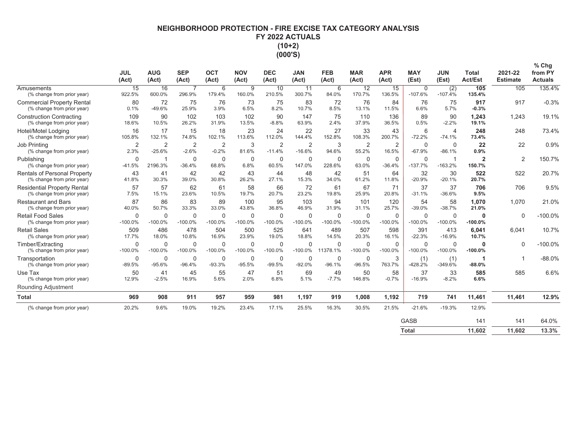# NEIGHBORHOOD PROTECTION - FIRE EXCISE TAX CATEGORY ANALYSIS FY 2022 ACTUALS  $(10+2)$  $(000'S)$

 $\sim$   $\sim$ 

|                                                                   | <b>JUL</b><br>(Act)      | <b>AUG</b><br>(Act)        | <b>SEP</b><br>(Act)       | <b>OCT</b><br>(Act)      | <b>NOV</b><br>(Act)     | <b>DEC</b><br>(Act)      | <b>JAN</b><br>(Act)      | <b>FEB</b><br>(Act)      | <b>MAR</b><br>(Act)       | <b>APR</b><br>(Act)      | <b>MAY</b><br>(Est)      | <b>JUN</b><br>(Est)        | Total<br><b>Act/Est</b>  | 2021-22<br><b>Estimate</b> | % Chg<br>from PY<br><b>Actuals</b> |
|-------------------------------------------------------------------|--------------------------|----------------------------|---------------------------|--------------------------|-------------------------|--------------------------|--------------------------|--------------------------|---------------------------|--------------------------|--------------------------|----------------------------|--------------------------|----------------------------|------------------------------------|
| Amusements<br>(% change from prior year)                          | 15<br>922.5%             | 16<br>600.0%               | $\overline{7}$<br>296.9%  | 6<br>179.4%              | 9<br>160.0%             | 10<br>210.5%             | 11<br>300.7%             | 6<br>84.0%               | $\overline{12}$<br>170.7% | 15<br>136.5%             | 0<br>$-107.6%$           | (2)<br>$-107.4%$           | 105<br>135.4%            | 105                        | 135.4%                             |
| <b>Commercial Property Rental</b><br>(% change from prior year)   | 80<br>0.1%               | 72<br>$-49.6%$             | 75<br>25.9%               | 76<br>3.9%               | 73<br>6.5%              | 75<br>8.2%               | 83<br>10.7%              | 72<br>8.5%               | 76<br>13.1%               | 84<br>11.5%              | 76<br>6.6%               | 75<br>5.7%                 | 917<br>$-0.3%$           | 917                        | $-0.3%$                            |
| <b>Construction Contracting</b><br>(% change from prior year)     | 109<br>18.6%             | 90<br>10.5%                | 102<br>26.2%              | 103<br>31.9%             | 102<br>13.5%            | 90<br>$-8.8%$            | 147<br>63.9%             | 75<br>2.4%               | 110<br>37.9%              | 136<br>36.5%             | 89<br>0.5%               | 90<br>$-2.2%$              | 1,243<br>19.1%           | 1,243                      | 19.1%                              |
| Hotel/Motel Lodaina<br>(% change from prior year)                 | 16<br>105.8%             | 17<br>132.1%               | 15<br>74.8%               | 18<br>102.1%             | 23<br>113.6%            | 24<br>112.0%             | 22<br>144.4%             | 27<br>152.8%             | 33<br>108.3%              | 43<br>200.7%             | 6<br>$-72.2%$            | $\overline{4}$<br>$-74.1%$ | 248<br>73.4%             | 248                        | 73.4%                              |
| Job Printing<br>(% change from prior year)                        | $\overline{2}$<br>2.3%   | $\overline{2}$<br>$-25.6%$ | $\overline{2}$<br>$-2.6%$ | 2<br>$-0.2%$             | 3<br>81.6%              | 2<br>$-11.4%$            | 2<br>$-16.6%$            | 3<br>94.6%               | $\overline{2}$<br>55.2%   | $\overline{2}$<br>16.5%  | $\Omega$<br>$-67.9%$     | $\Omega$<br>$-86.1%$       | 22<br>0.9%               | 22                         | 0.9%                               |
| Publishing<br>(% change from prior year)                          | $\Omega$<br>$-41.5%$     | 2196.3%                    | $\Omega$<br>$-36.4%$      | $\Omega$<br>68.8%        | 0<br>6.8%               | $\mathbf 0$<br>60.5%     | $\mathbf 0$<br>147.0%    | $\Omega$<br>228.6%       | $\mathbf 0$<br>63.0%      | $\Omega$<br>$-36.4%$     | $\Omega$<br>$-137.7%$    | -1<br>$-163.2%$            | $\overline{2}$<br>150.7% | 2                          | 150.7%                             |
| <b>Rentals of Personal Property</b><br>(% change from prior year) | 43<br>41.8%              | 41<br>30.3%                | 42<br>39.0%               | 42<br>30.8%              | 43<br>26.2%             | 44<br>27.1%              | 48<br>15.3%              | 42<br>34.0%              | 51<br>61.2%               | 64<br>11.8%              | 32<br>$-20.9%$           | 30<br>$-20.1%$             | 522<br>20.7%             | 522                        | 20.7%                              |
| <b>Residential Property Rental</b><br>(% change from prior year)  | 57<br>7.5%               | 57<br>15.1%                | 62<br>23.6%               | 61<br>10.5%              | 58<br>19.7%             | 66<br>20.7%              | 72<br>23.2%              | 61<br>19.8%              | 67<br>25.9%               | 71<br>20.8%              | 37<br>$-31.1%$           | 37<br>$-36.6%$             | 706<br>9.5%              | 706                        | 9.5%                               |
| <b>Restaurant and Bars</b><br>(% change from prior year)          | 87<br>40.0%              | 86<br>50.7%                | 83<br>33.3%               | 89<br>33.0%              | 100<br>43.8%            | 95<br>36.8%              | 103<br>46.9%             | 94<br>31.9%              | 101<br>31.1%              | 120<br>25.7%             | 54<br>$-39.0%$           | 58<br>$-38.7%$             | 1,070<br>21.0%           | 1,070                      | 21.0%                              |
| <b>Retail Food Sales</b><br>(% change from prior year)            | $\mathbf 0$<br>$-100.0%$ | $\mathbf 0$<br>$-100.0%$   | $\mathbf 0$<br>$-100.0%$  | $\mathbf 0$<br>$-100.0%$ | 0<br>$-100.0%$          | $\mathbf 0$<br>$-100.0%$ | $\mathbf 0$<br>$-100.0%$ | $\mathbf 0$<br>$-100.0%$ | 0<br>$-100.0%$            | $\mathbf 0$<br>$-100.0%$ | $\mathbf 0$<br>$-100.0%$ | $\mathbf 0$<br>$-100.0%$   | O<br>$-100.0%$           | $\mathbf 0$                | $-100.0%$                          |
| <b>Retail Sales</b><br>(% change from prior year)                 | 509<br>17.7%             | 486<br>18.0%               | 478<br>10.8%              | 504<br>16.9%             | 500<br>23.9%            | 525<br>19.0%             | 641<br>18.8%             | 489<br>14.5%             | 507<br>20.3%              | 598<br>16.1%             | 391<br>$-22.3%$          | 413<br>$-16.9%$            | 6.041<br>10.7%           | 6,041                      | 10.7%                              |
| Timber/Extracting<br>(% change from prior year)                   | $\Omega$<br>$-100.0%$    | $\mathbf 0$<br>$-100.0%$   | $\mathbf 0$<br>$-100.0%$  | $\mathbf 0$<br>$-100.0%$ | 0<br>$-100.0%$          | $\mathbf 0$<br>$-100.0%$ | $\Omega$<br>$-100.0\%$   | $\Omega$<br>11378.1%     | $\mathbf 0$<br>$-100.0%$  | $\Omega$<br>$-100.0%$    | $\Omega$<br>$-100.0\%$   | $\mathbf 0$<br>$-100.0%$   | 0<br>$-100.0%$           | $\Omega$                   | $-100.0%$                          |
| Transportation<br>(% change from prior year)                      | $\mathbf 0$<br>$-89.5%$  | $\mathbf 0$<br>$-95.6%$    | $\mathbf 0$<br>$-96.4%$   | $\mathbf 0$<br>$-93.3%$  | $\mathbf 0$<br>$-95.5%$ | $\mathbf 0$<br>$-99.5%$  | $\Omega$<br>$-92.0%$     | $\mathbf 0$<br>$-96.1%$  | $\mathbf 0$<br>$-96.5%$   | 3<br>763.7%              | (1)<br>$-428.2%$         | (1)<br>-349.6%             | $-88.0%$                 |                            | $-88.0%$                           |
| Use Tax<br>(% change from prior year)                             | 50<br>12.9%              | 41<br>$-2.5%$              | 45<br>16.9%               | 55<br>5.6%               | 47<br>2.0%              | 51<br>6.8%               | 69<br>5.1%               | 49<br>$-7.7%$            | 50<br>146.8%              | 58<br>$-0.7%$            | 37<br>$-16.9%$           | 33<br>$-8.2%$              | 585<br>6.6%              | 585                        | 6.6%                               |
| Rounding Adjustment                                               |                          |                            |                           |                          |                         |                          |                          |                          |                           |                          |                          |                            |                          |                            |                                    |
| <b>Total</b>                                                      | 969                      | 908                        | 911                       | 957                      | 959                     | 981                      | 1,197                    | 919                      | 1,008                     | 1,192                    | 719                      | 741                        | 11,461                   | 11,461                     | 12.9%                              |
| (% change from prior year)                                        | 20.2%                    | 9.6%                       | 19.0%                     | 19.2%                    | 23.4%                   | 17.1%                    | 25.5%                    | 16.3%                    | 30.5%                     | 21.5%                    | $-21.6%$                 | $-19.3%$                   | 12.9%                    |                            |                                    |
|                                                                   |                          |                            |                           |                          |                         |                          |                          |                          |                           |                          | <b>GASB</b>              |                            | 141                      | 141                        | 64.0%                              |
|                                                                   |                          |                            |                           |                          |                         |                          |                          |                          |                           |                          | <b>Total</b>             |                            | 11.602                   | 11.602                     | 13.3%                              |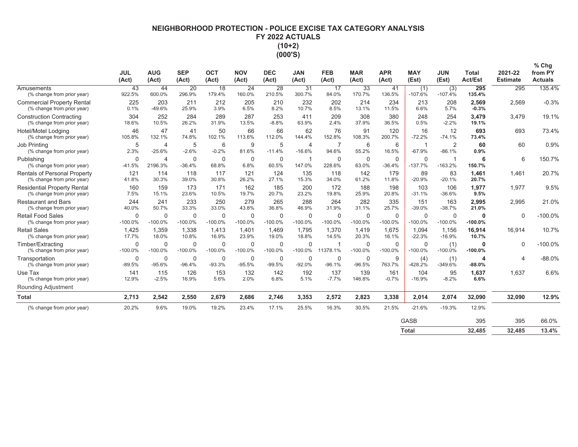# NEIGHBORHOOD PROTECTION - POLICE EXCISE TAX CATEGORY ANALYSIS FY 2022 ACTUALS  $(10+2)$  $(000'S)$

|                                                                   | <b>JUL</b><br>(Act)     | <b>AUG</b><br>(Act)        | <b>SEP</b><br>(Act)      | <b>OCT</b><br>(Act)   | <b>NOV</b><br>(Act)   | <b>DEC</b><br>(Act)      | <b>JAN</b><br>(Act)        | <b>FEB</b><br>(Act)      | <b>MAR</b><br>(Act)      | <b>APR</b><br>(Act)     | <b>MAY</b><br>(Est)      | <b>JUN</b><br>(Est)         | <b>Total</b><br><b>Act/Est</b> | 2021-22<br><b>Estimate</b> | $%$ Chg<br>from PY<br><b>Actuals</b> |
|-------------------------------------------------------------------|-------------------------|----------------------------|--------------------------|-----------------------|-----------------------|--------------------------|----------------------------|--------------------------|--------------------------|-------------------------|--------------------------|-----------------------------|--------------------------------|----------------------------|--------------------------------------|
| Amusements<br>(% change from prior year)                          | 43<br>922.5%            | 44<br>600.0%               | 20<br>296.9%             | 18<br>179.4%          | 24<br>160.0%          | 28<br>210.5%             | 31<br>300.7%               | 17<br>84.0%              | 33<br>170.7%             | 41<br>136.5%            | (1)<br>$-107.6%$         | (3)<br>$-107.4%$            | 295<br>135.4%                  | 295                        | 135.4%                               |
| <b>Commercial Property Rental</b><br>(% change from prior year)   | 225<br>0.1%             | 203<br>$-49.6%$            | 211<br>25.9%             | 212<br>3.9%           | 205<br>6.5%           | 210<br>8.2%              | 232<br>10.7%               | 202<br>8.5%              | 214<br>13.1%             | 234<br>11.5%            | 213<br>6.6%              | 208<br>5.7%                 | 2,569<br>$-0.3%$               | 2,569                      | $-0.3%$                              |
| <b>Construction Contracting</b><br>(% change from prior year)     | 304<br>18.6%            | 252<br>10.5%               | 284<br>26.2%             | 289<br>31.9%          | 287<br>13.5%          | 253<br>$-8.8%$           | 411<br>63.9%               | 209<br>2.4%              | 308<br>37.9%             | 380<br>36.5%            | 248<br>0.5%              | 254<br>$-2.2%$              | 3,479<br>19.1%                 | 3.479                      | 19.1%                                |
| Hotel/Motel Lodging<br>(% change from prior year)                 | 46<br>105.8%            | 47<br>132.1%               | 41<br>74.8%              | 50<br>102.1%          | 66<br>113.6%          | 66<br>112.0%             | 62<br>144.4%               | 76<br>152.8%             | 91<br>108.3%             | 120<br>200.7%           | 16<br>$-72.2%$           | 12<br>$-74.1%$              | 693<br>73.4%                   | 693                        | 73.4%                                |
| Job Printing<br>(% change from prior year)                        | 5<br>2.3%               | $\overline{4}$<br>$-25.6%$ | 5<br>$-2.6%$             | 6<br>$-0.2%$          | 9<br>81.6%            | 5<br>$-11.4%$            | $\overline{4}$<br>$-16.6%$ | $\overline{7}$<br>94.6%  | 6<br>55.2%               | 6<br>16.5%              | -1<br>$-67.9%$           | 2<br>$-86.1%$               | 60<br>0.9%                     | 60                         | 0.9%                                 |
| Publishing<br>(% change from prior year)                          | $\mathbf 0$<br>$-41.5%$ | $\overline{4}$<br>2196.3%  | $\mathbf 0$<br>$-36.4%$  | $\mathbf 0$<br>68.8%  | $\mathbf 0$<br>6.8%   | $\mathbf 0$<br>60.5%     | $\overline{1}$<br>147.0%   | $\mathbf 0$<br>228.6%    | $\mathbf 0$<br>63.0%     | $\mathbf 0$<br>$-36.4%$ | $\mathbf 0$<br>$-137.7%$ | $\overline{1}$<br>$-163.2%$ | 6<br>150.7%                    | 6                          | 150.7%                               |
| <b>Rentals of Personal Property</b><br>(% change from prior year) | 121<br>41.8%            | 114<br>30.3%               | 118<br>39.0%             | 117<br>30.8%          | 121<br>26.2%          | 124<br>27.1%             | 135<br>15.3%               | 118<br>34.0%             | 142<br>61.2%             | 179<br>11.8%            | 89<br>$-20.9%$           | 83<br>$-20.1%$              | 1.461<br>20.7%                 | 1.461                      | 20.7%                                |
| <b>Residential Property Rental</b><br>(% change from prior year)  | 160<br>7.5%             | 159<br>15.1%               | 173<br>23.6%             | 171<br>10.5%          | 162<br>19.7%          | 185<br>20.7%             | 200<br>23.2%               | 172<br>19.8%             | 188<br>25.9%             | 198<br>20.8%            | 103<br>$-31.1%$          | 106<br>$-36.6%$             | 1,977<br>9.5%                  | 1,977                      | 9.5%                                 |
| <b>Restaurant and Bars</b><br>(% change from prior year)          | 244<br>40.0%            | 241<br>50.7%               | 233<br>33.3%             | 250<br>33.0%          | 279<br>43.8%          | 265<br>36.8%             | 288<br>46.9%               | 264<br>31.9%             | 282<br>31.1%             | 335<br>25.7%            | 151<br>$-39.0%$          | 163<br>$-38.7%$             | 2,995<br>21.0%                 | 2.995                      | 21.0%                                |
| <b>Retail Food Sales</b><br>(% change from prior year)            | $\Omega$<br>$-100.0%$   | $\mathbf 0$<br>$-100.0%$   | $\mathbf 0$<br>$-100.0%$ | $\Omega$<br>$-100.0%$ | $\Omega$<br>$-100.0%$ | $\mathbf 0$<br>$-100.0%$ | $\mathbf 0$<br>$-100.0%$   | $\mathbf 0$<br>$-100.0%$ | $\mathbf 0$<br>$-100.0%$ | $\Omega$<br>$-100.0%$   | $\Omega$<br>$-100.0%$    | $\mathbf 0$<br>$-100.0%$    | 0<br>$-100.0%$                 | $\Omega$                   | $-100.0%$                            |
| <b>Retail Sales</b><br>(% change from prior year)                 | 1,425<br>17.7%          | 1,359<br>18.0%             | 1,338<br>10.8%           | 1.413<br>16.9%        | 1.401<br>23.9%        | 1.469<br>19.0%           | 1.795<br>18.8%             | 1.370<br>14.5%           | 1.419<br>20.3%           | 1,675<br>16.1%          | 1.094<br>$-22.3%$        | 1,156<br>$-16.9%$           | 16,914<br>10.7%                | 16,914                     | 10.7%                                |
| Timber/Extracting<br>(% change from prior year)                   | $\Omega$<br>$-100.0%$   | $\Omega$<br>$-100.0\%$     | $\Omega$<br>$-100.0\%$   | $\Omega$<br>$-100.0%$ | 0<br>$-100.0%$        | $\Omega$<br>$-100.0\%$   | $\Omega$<br>$-100.0\%$     | 11378.1%                 | $\mathbf 0$<br>$-100.0%$ | $\Omega$<br>$-100.0%$   | $\Omega$<br>$-100.0%$    | (1)<br>$-100.0%$            | 0<br>$-100.0%$                 | $\Omega$                   | $-100.0%$                            |
| Transportation<br>(% change from prior year)                      | 0<br>$-89.5%$           | 0<br>$-95.6%$              | $\mathbf 0$<br>$-96.4%$  | 0<br>$-93.3%$         | 0<br>$-95.5%$         | $\mathbf 0$<br>$-99.5%$  | 0<br>$-92.0%$              | 0<br>$-96.1%$            | 0<br>$-96.5%$            | 9<br>763.7%             | (4)<br>$-428.2%$         | (1)<br>-349.6%              | 4<br>$-88.0%$                  | Δ                          | $-88.0%$                             |
| Use Tax<br>(% change from prior year)                             | 141<br>12.9%            | 115<br>$-2.5%$             | 126<br>16.9%             | 153<br>5.6%           | 132<br>2.0%           | 142<br>6.8%              | 192<br>5.1%                | 137<br>$-7.7%$           | 139<br>146.8%            | 161<br>$-0.7%$          | 104<br>$-16.9%$          | 95<br>$-8.2%$               | 1,637<br>6.6%                  | 1,637                      | 6.6%                                 |
| Rounding Adjustment                                               |                         |                            |                          |                       |                       |                          |                            |                          |                          |                         |                          |                             |                                |                            |                                      |
| <b>Total</b>                                                      | 2,713                   | 2,542                      | 2,550                    | 2,679                 | 2,686                 | 2,746                    | 3,353                      | 2,572                    | 2,823                    | 3,338                   | 2,014                    | 2,074                       | 32,090                         | 32,090                     | 12.9%                                |
| (% change from prior year)                                        | 20.2%                   | 9.6%                       | 19.0%                    | 19.2%                 | 23.4%                 | 17.1%                    | 25.5%                      | 16.3%                    | 30.5%                    | 21.5%                   | $-21.6%$                 | $-19.3%$                    | 12.9%                          |                            |                                      |
|                                                                   |                         |                            |                          |                       |                       |                          |                            |                          |                          |                         | <b>GASB</b>              |                             | 395                            | 395                        | 66.0%                                |
|                                                                   |                         |                            |                          |                       |                       |                          |                            |                          |                          |                         | <b>Total</b>             |                             | 32.485                         | 32.485                     | 13.4%                                |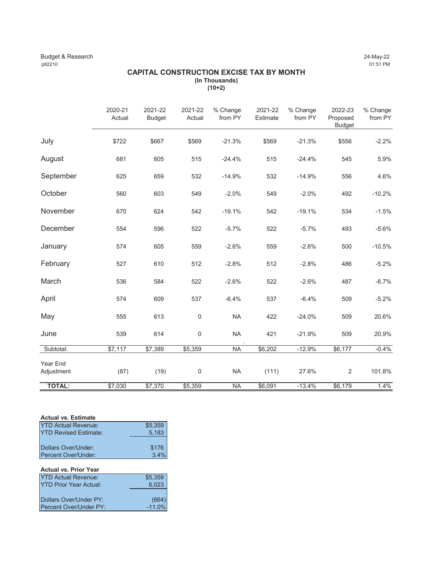# Budget & Research 24-May-22<br>
24-May-22 (151 PM) 27-May-22 :plt2210 01:51 PM

# **CAPITAL CONSTRUCTION EXCISE TAX BY MONTH (In Thousands) (10+2)**

|                        | 2020-21<br>Actual | 2021-22<br><b>Budget</b> | 2021-22<br>Actual | % Change<br>from PY | 2021-22<br>Estimate | % Change<br>from PY | 2022-23<br>Proposed<br><b>Budget</b> | % Change<br>from PY |
|------------------------|-------------------|--------------------------|-------------------|---------------------|---------------------|---------------------|--------------------------------------|---------------------|
| July                   | \$722             | \$667                    | \$569             | $-21.3%$            | \$569               | $-21.3%$            | \$556                                | $-2.2%$             |
| August                 | 681               | 605                      | 515               | $-24.4%$            | 515                 | $-24.4%$            | 545                                  | 5.9%                |
| September              | 625               | 659                      | 532               | $-14.9%$            | 532                 | $-14.9%$            | 556                                  | 4.6%                |
| October                | 560               | 603                      | 549               | $-2.0%$             | 549                 | $-2.0%$             | 492                                  | $-10.2%$            |
| November               | 670               | 624                      | 542               | $-19.1%$            | 542                 | $-19.1%$            | 534                                  | $-1.5%$             |
| December               | 554               | 596                      | 522               | $-5.7%$             | 522                 | $-5.7%$             | 493                                  | $-5.6%$             |
| January                | 574               | 605                      | 559               | $-2.6%$             | 559                 | $-2.6%$             | 500                                  | $-10.5%$            |
| February               | 527               | 610                      | 512               | $-2.8%$             | 512                 | $-2.8%$             | 486                                  | $-5.2%$             |
| March                  | 536               | 584                      | 522               | $-2.6%$             | 522                 | $-2.6%$             | 487                                  | $-6.7%$             |
| April                  | 574               | 609                      | 537               | $-6.4%$             | 537                 | $-6.4%$             | 509                                  | $-5.2%$             |
| May                    | 555               | 613                      | $\mathbf 0$       | <b>NA</b>           | 422                 | $-24.0%$            | 509                                  | 20.6%               |
| June                   | 539               | 614                      | $\mathsf 0$       | <b>NA</b>           | 421                 | $-21.9%$            | 509                                  | 20.9%               |
| Subtotal:              | \$7,117           | \$7,389                  | \$5,359           | <b>NA</b>           | \$6,202             | $-12.9%$            | \$6,177                              | $-0.4%$             |
| Year End<br>Adjustment | (87)              | (19)                     | $\boldsymbol{0}$  | <b>NA</b>           | (111)               | 27.6%               | $\overline{2}$                       | 101.8%              |
| <b>TOTAL:</b>          | \$7,030           | \$7,370                  | \$5,359           | <b>NA</b>           | \$6,091             | $-13.4%$            | \$6,179                              | 1.4%                |

# **Actual vs. Estimate**

| <b>YTD Actual Revenue:</b>   | \$5,359 |
|------------------------------|---------|
| <b>YTD Revised Estimate:</b> | 5,183   |
|                              |         |
| Dollars Over/Under:          | \$176   |
| Percent Over/Under:          | 3.4%    |

| <b>Actual vs. Prior Year</b>  |          |
|-------------------------------|----------|
| <b>YTD</b> Actual Revenue:    | \$5,359  |
| <b>YTD Prior Year Actual:</b> | 6,023    |
|                               |          |
| Dollars Over/Under PY:        | (664)    |
| Percent Over/Under PY:        | $-11.0%$ |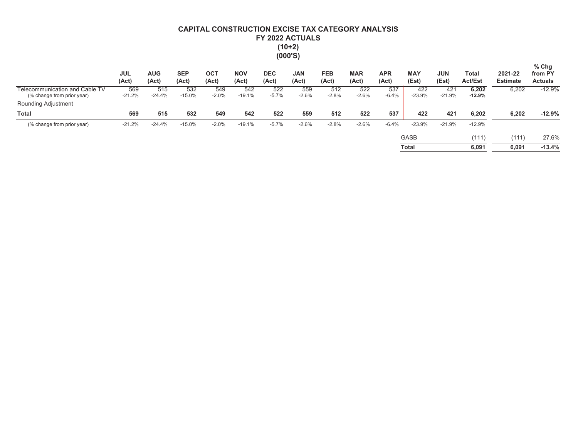# CAPITAL CONSTRUCTION EXCISE TAX CATEGORY ANALYSIS FY 2022 ACTUALS  $(10+2)$ <br> $(000'S)$

|                                                              | <b>JUL</b><br>(Act) | <b>AUG</b><br>(Act) | <b>SEP</b><br>(Act) | <b>OCT</b><br>(Act) | <b>NOV</b><br>(Act) | <b>DEC</b><br>(Act) | <b>JAN</b><br>(Act) | <b>FEB</b><br>(Act) | <b>MAR</b><br>(Act) | <b>APR</b><br>(Act) | <b>MAY</b><br>(Est) | <b>JUN</b><br>(Est) | Total<br><b>Act/Est</b> | 2021-22<br><b>Estimate</b> | $%$ Chg<br>from PY<br><b>Actuals</b> |
|--------------------------------------------------------------|---------------------|---------------------|---------------------|---------------------|---------------------|---------------------|---------------------|---------------------|---------------------|---------------------|---------------------|---------------------|-------------------------|----------------------------|--------------------------------------|
| Telecommunication and Cable TV<br>(% change from prior year) | 569<br>$-21.2%$     | 515<br>$-24.4%$     | 532<br>$-15.0%$     | 549<br>$-2.0%$      | 542<br>$-19.1%$     | 522<br>$-5.7%$      | 559<br>$-2.6%$      | 512<br>$-2.8%$      | 522<br>$-2.6%$      | 537<br>$-6.4%$      | 422<br>$-23.9%$     | 421<br>$-21.9%$     | 6,202<br>$-12.9%$       | 6,202                      | $-12.9%$                             |
| Rounding Adjustment                                          |                     |                     |                     |                     |                     |                     |                     |                     |                     |                     |                     |                     |                         |                            |                                      |
| <b>Total</b>                                                 | 569                 | 515                 | 532                 | 549                 | 542                 | 522                 | 559                 | 512                 | 522                 | 537                 | 422                 | 421                 | 6.202                   | 6.202                      | $-12.9%$                             |
| (% change from prior year)                                   | $-21.2%$            | $-24.4%$            | $-15.0%$            | $-2.0%$             | $-19.1%$            | $-5.7%$             | $-2.6%$             | $-2.8%$             | $-2.6%$             | $-6.4%$             | $-23.9%$            | $-21.9%$            | $-12.9%$                |                            |                                      |
|                                                              |                     |                     |                     |                     |                     |                     |                     |                     |                     |                     | <b>GASB</b>         |                     | (111)                   | (111)                      | 27.6%                                |
|                                                              |                     |                     |                     |                     |                     |                     |                     |                     |                     |                     | <b>Total</b>        |                     | 6.091                   | 6.091                      | $-13.4%$                             |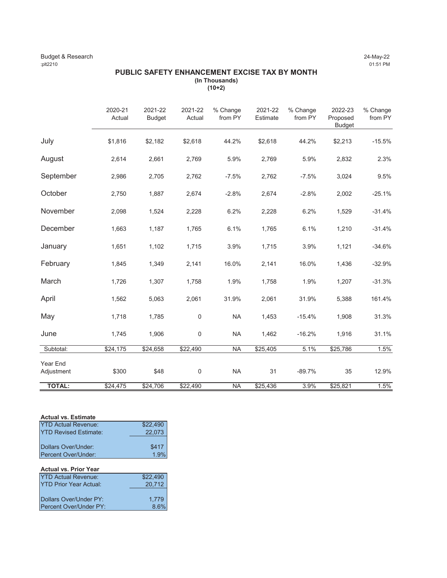# Budget & Research 24-May-22<br>
24-May-22 (151 PM) 27-May-22 :plt2210 01:51 PM

# **PUBLIC SAFETY ENHANCEMENT EXCISE TAX BY MONTH (In Thousands) (10+2)**

|                        | 2020-21<br>Actual | 2021-22<br><b>Budget</b> | 2021-22<br>Actual | % Change<br>from PY | 2021-22<br>Estimate | % Change<br>from PY | 2022-23<br>Proposed<br><b>Budget</b> | % Change<br>from PY |
|------------------------|-------------------|--------------------------|-------------------|---------------------|---------------------|---------------------|--------------------------------------|---------------------|
| July                   | \$1,816           | \$2,182                  | \$2,618           | 44.2%               | \$2,618             | 44.2%               | \$2,213                              | $-15.5%$            |
| August                 | 2,614             | 2,661                    | 2,769             | 5.9%                | 2,769               | 5.9%                | 2,832                                | 2.3%                |
| September              | 2,986             | 2,705                    | 2,762             | $-7.5%$             | 2,762               | $-7.5%$             | 3,024                                | 9.5%                |
| October                | 2,750             | 1,887                    | 2,674             | $-2.8%$             | 2,674               | $-2.8%$             | 2,002                                | $-25.1%$            |
| November               | 2,098             | 1,524                    | 2,228             | 6.2%                | 2,228               | 6.2%                | 1,529                                | $-31.4%$            |
| December               | 1,663             | 1,187                    | 1,765             | 6.1%                | 1,765               | 6.1%                | 1,210                                | $-31.4%$            |
| January                | 1,651             | 1,102                    | 1,715             | 3.9%                | 1,715               | 3.9%                | 1,121                                | $-34.6%$            |
| February               | 1,845             | 1,349                    | 2,141             | 16.0%               | 2,141               | 16.0%               | 1,436                                | $-32.9%$            |
| March                  | 1,726             | 1,307                    | 1,758             | 1.9%                | 1,758               | 1.9%                | 1,207                                | $-31.3%$            |
| April                  | 1,562             | 5,063                    | 2,061             | 31.9%               | 2,061               | 31.9%               | 5,388                                | 161.4%              |
| May                    | 1,718             | 1,785                    | 0                 | <b>NA</b>           | 1,453               | $-15.4%$            | 1,908                                | 31.3%               |
| June                   | 1,745             | 1,906                    | 0                 | <b>NA</b>           | 1,462               | $-16.2%$            | 1,916                                | 31.1%               |
| Subtotal:              | \$24,175          | \$24,658                 | \$22,490          | <b>NA</b>           | \$25,405            | 5.1%                | \$25,786                             | 1.5%                |
| Year End<br>Adjustment | \$300             | \$48                     | $\mathsf 0$       | <b>NA</b>           | 31                  | $-89.7%$            | 35                                   | 12.9%               |
| <b>TOTAL:</b>          | \$24,475          | \$24,706                 | \$22,490          | <b>NA</b>           | \$25,436            | 3.9%                | \$25,821                             | 1.5%                |

### **Actual vs. Estimate**

| <b>YTD Actual Revenue:</b>                 | \$22,490      |
|--------------------------------------------|---------------|
| <b>YTD Revised Estimate:</b>               | 22,073        |
| Dollars Over/Under:<br>Percent Over/Under: | \$417<br>1.9% |
| <b>Actual vs. Prior Year</b>               |               |

| \$22,490 |
|----------|
| 20,712   |
|          |
| 1.779    |
| 8.6%     |
|          |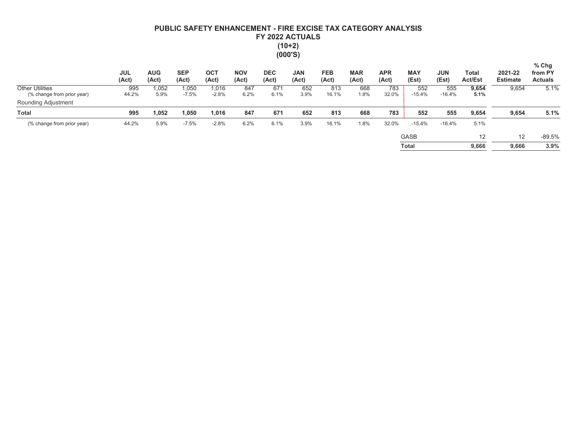# PUBLIC SAFETY ENHANCEMENT - FIRE EXCISE TAX CATEGORY ANALYSIS FY 2022 ACTUALS  $(10+2)$  $(000'S)$

|                                                      | <b>JUL</b><br>(Act) | <b>AUG</b><br>(Act) | <b>SEP</b><br>(Act) | OC <sub>1</sub><br>(Act) | <b>NOV</b><br>(Act) | <b>DEC</b><br>(Act) | <b>JAN</b><br>(Act) | <b>FEB</b><br>(Act) | <b>MAR</b><br>(Act) | <b>APR</b><br>(Act) | <b>MAY</b><br>(Est) | <b>JUN</b><br>(Est) | Total<br><b>Act/Est</b> | 2021-22<br><b>Estimate</b> | $%$ Chg<br>from PY<br><b>Actuals</b> |
|------------------------------------------------------|---------------------|---------------------|---------------------|--------------------------|---------------------|---------------------|---------------------|---------------------|---------------------|---------------------|---------------------|---------------------|-------------------------|----------------------------|--------------------------------------|
| <b>Other Utilities</b><br>(% change from prior year) | 995<br>44.2%        | 1,052<br>5.9%       | 1,050<br>$-7.5%$    | 1,016<br>$-2.8%$         | 847<br>6.2%         | 671<br>6.1%         | 652<br>3.9%         | 813<br>16.1%        | 668<br>1.8%         | 783<br>32.0%        | 552<br>$-15.4%$     | 555<br>$-16.4%$     | 9,654<br>5.1%           | 9,654                      | 5.1%                                 |
| Rounding Adjustment                                  |                     |                     |                     |                          |                     |                     |                     |                     |                     |                     |                     |                     |                         |                            |                                      |
| <b>Total</b>                                         | 995                 | 1,052               | ,050                | 1,016                    | 847                 | 671                 | 652                 | 813                 | 668                 | 783                 | 552                 | 555                 | 9,654                   | 9,654                      | 5.1%                                 |
| (% change from prior year)                           | 44.2%               | 5.9%                | $-7.5%$             | $-2.8%$                  | 6.2%                | 6.1%                | 3.9%                | 16.1%               | 1.8%                | 32.0%               | $-15.4%$            | $-16.4%$            | 5.1%                    |                            |                                      |
|                                                      |                     |                     |                     |                          |                     |                     |                     |                     |                     |                     | <b>GASB</b>         |                     | 12                      | 12                         | $-89.5%$                             |
|                                                      |                     |                     |                     |                          |                     |                     |                     |                     |                     |                     | <b>Total</b>        |                     | 9,666                   | 9.666                      | 3.9%                                 |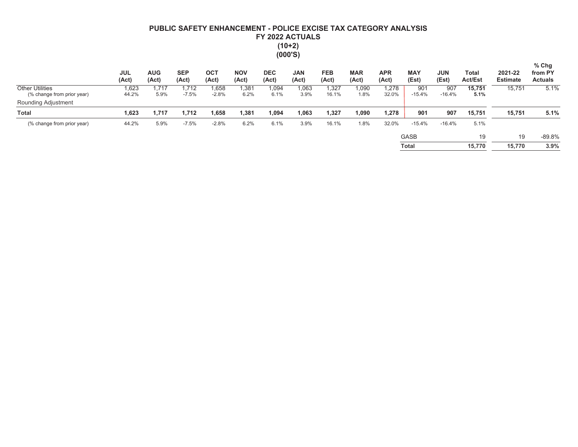# PUBLIC SAFETY ENHANCEMENT - POLICE EXCISE TAX CATEGORY ANALYSIS FY 2022 ACTUALS  $(10+2)$  $(000'S)$

|                                                      | <b>JUL</b><br>(Act) | <b>AUG</b><br>(Act) | <b>SEP</b><br>(Act) | OC <sub>1</sub><br>(Act) | <b>NOV</b><br>(Act) | <b>DEC</b><br>(Act) | <b>JAN</b><br>(Act) | <b>FEB</b><br>(Act) | <b>MAR</b><br>(Act) | <b>APR</b><br>(Act) | <b>MAY</b><br>(Est) | <b>JUN</b><br>(Est) | Total<br><b>Act/Est</b> | 2021-22<br><b>Estimate</b> | $%$ Chg<br>from PY<br><b>Actuals</b> |
|------------------------------------------------------|---------------------|---------------------|---------------------|--------------------------|---------------------|---------------------|---------------------|---------------------|---------------------|---------------------|---------------------|---------------------|-------------------------|----------------------------|--------------------------------------|
| <b>Other Utilities</b><br>(% change from prior year) | 1,623<br>44.2%      | .717<br>5.9%        | .712<br>$-7.5%$     | .658<br>$-2.8%$          | .381<br>6.2%        | 1,094<br>6.1%       | ,063<br>3.9%        | 1,327<br>16.1%      | 090,<br>1.8%        | .278<br>32.0%       | 901<br>$-15.4%$     | 907<br>$-16.4%$     | 15.751<br>5.1%          | 15,751                     | 5.1%                                 |
| Rounding Adjustment                                  |                     |                     |                     |                          |                     |                     |                     |                     |                     |                     |                     |                     |                         |                            |                                      |
| <b>Total</b>                                         | 1,623               | 1,717               | 1,712               | 1,658                    | 381,ا               | 1,094               | .063                | 1,327               | 1,090               | 1.278               | 901                 | 907                 | 15,751                  | 15,751                     | 5.1%                                 |
| (% change from prior year)                           | 44.2%               | 5.9%                | $-7.5%$             | $-2.8%$                  | 6.2%                | 6.1%                | 3.9%                | 16.1%               | .8%                 | 32.0%               | $-15.4%$            | $-16.4%$            | 5.1%                    |                            |                                      |
|                                                      |                     |                     |                     |                          |                     |                     |                     |                     |                     |                     | <b>GASB</b>         |                     | 19                      | 19                         | $-89.8%$                             |
|                                                      |                     |                     |                     |                          |                     |                     |                     |                     |                     |                     | Total               |                     | 15.770                  | 15.770                     | 3.9%                                 |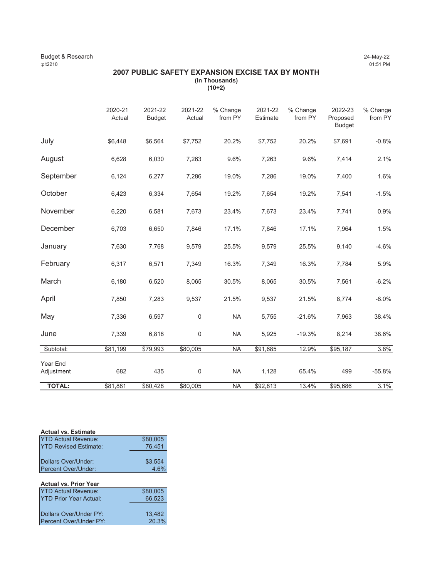### Budget & Research 24-May-22<br>
24-May-22<br>
21.51 PM 2210 :plt2210 01:51 PM

# **2007 PUBLIC SAFETY EXPANSION EXCISE TAX BY MONTH (In Thousands) (10+2)**

|                        | 2020-21<br>Actual | 2021-22<br><b>Budget</b> | 2021-22<br>Actual | % Change<br>from PY | 2021-22<br>Estimate | % Change<br>from PY | 2022-23<br>Proposed<br><b>Budget</b> | % Change<br>from PY |
|------------------------|-------------------|--------------------------|-------------------|---------------------|---------------------|---------------------|--------------------------------------|---------------------|
| July                   | \$6,448           | \$6,564                  | \$7,752           | 20.2%               | \$7,752             | 20.2%               | \$7,691                              | $-0.8%$             |
| August                 | 6,628             | 6,030                    | 7,263             | 9.6%                | 7,263               | 9.6%                | 7,414                                | 2.1%                |
| September              | 6,124             | 6,277                    | 7,286             | 19.0%               | 7,286               | 19.0%               | 7,400                                | 1.6%                |
| October                | 6,423             | 6,334                    | 7,654             | 19.2%               | 7,654               | 19.2%               | 7,541                                | $-1.5%$             |
| November               | 6,220             | 6,581                    | 7,673             | 23.4%               | 7,673               | 23.4%               | 7,741                                | 0.9%                |
| December               | 6,703             | 6,650                    | 7,846             | 17.1%               | 7,846               | 17.1%               | 7,964                                | 1.5%                |
| January                | 7,630             | 7,768                    | 9,579             | 25.5%               | 9,579               | 25.5%               | 9,140                                | $-4.6%$             |
| February               | 6,317             | 6,571                    | 7,349             | 16.3%               | 7,349               | 16.3%               | 7,784                                | 5.9%                |
| March                  | 6,180             | 6,520                    | 8,065             | 30.5%               | 8,065               | 30.5%               | 7,561                                | $-6.2%$             |
| April                  | 7,850             | 7,283                    | 9,537             | 21.5%               | 9,537               | 21.5%               | 8,774                                | $-8.0%$             |
| May                    | 7,336             | 6,597                    | $\mathbf 0$       | <b>NA</b>           | 5,755               | $-21.6%$            | 7,963                                | 38.4%               |
| June                   | 7,339             | 6,818                    | $\mathbf 0$       | <b>NA</b>           | 5,925               | $-19.3%$            | 8,214                                | 38.6%               |
| Subtotal:              | \$81,199          | \$79,993                 | \$80,005          | <b>NA</b>           | \$91,685            | 12.9%               | \$95,187                             | 3.8%                |
| Year End<br>Adjustment | 682               | 435                      | 0                 | <b>NA</b>           | 1,128               | 65.4%               | 499                                  | $-55.8%$            |
| <b>TOTAL:</b>          | \$81,881          | \$80,428                 | \$80,005          | <b>NA</b>           | \$92,813            | 13.4%               | \$95,686                             | 3.1%                |

### **Actual vs. Estimate**

| <b>YTD Actual Revenue:</b>   | \$80,005 |
|------------------------------|----------|
| <b>YTD Revised Estimate:</b> | 76,451   |
|                              |          |
| Dollars Over/Under:          | \$3,554  |
| Percent Over/Under:          | 4.6%     |

#### **Actual vs. Prior Year** YTD Actual Revenue: \$80,005

| <b>YTD Prior Year Actual:</b> | 66.523 |
|-------------------------------|--------|
|                               |        |
| Dollars Over/Under PY:        | 13.482 |
| Percent Over/Under PY:        | 20.3%  |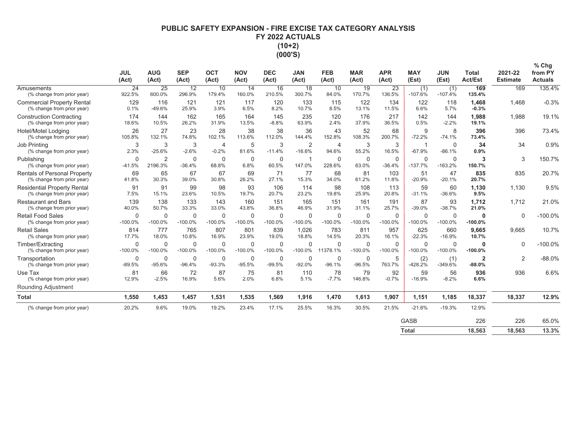# PUBLIC SAFETY EXPANSION - FIRE EXCISE TAX CATEGORY ANALYSIS FY 2022 ACTUALS  $(10+2)$  $(000'S)$

|                                                                   | <b>JUL</b><br>(Act)      | <b>AUG</b><br>(Act)       | <b>SEP</b><br>(Act)      | OCT<br>(Act)              | <b>NOV</b><br>(Act)      | <b>DEC</b><br>(Act)   | <b>JAN</b><br>(Act)        | <b>FEB</b><br>(Act)      | <b>MAR</b><br>(Act)      | <b>APR</b><br>(Act) | <b>MAY</b><br>(Est)      | <b>JUN</b><br>(Est)      | <b>Total</b><br><b>Act/Est</b> | 2021-22<br><b>Estimate</b> | % Chg<br>from PY<br><b>Actuals</b> |
|-------------------------------------------------------------------|--------------------------|---------------------------|--------------------------|---------------------------|--------------------------|-----------------------|----------------------------|--------------------------|--------------------------|---------------------|--------------------------|--------------------------|--------------------------------|----------------------------|------------------------------------|
| Amusements<br>(% change from prior year)                          | 24<br>922.5%             | 25<br>600.0%              | 12<br>296.9%             | 10<br>179.4%              | 14<br>160.0%             | 16<br>210.5%          | 18<br>300.7%               | 10<br>84.0%              | 19<br>170.7%             | 23<br>136.5%        | (1)<br>$-107.6%$         | (1)<br>$-107.4%$         | 169<br>135.4%                  | 169                        | 135.4%                             |
| <b>Commercial Property Rental</b><br>(% change from prior year)   | 129<br>0.1%              | 116<br>$-49.6%$           | 121<br>25.9%             | 121<br>3.9%               | 117<br>6.5%              | 120<br>8.2%           | 133<br>10.7%               | 115<br>8.5%              | 122<br>13.1%             | 134<br>11.5%        | 122<br>6.6%              | 118<br>5.7%              | 1,468<br>$-0.3%$               | 1.468                      | $-0.3%$                            |
| <b>Construction Contracting</b><br>(% change from prior year)     | 174<br>18.6%             | 144<br>10.5%              | 162<br>26.2%             | 165<br>31.9%              | 164<br>13.5%             | 145<br>$-8.8%$        | 235<br>63.9%               | 120<br>2.4%              | 176<br>37.9%             | 217<br>36.5%        | 142<br>0.5%              | 144<br>$-2.2%$           | 1,988<br>19.1%                 | 1.988                      | 19.1%                              |
| Hotel/Motel Lodging<br>(% change from prior year)                 | 26<br>105.8%             | 27<br>132.1%              | 23<br>74.8%              | 28<br>102.1%              | 38<br>113.6%             | 38<br>112.0%          | 36<br>144.4%               | 43<br>152.8%             | 52<br>108.3%             | 68<br>200.7%        | 9<br>$-72.2%$            | 8<br>$-74.1%$            | 396<br>73.4%                   | 396                        | 73.4%                              |
| Job Printing<br>(% change from prior year)                        | 3<br>2.3%                | 3<br>$-25.6%$             | 3<br>$-2.6%$             | $\overline{4}$<br>$-0.2%$ | 5<br>81.6%               | 3<br>$-11.4%$         | $\overline{2}$<br>$-16.6%$ | $\overline{4}$<br>94.6%  | 3<br>55.2%               | 3<br>16.5%          | -1<br>$-67.9%$           | $\mathbf 0$<br>$-86.1%$  | 34<br>0.9%                     | 34                         | 0.9%                               |
| Publishing<br>(% change from prior year)                          | $\mathbf 0$<br>$-41.5%$  | $\overline{2}$<br>2196.3% | 0<br>$-36.4%$            | $\mathbf 0$<br>68.8%      | $\mathbf 0$<br>6.8%      | $\mathbf 0$<br>60.5%  | 147.0%                     | $\mathbf 0$<br>228.6%    | $\mathbf 0$<br>63.0%     | 0<br>$-36.4%$       | $\mathbf 0$<br>$-137.7%$ | $\mathbf 0$<br>$-163.2%$ | 3<br>150.7%                    | 3                          | 150.7%                             |
| <b>Rentals of Personal Property</b><br>(% change from prior year) | 69<br>41.8%              | 65<br>30.3%               | 67<br>39.0%              | 67<br>30.8%               | 69<br>26.2%              | 71<br>27.1%           | 77<br>15.3%                | 68<br>34.0%              | 81<br>61.2%              | 103<br>11.8%        | 51<br>$-20.9%$           | 47<br>$-20.1%$           | 835<br>20.7%                   | 835                        | 20.7%                              |
| <b>Residential Property Rental</b><br>(% change from prior year)  | 91<br>7.5%               | 91<br>15.1%               | 99<br>23.6%              | 98<br>10.5%               | 93<br>19.7%              | 106<br>20.7%          | 114<br>23.2%               | 98<br>19.8%              | 108<br>25.9%             | 113<br>20.8%        | 59<br>$-31.1%$           | 60<br>$-36.6%$           | 1.130<br>9.5%                  | 1,130                      | 9.5%                               |
| <b>Restaurant and Bars</b><br>(% change from prior year)          | 139<br>40.0%             | 138<br>50.7%              | 133<br>33.3%             | 143<br>33.0%              | 160<br>43.8%             | 151<br>36.8%          | 165<br>46.9%               | 151<br>31.9%             | 161<br>31.1%             | 191<br>25.7%        | 87<br>$-39.0%$           | 93<br>$-38.7%$           | 1,712<br>21.0%                 | 1,712                      | 21.0%                              |
| <b>Retail Food Sales</b><br>(% change from prior year)            | $\mathbf 0$<br>$-100.0%$ | 0<br>$-100.0%$            | $\mathbf 0$<br>$-100.0%$ | 0<br>$-100.0%$            | $\mathbf 0$<br>$-100.0%$ | $\Omega$<br>$-100.0%$ | $\Omega$<br>$-100.0%$      | $\mathbf 0$<br>$-100.0%$ | $\mathbf 0$<br>$-100.0%$ | 0<br>$-100.0%$      | $\mathbf 0$<br>$-100.0%$ | $\mathbf 0$<br>$-100.0%$ | $\mathbf 0$<br>$-100.0%$       | $\mathbf 0$                | $-100.0%$                          |
| <b>Retail Sales</b><br>(% change from prior year)                 | 814<br>17.7%             | 777<br>18.0%              | 765<br>10.8%             | 807<br>16.9%              | 801<br>23.9%             | 839<br>19.0%          | 1,026<br>18.8%             | 783<br>14.5%             | 811<br>20.3%             | 957<br>16.1%        | 625<br>$-22.3%$          | 660<br>$-16.9%$          | 9.665<br>10.7%                 | 9.665                      | 10.7%                              |
| Timber/Extracting<br>(% change from prior year)                   | $\Omega$<br>$-100.0%$    | $\Omega$<br>$-100.0%$     | 0<br>$-100.0%$           | $\Omega$<br>$-100.0%$     | $\mathbf 0$<br>$-100.0%$ | $\Omega$<br>$-100.0%$ | $\Omega$<br>$-100.0%$      | $\Omega$<br>11378.1%     | $\mathbf 0$<br>$-100.0%$ | 0<br>$-100.0%$      | $\Omega$<br>$-100.0%$    | $\mathbf 0$<br>$-100.0%$ | $\mathbf 0$<br>$-100.0%$       | $\Omega$                   | $-100.0%$                          |
| Transportation<br>(% change from prior year)                      | $\mathbf 0$<br>$-89.5%$  | 0<br>$-95.6%$             | 0<br>$-96.4%$            | 0<br>$-93.3%$             | $\mathbf 0$<br>$-95.5%$  | 0<br>$-99.5%$         | $\Omega$<br>$-92.0%$       | 0<br>$-96.1%$            | $\pmb{0}$<br>$-96.5%$    | 5<br>763.7%         | (2)<br>$-428.2%$         | (1)<br>$-349.6%$         | $\overline{2}$<br>$-88.0%$     | $\overline{2}$             | $-88.0%$                           |
| Use Tax<br>(% change from prior year)                             | 81<br>12.9%              | 66<br>$-2.5%$             | 72<br>16.9%              | 87<br>5.6%                | 75<br>2.0%               | 81<br>6.8%            | 110<br>5.1%                | 78<br>$-7.7%$            | 79<br>146.8%             | 92<br>$-0.7%$       | 59<br>$-16.9%$           | 56<br>$-8.2%$            | 936<br>6.6%                    | 936                        | 6.6%                               |
| Rounding Adjustment                                               |                          |                           |                          |                           |                          |                       |                            |                          |                          |                     |                          |                          |                                |                            |                                    |
| <b>Total</b>                                                      | 1.550                    | 1.453                     | 1.457                    | 1.531                     | 1,535                    | 1,569                 | 1,916                      | 1,470                    | 1,613                    | 1,907               | 1,151                    | 1,185                    | 18,337                         | 18,337                     | 12.9%                              |
| (% change from prior year)                                        | 20.2%                    | 9.6%                      | 19.0%                    | 19.2%                     | 23.4%                    | 17.1%                 | 25.5%                      | 16.3%                    | 30.5%                    | 21.5%               | $-21.6%$                 | $-19.3%$                 | 12.9%                          |                            |                                    |
|                                                                   |                          |                           |                          |                           |                          |                       |                            |                          |                          |                     | <b>GASB</b>              |                          | 226                            | 226                        | 65.0%                              |

Total 18,563 18,563 13.3%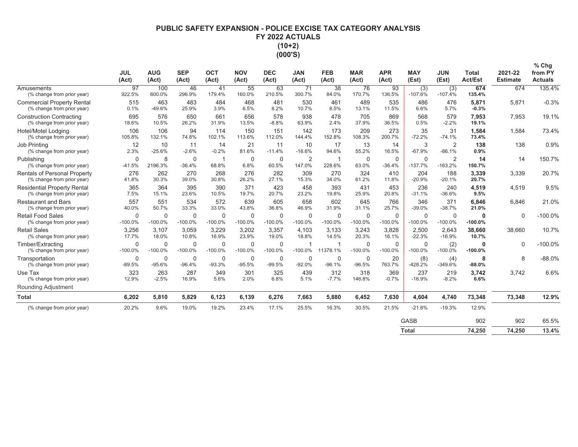# PUBLIC SAFETY EXPANSION - POLICE EXCISE TAX CATEGORY ANALYSIS FY 2022 ACTUALS  $(10+2)$ (000'S)

|                                                                     | <b>JUL</b>               | <b>AUG</b>               | <b>SEP</b>               | <b>OCT</b>                | <b>NOV</b>                | <b>DEC</b>               | <b>JAN</b>               | <b>FEB</b>               | <b>MAR</b>               | <b>APR</b>               | <b>MAY</b>               | <b>JUN</b>               | <b>Total</b>     | 2021-22         | % Chg<br>from PY |
|---------------------------------------------------------------------|--------------------------|--------------------------|--------------------------|---------------------------|---------------------------|--------------------------|--------------------------|--------------------------|--------------------------|--------------------------|--------------------------|--------------------------|------------------|-----------------|------------------|
|                                                                     | (Act)                    | (Act)                    | (Act)                    | (Act)                     | (Act)                     | (Act)                    | (Act)                    | (Act)                    | (Act)                    | (Act)                    | (Est)                    | (Est)                    | <b>Act/Est</b>   | <b>Estimate</b> | <b>Actuals</b>   |
| Amusements<br>(% change from prior year)                            | 97<br>922.5%             | 100<br>600.0%            | 46<br>296.9%             | 41<br>179.4%              | 55<br>160.0%              | 63<br>210.5%             | 71<br>300.7%             | 38<br>84.0%              | 76<br>170.7%             | 93<br>136.5%             | (3)<br>$-107.6%$         | (3)<br>$-107.4%$         | 674<br>135.4%    | 674             | 135.4%           |
| <b>Commercial Property Rental</b><br>(% change from prior year)     | 515<br>0.1%              | 463<br>$-49.6%$          | 483<br>25.9%             | 484<br>3.9%               | 468<br>6.5%               | 481<br>8.2%              | 530<br>10.7%             | 461<br>8.5%              | 489<br>13.1%             | 535<br>11.5%             | 486<br>6.6%              | 476<br>5.7%              | 5,871<br>$-0.3%$ | 5,871           | $-0.3%$          |
| <b>Construction Contracting</b><br>(% change from prior year)       | 695<br>18.6%             | 576<br>10.5%             | 650<br>26.2%             | 661<br>31.9%              | 656<br>13.5%              | 578<br>$-8.8%$           | 938<br>63.9%             | 478<br>2.4%              | 705<br>37.9%             | 869<br>36.5%             | 568<br>0.5%              | 579<br>$-2.2%$           | 7,953<br>19.1%   | 7,953           | 19.1%            |
| Hotel/Motel Lodging<br>(% change from prior year)                   | 106<br>105.8%            | 106<br>132.1%            | 94<br>74.8%              | 114<br>102.1%             | 150<br>113.6%             | 151<br>112.0%            | 142<br>144.4%            | 173<br>152.8%            | 209<br>108.3%            | 273<br>200.7%            | 35<br>$-72.2%$           | 31<br>$-74.1%$           | 1,584<br>73.4%   | 1,584           | 73.4%            |
| <b>Job Printing</b><br>(% change from prior year)                   | 12<br>2.3%               | 10<br>$-25.6%$           | 11<br>$-2.6%$            | 14<br>$-0.2%$             | 21<br>81.6%               | 11<br>$-11.4%$           | 10<br>$-16.6%$           | 17<br>94.6%              | 13<br>55.2%              | 14<br>16.5%              | 3<br>$-67.9%$            | 2<br>$-86.1%$            | 138<br>0.9%      | 138             | 0.9%             |
| Publishing<br>(% change from prior year)                            | $\mathbf 0$<br>$-41.5%$  | 8<br>2196.3%             | $\Omega$<br>$-36.4%$     | 68.8%                     | $\mathbf 0$<br>6.8%       | $\mathbf 0$<br>60.5%     | $\overline{2}$<br>147.0% | 1<br>228.6%              | $\mathbf 0$<br>63.0%     | $\mathbf 0$<br>$-36.4%$  | $\mathbf 0$<br>$-137.7%$ | 2<br>$-163.2%$           | 14<br>150.7%     | 14              | 150.7%           |
| <b>Rentals of Personal Property</b><br>(% change from prior year)   | 276<br>41.8%             | 262<br>30.3%             | 270<br>39.0%             | 268<br>30.8%              | 276<br>26.2%              | 282<br>27.1%             | 309<br>15.3%             | 270<br>34.0%             | 324<br>61.2%             | 410<br>11.8%             | 204<br>$-20.9%$          | 188<br>$-20.1%$          | 3,339<br>20.7%   | 3,339           | 20.7%            |
| <b>Residential Property Rental</b><br>(% change from prior year)    | 365<br>7.5%              | 364<br>15.1%             | 395<br>23.6%             | 390<br>10.5%              | 371<br>19.7%              | 423<br>20.7%             | 458<br>23.2%             | 393<br>19.8%             | 431<br>25.9%             | 453<br>20.8%             | 236<br>$-31.1%$          | 240<br>$-36.6%$          | 4,519<br>9.5%    | 4,519           | 9.5%             |
| <b>Restaurant and Bars</b><br>(% change from prior year)            | 557<br>40.0%             | 551<br>50.7%             | 534<br>33.3%             | 572<br>33.0%              | 639<br>43.8%              | 605<br>36.8%             | 658<br>46.9%             | 602<br>31.9%             | 645<br>31.1%             | 766<br>25.7%             | 346<br>$-39.0%$          | 371<br>$-38.7%$          | 6,846<br>21.0%   | 6,846           | 21.0%            |
| <b>Retail Food Sales</b><br>(% change from prior year)              | $\mathbf 0$<br>$-100.0%$ | $\mathbf 0$<br>$-100.0%$ | $\mathbf 0$<br>$-100.0%$ | $\mathbf 0$<br>$-100.0%$  | $\mathbf 0$<br>$-100.0%$  | $\mathbf 0$<br>$-100.0%$ | 0<br>$-100.0%$           | $\mathbf 0$<br>$-100.0%$ | $\mathbf 0$<br>$-100.0%$ | 0<br>$-100.0%$           | $\mathbf 0$<br>$-100.0%$ | $\mathbf 0$<br>$-100.0%$ | 0<br>$-100.0%$   | $\mathbf 0$     | $-100.0%$        |
| <b>Retail Sales</b><br>(% change from prior year)                   | 3,256<br>17.7%           | 3,107<br>18.0%           | 3,059<br>10.8%           | 3,229<br>16.9%            | 3,202<br>23.9%            | 3,357<br>19.0%           | 4.103<br>18.8%           | 3,133<br>14.5%           | 3,243<br>20.3%           | 3,828<br>16.1%           | 2,500<br>$-22.3%$        | 2,643<br>$-16.9%$        | 38,660<br>10.7%  | 38,660          | 10.7%            |
| Timber/Extracting<br>(% change from prior year)                     | $\mathbf 0$<br>$-100.0%$ | $\Omega$<br>$-100.0%$    | $\Omega$<br>$-100.0%$    | $\mathbf 0$<br>$-100.0\%$ | $\mathbf 0$<br>$-100.0\%$ | $\mathbf 0$<br>$-100.0%$ | $-100.0%$                | 1<br>11378.1%            | $\mathbf 0$<br>$-100.0%$ | $\mathbf 0$<br>$-100.0%$ | $\mathbf 0$<br>$-100.0%$ | (2)<br>$-100.0%$         | 0<br>$-100.0%$   | $\Omega$        | $-100.0%$        |
| Transportation<br>(% change from prior year)                        | $\mathbf 0$<br>$-89.5%$  | $\Omega$<br>$-95.6%$     | $\mathbf 0$<br>$-96.4%$  | $\mathbf 0$<br>$-93.3%$   | $\mathbf 0$<br>$-95.5%$   | 0<br>$-99.5%$            | 0<br>$-92.0%$            | 0<br>$-96.1%$            | $\mathbf 0$<br>$-96.5%$  | 20<br>763.7%             | (8)<br>$-428.2%$         | (4)<br>$-349.6%$         | 8<br>$-88.0%$    | 8               | $-88.0%$         |
| Use Tax<br>(% change from prior year)<br><b>Rounding Adjustment</b> | 323<br>12.9%             | 263<br>$-2.5%$           | 287<br>16.9%             | 349<br>5.6%               | 301<br>2.0%               | 325<br>6.8%              | 439<br>5.1%              | 312<br>$-7.7%$           | 318<br>146.8%            | 369<br>$-0.7%$           | 237<br>$-16.9%$          | 219<br>$-8.2%$           | 3.742<br>6.6%    | 3,742           | 6.6%             |
| <b>Total</b>                                                        | 6,202                    | 5,810                    | 5,829                    | 6,123                     | 6,139                     | 6,276                    | 7,663                    | 5,880                    | 6,452                    | 7,630                    | 4,604                    | 4,740                    | 73,348           | 73,348          | 12.9%            |
| (% change from prior year)                                          | 20.2%                    | 9.6%                     | 19.0%                    | 19.2%                     | 23.4%                     | 17.1%                    | 25.5%                    | 16.3%                    | 30.5%                    | 21.5%                    | $-21.6%$                 | $-19.3%$                 | 12.9%            |                 |                  |
|                                                                     |                          |                          |                          |                           |                           |                          |                          |                          |                          |                          | <b>GASB</b>              |                          | 902              | 902             | 65.5%            |

| ິ     | $\cdots$ | $\sim$ $\sim$ $\sim$ | $\sim\!\!\sim\!$ |
|-------|----------|----------------------|------------------|
| Total | 74,250   | 74,250               | 13.4             |
|       |          |                      |                  |

 $13.4%$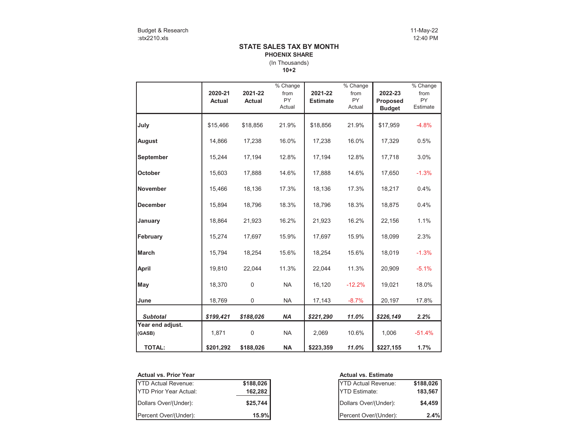### (In Thousands) **STATE SALES TAX BY MONTH PHOENIX SHARE**

**10+2**

|                            | 2020-21       | 2021-22       | % Change<br>from    | 2021-22         | % Change<br>from    | 2022-23                   | % Change<br>from      |
|----------------------------|---------------|---------------|---------------------|-----------------|---------------------|---------------------------|-----------------------|
|                            | <b>Actual</b> | <b>Actual</b> | <b>PY</b><br>Actual | <b>Estimate</b> | <b>PY</b><br>Actual | Proposed<br><b>Budget</b> | <b>PY</b><br>Estimate |
| July                       | \$15,466      | \$18,856      | 21.9%               | \$18,856        | 21.9%               | \$17,959                  | $-4.8%$               |
| August                     | 14,866        | 17,238        | 16.0%               | 17,238          | 16.0%               | 17,329                    | 0.5%                  |
| September                  | 15,244        | 17,194        | 12.8%               | 17,194          | 12.8%               | 17,718                    | 3.0%                  |
| <b>October</b>             | 15,603        | 17,888        | 14.6%               | 17,888          | 14.6%               | 17,650                    | $-1.3%$               |
| <b>November</b>            | 15,466        | 18,136        | 17.3%               | 18,136          | 17.3%               | 18,217                    | 0.4%                  |
| <b>December</b>            | 15,894        | 18,796        | 18.3%               | 18,796          | 18.3%               | 18,875                    | 0.4%                  |
| January                    | 18,864        | 21,923        | 16.2%               | 21,923          | 16.2%               | 22,156                    | 1.1%                  |
| February                   | 15,274        | 17,697        | 15.9%               | 17,697          | 15.9%               | 18,099                    | 2.3%                  |
| <b>March</b>               | 15,794        | 18,254        | 15.6%               | 18,254          | 15.6%               | 18,019                    | $-1.3%$               |
| April                      | 19,810        | 22,044        | 11.3%               | 22,044          | 11.3%               | 20,909                    | $-5.1%$               |
| May                        | 18,370        | $\Omega$      | <b>NA</b>           | 16,120          | $-12.2%$            | 19,021                    | 18.0%                 |
| June                       | 18,769        | 0             | <b>NA</b>           | 17,143          | $-8.7%$             | 20,197                    | 17.8%                 |
| <b>Subtotal</b>            | \$199,421     | \$188,026     | <b>NA</b>           | \$221,290       | 11.0%               | \$226,149                 | 2.2%                  |
| Year end adjust.<br>(GASB) | 1,871         | $\mathbf 0$   | <b>NA</b>           | 2,069           | 10.6%               | 1,006                     | $-51.4%$              |
| <b>TOTAL:</b>              | \$201,292     | \$188,026     | <b>NA</b>           | \$223,359       | 11.0%               | \$227,155                 | 1.7%                  |

### **Actual vs. Prior Year**

| <b>YTD Actual Revenue:</b>    | \$188,026 | <b>IYTD Actual Revenue:</b> | \$188,026 |
|-------------------------------|-----------|-----------------------------|-----------|
| <b>YTD Prior Year Actual:</b> | 162,282   | <b>YTD Estimate:</b>        | 183.567   |
| Dollars Over/(Under):         | \$25,744  | Dollars Over/(Under):       | \$4,459   |
| Percent Over/(Under):         | 15.9%     | Percent Over/(Under):       | 2.4%      |

| ×   |           | <b>Actual vs. Estimate</b> |           |
|-----|-----------|----------------------------|-----------|
|     | \$188,026 | <b>YTD Actual Revenue:</b> | \$188,026 |
| al: | 162,282   | <b>IYTD Estimate:</b>      | 183,567   |
|     | \$25,744  | Dollars Over/(Under):      | \$4,459   |
|     | 15.9%     | Percent Over/(Under):      | 2.4%      |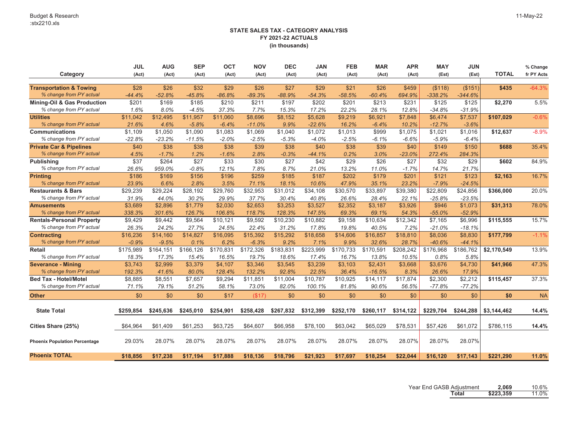|                                      | <b>JUL</b> | <b>AUG</b> | <b>SEP</b> | <b>OCT</b> | <b>NOV</b> | <b>DEC</b> | <b>JAN</b> | <b>FEB</b> | <b>MAR</b> | <b>APR</b> | <b>MAY</b> | <b>JUN</b> |              | % Change   |
|--------------------------------------|------------|------------|------------|------------|------------|------------|------------|------------|------------|------------|------------|------------|--------------|------------|
| Category                             | (Act)      | (Act)      | (Act)      | (Act)      | (Act)      | (Act)      | (Act)      | (Act)      | (Act)      | (Act)      | (Est)      | (Est)      | <b>TOTAL</b> | fr PY Acts |
|                                      |            |            |            |            |            |            |            |            |            |            |            |            |              |            |
| <b>Transportation &amp; Towing</b>   | \$28       | \$26       | \$32       | \$29       | \$26       | \$27       | \$29       | \$21       | \$26       | \$459      | (\$118)    | (\$151)    | \$435        | $-64.3%$   |
| % change from PY actual              | $-44.4%$   | $-52.8%$   | $-45.8%$   | $-86.8%$   | $-89.3%$   | $-88.9%$   | $-54.3%$   | $-58.5%$   | $-60.4%$   | 694.9%     | $-338.2%$  | $-344.6%$  |              |            |
| Mining-Oil & Gas Production          | \$201      | \$169      | \$185      | \$210      | \$211      | \$197      | \$202      | \$201      | \$213      | \$231      | \$125      | \$125      | \$2,270      | 5.5%       |
| % change from PY actual              | 1.6%       | 8.0%       | $-4.5%$    | 37.3%      | 7.7%       | 15.3%      | 17.2%      | 22.2%      | 28.1%      | 12.8%      | $-34.8%$   | $-31.9%$   |              |            |
| <b>Utilities</b>                     | \$11,042   | \$12,495   | \$11,957   | \$11,060   | \$8,696    | \$8,152    | \$5,628    | \$9,219    | \$6,921    | \$7,848    | \$6,474    | \$7,537    | \$107,029    | $-0.6%$    |
| % change from PY actual              | 21.6%      | 4.6%       | $-5.8%$    | $-6.4%$    | $-11.0%$   | 9.9%       | $-22.6%$   | 16.2%      | $-6.4%$    | 10.2%      | $-12.7%$   | $-3.6%$    |              |            |
| <b>Communications</b>                | \$1,109    | \$1,050    | \$1.090    | \$1,083    | \$1,069    | \$1,040    | \$1,072    | \$1,013    | \$999      | \$1,075    | \$1,021    | \$1,016    | \$12,637     | $-8.9%$    |
| % change from PY actual              | $-22.8%$   | $-23.2%$   | $-11.5%$   | $-2.0%$    | $-2.5%$    | $-5.3%$    | $-4.0%$    | $-2.5%$    | $-6.1%$    | $-6.6%$    | $-5.9%$    | $-6.4%$    |              |            |
| <b>Private Car &amp; Pipelines</b>   | \$40       | \$38       | \$38       | \$38       | \$39       | \$38       | \$40       | \$38       | \$39       | \$40       | \$149      | \$150      | \$688        | 35.4%      |
| % change from PY actual              | 4.5%       | $-1.7%$    | 1.2%       | $-1.6%$    | 2.8%       | $-0.3%$    | $-44.1%$   | 0.2%       | 3.0%       | $-23.0%$   | 272.4%     | 284.3%     |              |            |
| <b>Publishing</b>                    | \$37       | \$264      | \$27       | \$33       | \$30       | \$27       | \$42       | \$29       | \$26       | \$27       | \$32       | \$29       | \$602        | 84.9%      |
| % change from PY actual              | 26.6%      | 959.0%     | $-0.8%$    | 12.1%      | 7.8%       | 8.7%       | 21.0%      | 13.2%      | 11.0%      | $-1.7%$    | 14.7%      | 21.7%      |              |            |
| <b>Printing</b>                      | \$186      | \$169      | \$156      | \$196      | \$259      | \$185      | \$187      | \$202      | \$179      | \$201      | \$121      | \$123      | \$2,163      | 16.7%      |
| % change from PY actual              | 23.9%      | 6.6%       | 2.8%       | 3.5%       | 71.1%      | 18.1%      | 10.6%      | 47.9%      | 35.1%      | 23.2%      | $-7.9%$    | $-24.5%$   |              |            |
| <b>Restaurants &amp; Bars</b>        | \$29,239   | \$29,224   | \$28,192   | \$29,760   | \$32,953   | \$31,012   | \$34,108   | \$30,570   | \$33,897   | \$39,380   | \$22,809   | \$24,856   | \$366,000    | 20.0%      |
| % change from PY actual              | 31.9%      | 44.0%      | 30.2%      | 29.9%      | 37.7%      | 30.4%      | 40.8%      | 26.6%      | 28.4%      | 22.1%      | $-25.8%$   | $-23.5%$   |              |            |
| <b>Amusements</b>                    | \$3,689    | \$2,896    | \$1,779    | \$2,030    | \$2,653    | \$3,253    | \$3,527    | \$2,352    | \$3,187    | \$3,926    | \$946      | \$1,073    | \$31,313     | 78.0%      |
| % change from PY actual              | 338.3%     | 301.6%     | 126.7%     | 106.8%     | 118.7%     | 128.3%     | 147.5%     | 69.3%      | 69.1%      | 54.3%      | $-55.0%$   | $-52.9%$   |              |            |
| <b>Rentals-Personal Property</b>     | \$9,429    | \$9,442    | \$9,564    | \$10,121   | \$9,592    | \$10,230   | \$10,882   | \$9,158    | \$10,634   | \$12,342   | \$7,165    | \$6,996    | \$115,555    | 15.7%      |
| % change from PY actual              | 26.3%      | 24.2%      | 27.7%      | 24.5%      | 22.4%      | 31.2%      | 17.8%      | 19.8%      | 40.5%      | 7.2%       | $-21.0%$   | $-18.1%$   |              |            |
| <b>Contracting</b>                   | \$16,236   | \$14,160   | \$14,827   | \$16,095   | \$15,392   | \$15,292   | \$18,658   | \$14,606   | \$16,857   | \$18,810   | \$8,036    | \$8,830    | \$177,799    | $-1.1%$    |
| % change from PY actual              | $-0.9%$    | $-9.5%$    | 0.1%       | 6.2%       | $-6.3%$    | 9.2%       | 7.1%       | 9.9%       | 32.6%      | 28.7%      | $-40.6%$   | $-44.1%$   |              |            |
| <b>Retail</b>                        | \$175,989  | \$164,151  | \$166,126  | \$170,831  | \$172,326  | \$183,831  | \$223,999  | \$170,733  | \$170,591  | \$208,242  | \$176,968  | \$186,762  | \$2,170,549  | 13.9%      |
| % change from PY actual              | 18.3%      | 17.3%      | 15.4%      | 16.5%      | 19.7%      | 18.6%      | 17.4%      | 16.7%      | 13.8%      | 10.5%      | 0.8%       | 5.8%       |              |            |
| Severance - Mining                   | \$3,743    | \$2.999    | \$3,379    | \$4.107    | \$3,346    | \$3,545    | \$3,239    | \$3,103    | \$2.431    | \$3,668    | \$3,676    | \$4,730    | \$41,966     | 47.3%      |
| % change from PY actual              | 192.3%     | 41.6%      | 80.0%      | 128.4%     | 132.2%     | 92.8%      | 22.5%      | 36.4%      | $-16.5%$   | 8.3%       | 26.6%      | 17.9%      |              |            |
| <b>Bed Tax - Hotel/Motel</b>         | \$8,885    | \$8,551    | \$7,657    | \$9,294    | \$11,851   | \$11,004   | \$10,787   | \$10,925   | \$14,117   | \$17,874   | \$2,300    | \$2,212    | \$115,457    | 37.3%      |
| % change from PY actual              | 71.1%      | 79.1%      | 51.2%      | 58.1%      | 73.0%      | 82.0%      | 100.1%     | 81.8%      | 90.6%      | 56.5%      | $-77.8%$   | $-77.2%$   |              |            |
| <b>Other</b>                         | \$0        | \$0        | \$0        | \$17       | (\$17)     | \$0        | \$0        | \$0        | \$0        | \$0        | \$0        | \$0        | \$0          | <b>NA</b>  |
|                                      |            |            |            |            |            |            |            |            |            |            |            |            |              |            |
| <b>State Total</b>                   | \$259,854  | \$245,636  | \$245,010  | \$254,901  | \$258,428  | \$267,832  | \$312,399  | \$252,170  | \$260,117  | \$314,122  | \$229,704  | \$244,288  | \$3,144,462  | 14.4%      |
|                                      |            |            |            |            |            |            |            |            |            |            |            |            |              |            |
| Cities Share (25%)                   | \$64,964   | \$61,409   | \$61,253   | \$63,725   | \$64,607   | \$66,958   | \$78,100   | \$63,042   | \$65,029   | \$78,531   | \$57,426   | \$61,072   | \$786,115    | 14.4%      |
| <b>Phoenix Population Percentage</b> | 29.03%     | 28.07%     | 28.07%     | 28.07%     | 28.07%     | 28.07%     | 28.07%     | 28.07%     | 28.07%     | 28.07%     | 28.07%     | 28.07%     |              |            |
| <b>Phoenix TOTAL</b>                 | \$18,856   | \$17,238   | \$17.194   | \$17.888   | \$18,136   | \$18,796   | \$21.923   | \$17.697   | \$18,254   | \$22,044   | \$16,120   | \$17.143   | \$221,290    | 11.0%      |

Year End GASB Adjustment **2,069** 10.6% **Total \$223,359** 11.0%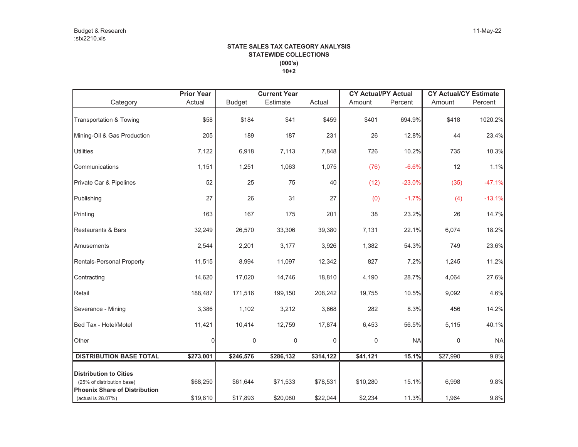### **STATE SALES TAX CATEGORY ANALYSIS STATEWIDE COLLECTIONS (000's) 10+2**

|                                                                    | <b>Prior Year</b> |               | <b>Current Year</b> |             | <b>CY Actual/PY Actual</b> |           | <b>CY Actual/CY Estimate</b> |           |
|--------------------------------------------------------------------|-------------------|---------------|---------------------|-------------|----------------------------|-----------|------------------------------|-----------|
| Category                                                           | Actual            | <b>Budget</b> | Estimate            | Actual      | Amount                     | Percent   | Amount                       | Percent   |
| <b>Transportation &amp; Towing</b>                                 | \$58              | \$184         | \$41                | \$459       | \$401                      | 694.9%    | \$418                        | 1020.2%   |
| Mining-Oil & Gas Production                                        | 205               | 189           | 187                 | 231         | 26                         | 12.8%     | 44                           | 23.4%     |
| <b>Utilities</b>                                                   | 7,122             | 6,918         | 7,113               | 7,848       | 726                        | 10.2%     | 735                          | 10.3%     |
| Communications                                                     | 1,151             | 1,251         | 1,063               | 1,075       | (76)                       | $-6.6%$   | 12                           | 1.1%      |
| Private Car & Pipelines                                            | 52                | 25            | 75                  | 40          | (12)                       | $-23.0%$  | (35)                         | $-47.1%$  |
| Publishing                                                         | 27                | 26            | 31                  | 27          | (0)                        | $-1.7%$   | (4)                          | $-13.1%$  |
| Printing                                                           | 163               | 167           | 175                 | 201         | 38                         | 23.2%     | 26                           | 14.7%     |
| <b>Restaurants &amp; Bars</b>                                      | 32,249            | 26,570        | 33,306              | 39,380      | 7,131                      | 22.1%     | 6,074                        | 18.2%     |
| Amusements                                                         | 2,544             | 2,201         | 3,177               | 3,926       | 1,382                      | 54.3%     | 749                          | 23.6%     |
| <b>Rentals-Personal Property</b>                                   | 11,515            | 8,994         | 11,097              | 12,342      | 827                        | 7.2%      | 1,245                        | 11.2%     |
| Contracting                                                        | 14,620            | 17,020        | 14,746              | 18,810      | 4,190                      | 28.7%     | 4,064                        | 27.6%     |
| Retail                                                             | 188,487           | 171,516       | 199,150             | 208,242     | 19,755                     | 10.5%     | 9,092                        | 4.6%      |
| Severance - Mining                                                 | 3,386             | 1,102         | 3,212               | 3,668       | 282                        | 8.3%      | 456                          | 14.2%     |
| Bed Tax - Hotel/Motel                                              | 11,421            | 10,414        | 12,759              | 17,874      | 6,453                      | 56.5%     | 5,115                        | 40.1%     |
| Other                                                              | 0                 | $\mathbf 0$   | $\mathbf 0$         | $\mathbf 0$ | 0                          | <b>NA</b> | $\mathbf 0$                  | <b>NA</b> |
| <b>DISTRIBUTION BASE TOTAL</b>                                     | \$273,001         | \$246,576     | \$286,132           | \$314,122   | \$41,121                   | 15.1%     | \$27,990                     | 9.8%      |
| <b>Distribution to Cities</b>                                      |                   |               |                     |             |                            |           |                              |           |
| (25% of distribution base)<br><b>Phoenix Share of Distribution</b> | \$68,250          | \$61,644      | \$71,533            | \$78,531    | \$10,280                   | 15.1%     | 6,998                        | 9.8%      |
| (actual is 28.07%)                                                 | \$19,810          | \$17,893      | \$20,080            | \$22,044    | \$2,234                    | 11.3%     | 1,964                        | 9.8%      |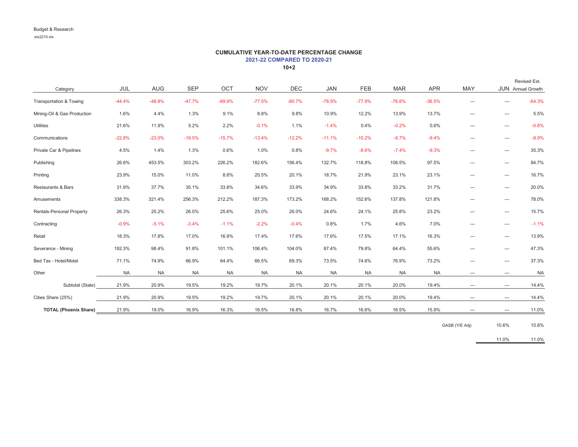# **CUMULATIVE YEAR-TO-DATE PERCENTAGE CHANGE 2021-22 COMPARED TO 2020-21**

**10+2**

|                              |           |            |            |           |            |            |            |            |            |            |          |          | Revised Est.      |
|------------------------------|-----------|------------|------------|-----------|------------|------------|------------|------------|------------|------------|----------|----------|-------------------|
| Category                     | JUL       | <b>AUG</b> | <b>SEP</b> | OCT       | <b>NOV</b> | <b>DEC</b> | <b>JAN</b> | <b>FEB</b> | <b>MAR</b> | <b>APR</b> | MAY      |          | JUN Annual Growth |
| Transportation & Towing      | $-44.4%$  | $-48.8%$   | $-47.7%$   | $-69.9%$  | $-77.5%$   | $-80.7%$   | $-78.9%$   | $-77.9%$   | $-76.8%$   | $-36.5%$   | ---      | ---      | $-64.3%$          |
| Mining-Oil & Gas Production  | 1.6%      | 4.4%       | 1.3%       | 9.1%      | 8.8%       | 9.8%       | 10.9%      | 12.2%      | 13.9%      | 13.7%      | ---      | ---      | 5.5%              |
| <b>Utilities</b>             | 21.6%     | 11.9%      | 5.2%       | 2.2%      | $-0.1%$    | 1.1%       | $-1.4%$    | 0.4%       | $-0.2%$    | 0.6%       | ---      | ---      | $-0.6%$           |
| Communications               | $-22.8%$  | $-23.0%$   | $-19.5%$   | $-15.7%$  | $-13.4%$   | $-12.2%$   | $-11.1%$   | $-10.2%$   | $-9.7%$    | $-9.4%$    | ---      | ---      | $-8.9%$           |
| Private Car & Pipelines      | 4.5%      | 1.4%       | 1.3%       | 0.6%      | 1.0%       | 0.8%       | $-9.7%$    | $-8.6%$    | $-7.4%$    | $-9.3%$    | ---      | ---      | 35.3%             |
| Publishing                   | 26.6%     | 453.5%     | 303.2%     | 226.2%    | 182.6%     | 156.4%     | 132.7%     | 118.8%     | 108.5%     | 97.5%      | ---      | ---      | 84.7%             |
| Printing                     | 23.9%     | 15.0%      | 11.0%      | 8.8%      | 20.5%      | 20.1%      | 18.7%      | 21.9%      | 23.1%      | 23.1%      | ---      | ---      | 16.7%             |
| Restaurants & Bars           | 31.9%     | 37.7%      | 35.1%      | 33.8%     | 34.6%      | 33.9%      | 34.9%      | 33.8%      | 33.2%      | 31.7%      | $---$    | $\cdots$ | 20.0%             |
| Amusements                   | 338.3%    | 321.4%     | 256.3%     | 212.2%    | 187.3%     | 173.2%     | 168.2%     | 152.6%     | 137.8%     | 121.8%     | ---      | ---      | 78.0%             |
| Rentals-Personal Property    | 26.3%     | 25.2%      | 26.0%      | 25.6%     | 25.0%      | 26.0%      | 24.6%      | 24.1%      | 25.8%      | 23.2%      | ---      | ---      | 15.7%             |
| Contracting                  | $-0.9%$   | $-5.1%$    | $-3.4%$    | $-1.1%$   | $-2.2%$    | $-0.4%$    | 0.8%       | 1.7%       | 4.6%       | 7.0%       | ---      | ---      | $-1.1%$           |
| Retail                       | 18.3%     | 17.8%      | 17.0%      | 16.9%     | 17.4%      | 17.6%      | 17.6%      | 17.5%      | 17.1%      | 16.3%      | ---      | ---      | 13.9%             |
| Severance - Mining           | 192.3%    | 98.4%      | 91.8%      | 101.1%    | 106.4%     | 104.0%     | 87.4%      | 79.8%      | 64.4%      | 55.6%      | $---$    | ---      | 47.3%             |
| Bed Tax - Hotel/Motel        | 71.1%     | 74.9%      | 66.9%      | 64.4%     | 66.5%      | 69.3%      | 73.5%      | 74.6%      | 76.9%      | 73.2%      | ---      | ---      | 37.3%             |
| Other                        | <b>NA</b> | <b>NA</b>  | <b>NA</b>  | <b>NA</b> | <b>NA</b>  | <b>NA</b>  | <b>NA</b>  | <b>NA</b>  | <b>NA</b>  | <b>NA</b>  | $\cdots$ | $\cdots$ | <b>NA</b>         |
| Subtotal (State)             | 21.9%     | 20.9%      | 19.5%      | 19.2%     | 19.7%      | 20.1%      | 20.1%      | 20.1%      | 20.0%      | 19.4%      | $\cdots$ | $\cdots$ | 14.4%             |
| Cities Share (25%)           | 21.9%     | 20.9%      | 19.5%      | 19.2%     | 19.7%      | 20.1%      | 20.1%      | 20.1%      | 20.0%      | 19.4%      | ---      | $\cdots$ | 14.4%             |
| <b>TOTAL (Phoenix Share)</b> | 21.9%     | 19.0%      | 16.9%      | 16.3%     | 16.5%      | 16.8%      | 16.7%      | 16.6%      | 16.5%      | 15.9%      | ---      | $\cdots$ | 11.0%             |

GASB (Y/E Adj) 10.6% 10.6%

11.0% 11.0%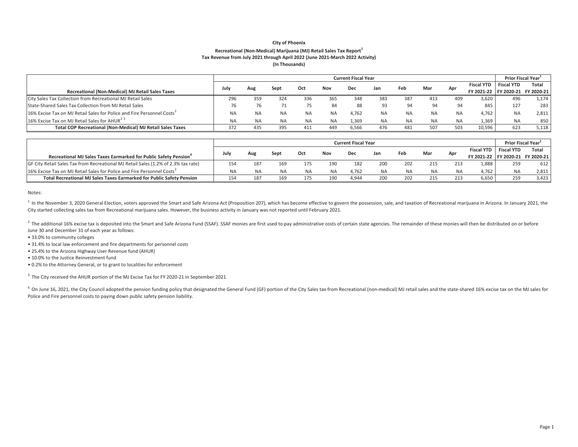#### **City of Phoenix Recreational (Non-Medical) Marijuana (MJ) Retail Sales Tax Report<sup>1</sup> Tax Revenue from July 2021 through April 2022 (June 2021-March 2022 Activity) (In Thousands)**

|                                                                                    |           | <b>Prior Fiscal Year</b> |           |           |           |       |     |           |           |           |                                  |                   |       |
|------------------------------------------------------------------------------------|-----------|--------------------------|-----------|-----------|-----------|-------|-----|-----------|-----------|-----------|----------------------------------|-------------------|-------|
| Recreational (Non-Medical) MJ Retail Sales Taxes                                   |           | Aug                      | Sept      | Oct       | Nov       | Dec   | Jan | Feb       | Mar       | Apr       | <b>Fiscal YTD</b>                | <b>Fiscal YTD</b> | Total |
|                                                                                    |           |                          |           |           |           |       |     |           |           |           | FY 2021-22 FY 2020-21 FY 2020-21 |                   |       |
| City Sales Tax Collection from Recreational MJ Retail Sales                        | 296       | 359                      | 324       | 336       | 365       | 348   | 383 | 387       | 413       | 409       | 3.620                            | 496               | 1,174 |
| State-Shared Sales Tax Collection from MJ Retail Sales                             | 76        |                          |           | 75        | 84        | 88    |     | 94        | 94        | 94        | 845                              | 127               | 283   |
| 16% Excise Tax on MJ Retail Sales for Police and Fire Personnel Costs <sup>2</sup> | <b>NA</b> | NA.                      | <b>NA</b> | <b>NA</b> | <b>NA</b> | 4.762 | NA  | <b>NA</b> | <b>NA</b> | <b>NA</b> | 4.762                            | <b>NA</b>         | 2,811 |
| 16% Excise Tax on MJ Retail Sales for AHUR <sup>23</sup>                           | <b>NA</b> | <b>NA</b>                | <b>NA</b> | <b>NA</b> | <b>NA</b> | 1,369 | ΝA  | <b>NA</b> | <b>NA</b> | <b>NA</b> | 1,369                            | NA                | 850   |
| <b>Total COP Recreational (Non-Medical) MJ Retail Sales Taxes</b>                  | 372       | 435                      | 395       | 411       | 449       | 6,566 | 476 | 481       | 507       | 503       | 10,596                           | 623               | 5,118 |

|                                                                                    | <b>Current Fiscal Year</b> |     |           |     |           |       |     |           |           |           |                                  |                   | <b>Prior Fiscal Year</b> |  |
|------------------------------------------------------------------------------------|----------------------------|-----|-----------|-----|-----------|-------|-----|-----------|-----------|-----------|----------------------------------|-------------------|--------------------------|--|
| Recreational MJ Sales Taxes Earmarked for Public Safety Pension <sup>4</sup>       |                            | Aug | Sept      | Oct | Nov       | Dec   | Jan | Feb       | Mar       | Apr       | Fiscal YTD                       | <b>Fiscal YTD</b> | Total                    |  |
|                                                                                    |                            |     |           |     |           |       |     |           |           |           | FY 2021-22 FY 2020-21 FY 2020-21 |                   |                          |  |
| GF City Retail Sales Tax from Recreational MJ Retail Sales (1.2% of 2.3% tax rate) | 154                        | 187 | 169       | 175 | 190       | 182   | 200 | 202       | 215       | 213       | 1.888                            | 259               | 612                      |  |
| 16% Excise Tax on MJ Retail Sales for Police and Fire Personnel Costs <sup>2</sup> | <b>NA</b>                  |     | <b>NA</b> | NA  | <b>NA</b> | 4.762 | ΝA  | <b>NA</b> | <b>NA</b> | <b>NA</b> | 4.762                            | <b>NA</b>         | 2.811                    |  |
| Total Recreational MJ Sales Taxes Earmarked for Public Safety Pension              | 154                        | 187 | 169       | 175 | 190       | 4.944 | 200 | 202       | 215       | 213       | 6.650                            | 259               | 3.423                    |  |

Notes:

<sup>1</sup> In the November 3, 2020 General Election, voters approved the Smart and Safe Arizona Act (Proposition 207), which has become effective to govern the possession, sale, and taxation of Recreational marijuana in Arizona. City started collecting sales tax from Recreational marijuana sales. However, the business activity in January was not reported until February 2021.

<sup>2.</sup> The additional 16% excise tax is deposited into the Smart and Safe Arizona Fund (SSAF). SSAF monies are first used to pay administrative costs of certain state agencies. The remainder of these monies will then be dist June 30 and December 31 of each year as follows:

• 33.0% to community colleges

• 31.4% to local law enforcement and fire departments for personnel costs

• 25.4% to the Arizona Highway User Revenue fund (AHUR)

• 10.0% to the Justice Reinvestment fund

• 0.2% to the Attorney General, or to grant to localities for enforcement

<sup>3.</sup> The City received the AHUR portion of the MJ Excise Tax for FY 2020-21 in September 2021.

<sup>4.</sup> On June 16, 2021, the City Council adopted the pension funding policy that designated the General Fund (GF) portion of the City Sales tax from Recreational (non-medical) MJ retail sales and the state-shared 16% excise Police and Fire personnel costs to paying down public safety pension liability.